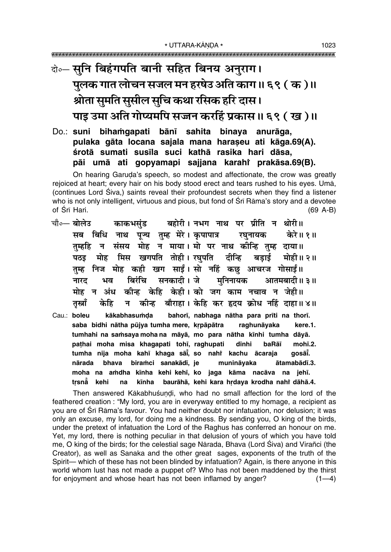# बे॰– सूनि बिहंगपति बानी सहित बिनय अनुराग। पुलक गात लोचन सजल मन हरषेउ अति काग॥ ६९ ( क )॥ श्रोता सुमति सुसील सुचि कथा रसिक हरि दास। पाइ उमा अति गोप्यमपि सज्जन करहिं प्रकास॥ ६९ ( ख )॥

Do.: suni bihamgapati bānī sahita binaya anurāga, pulaka gāta locana sajala mana haraseu ati kāga.69(A). śrotā sumati susīla suci kathā rasika hari dāsa. pāi umā ati gopyamapi sajjana karahi prakāsa.69(B).

On hearing Garuda's speech, so modest and affectionate, the crow was greatly rejoiced at heart; every hair on his body stood erect and tears rushed to his eyes. Uma, (continues Lord Śiva,) saints reveal their profoundest secrets when they find a listener who is not only intelligent, virtuous and pious, but fond of Sri Rama's story and a devotee of Śrī Hari.  $(69 A-B)$ 

चौ०- बोलेउ काकभसंड बहोरी। नभग नाथ पर प्रीति न थोरी॥ सब बिधि नाथ पूज्य तुम्ह मेरे। कृपापात्र रघनायक केरे॥ १॥ न संसय मोह न माया। मो पर नाथ कीन्हि तुम्ह दाया॥ तम्हहि मोह मिस खगपति तोही। रघुपति दीन्हि बड़ाई मोही॥ २॥ पठड तम्ह निज मोह कही खग साईं। सो नहिं कछ आचरज गोसाईं॥ बिरंचि सनकादी। जे मनिनायक नारद भव आतमबादी॥ ३॥ मोह न अंध कीन्ह केहि केही। को जग काम नचाव न जेही॥ तस्त्राँ केहि कीन्ह बौराहा। केहि कर हृदय क्रोध नहिं दाहा॥४॥ न Cau.: boleu kākabhasumda bahorī, nabhaga nātha para prīti na thorī. saba bidhi nātha pūjya tumha mere, krpāpātra raghunāyaka kere.1. tumhahi na samsaya moha na māyā, mo para nātha kīnhi tumha dāyā. pathai moha misa khagapati tohi, raghupati dīnhi baRāī mohī.2. tumha nija moha kahī khaga sāi, so nahi kachu ācaraja aosāi. bhava biramci sanakādī, je nārada munināyaka ātamabādī.3. moha na amdha kīnha kehi kehī, ko jaga kāma nacāva na jehī.

### kīnha baurāhā, kehi kara hrdaya krodha nahi dāhā.4. trsnå kehi na

Then answered Kākabhuśundi, who had no small affection for the lord of the feathered creation : "My lord, you are in everyway entitled to my homage, a recipient as you are of Srī Rāma's favour. You had neither doubt nor infatuation, nor delusion; it was only an excuse, my lord, for doing me a kindness. By sending you, O king of the birds, under the pretext of infatuation the Lord of the Raghus has conferred an honour on me. Yet, my lord, there is nothing peculiar in that delusion of yours of which you have told me, O king of the birds; for the celestial sage Nārada, Bhava (Lord Śiva) and Virañci (the Creator), as well as Sanaka and the other great sages, exponents of the truth of the Spirit— which of these has not been blinded by infatuation? Again, is there anyone in this world whom lust has not made a puppet of? Who has not been maddened by the thirst for enjoyment and whose heart has not been inflamed by anger?  $(1-4)$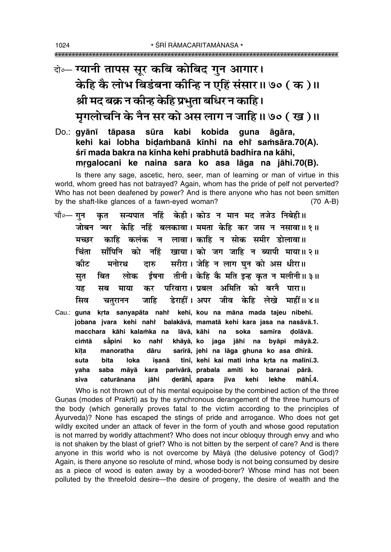# बेन्ट ग्यानी तापस सूर कबि कोबिद गुन आगार। केहि कै लोभ बिडंबना कीन्हि न एहिं संसार॥ ७० ( क )॥ श्री मद बक्र न कीन्ह केहि प्रभुता बधिर न काहि। मृगलोचनि के नैन सर को अस लाग न जाहि ॥ ७० ( ख )॥

Do.: gyānī tāpasa sūra kabi kobida quna āgāra. kehi kai lobha bidambanā kīnhi na ehi samsāra.70(A). śrī mada bakra na kīnha kehi prabhutā badhira na kāhi, mrgalocani ke naina sara ko asa lāga na jāhi.70(B).

Is there any sage, ascetic, hero, seer, man of learning or man of virtue in this world, whom greed has not batrayed? Again, whom has the pride of pelf not perverted? Who has not been deafened by power? And is there anyone who has not been smitten by the shaft-like glances of a fawn-eyed woman?  $(70 A-B)$ 

- सन्यपात नहिं केही। कोउ न मान मद तजेउ निबेही॥ चौ∘— गुन कृत जोबन ज्वर केहि नहिं बलकावा। ममता केहि कर जस न नसावा॥१॥ काहि कलंक न लावा।काहि न सोक समीर डोलावा॥ मच्छर चिंता साँपिनि को नहिं खाया।को जग जाहि न ब्यापी माया॥२॥ दारु सरीरा। जेहि न लाग घुन को अस धीरा॥ कीट मनोरथ ईषना तीनी। केहि कै मति इन्ह कृत न मलीनी॥३॥ बित लोक सूत परिवारा। प्रबल अमिति को बरनै पारा॥ यह मब माया कर डेराहीं। अपर जीव केहि लेखे माहीं॥४॥ सिव चतुरानन जाहि
- Cau.: guna krta sanyapāta nahi kehī, kou na māna mada tajeu nibehī. jobana jvara kehi nahi balakāvā, mamatā kehi kara jasa na nasāvā.1. macchara kāhi kalamka na lāvā, kāhi na soka samīra dolāvā. cimtā såpini ko nahî khāyā, ko jaga jāhi na byāpī māyā.2. sarīrā, jehi na lāga ghuna ko asa dhīrā. kīta manoratha dāru tīnī, kehi kai mati inha krta na malīnī.3. suta bita loka īsanā saba māyā kara parivārā, prabala amiti ko pārā. vaha baranai derāhi, apara lekhe māhī.4. siva caturānana iāhi jīva kehi

Who is not thrown out of his mental equipoise by the combined action of the three Gunas (modes of Prakrti) as by the synchronous derangement of the three humours of the body (which generally proves fatal to the victim according to the principles of Ayurveda)? None has escaped the stings of pride and arrogance. Who does not get wildly excited under an attack of fever in the form of youth and whose good reputation is not marred by worldly attachment? Who does not incur obloguy through envy and who is not shaken by the blast of grief? Who is not bitten by the serpent of care? And is there anyone in this world who is not overcome by Māyā (the delusive potency of God)? Again, is there anyone so resolute of mind, whose body is not being consumed by desire as a piece of wood is eaten away by a wooded-borer? Whose mind has not been polluted by the threefold desire-the desire of progeny, the desire of wealth and the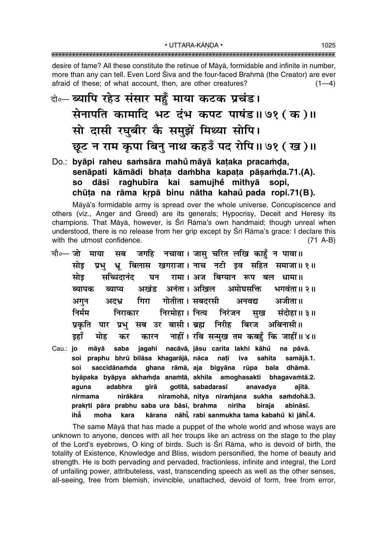desire of fame? All these constitute the retinue of Māyā, formidable and infinite in number. more than any can tell. Even Lord Siva and the four-faced Brahma (the Creator) are ever afraid of these; of what account, then, are other creatures?  $(1-4)$ 

बे॰ व्यापि रहेउ संसार महँ माया कटक प्रचंड। सेनापति कामादि भट दंभ कपट पाषंड॥७१ (क)॥ सो दासी रघुबीर कै समुझें मिथ्या सोपि। छूट न राम कृपा बिनु नाथ कहउँ पद रोपि॥७१ (ख)॥

Do.: byāpi raheu samsāra mahu māyā kataka pracamda, senāpati kāmādi bhata dambha kapata pāsamda.71.(A). raghubīra kai samujhě mithyā sopi, **SO** dāsī chūța na rāma krpā binu nātha kahaŭ pada ropi.71(B).

Māyā's formidable army is spread over the whole universe. Concupiscence and others (viz., Anger and Greed) are its generals; Hypocrisy, Deceit and Heresy its champions. That Māyā, however, is Śrī Rāma's own handmaid; though unreal when understood, there is no release from her grip except by Srī Rāma's grace: I declare this with the utmost confidence.  $(71 \text{ A-B})$ 

|                 | चौ∘— जो  माया   सब   जगहि   नचावा । जासु चरित  लखि  काहुँ  न  पावा ॥ |                                                                  |
|-----------------|----------------------------------------------------------------------|------------------------------------------------------------------|
|                 |                                                                      | सोइ प्रभु भ्रू बिलास खगराजा। नाच नटी इव सहित समाजा॥१॥            |
|                 | सोड                                                                  | सच्चिदानंद घन रामा। अज बिग्यान रूप बल धामा॥                      |
|                 |                                                                      | ब्यापक ब्याप्य अखंड अनंता।अखिल अमोघसक्ति भगवंता॥२॥               |
|                 | अगुन अद्भ्र गिरा गोतीता।सबदरसी अनवद्य अजीता॥                         |                                                                  |
|                 |                                                                      | निर्मम निराकार निरमोहा।नित्य निरंजन सुख संदोहा॥३॥                |
|                 | प्रकृति पार प्रभु सब उर बासी।ब्रह्म निरीह बिरज अबिनासी॥              |                                                                  |
|                 |                                                                      | इहाँ मोह कर कारन नाहीं। रबि सन्मुख तम कबहुँ कि जाहीं॥४॥          |
| Cau.: <b>jo</b> |                                                                      | māyā saba jagahi nacāvā, jāsu carita lakhi kāhů na pāvā.         |
|                 | soi                                                                  | praphu bhrū bilāsa khagarājā, nāca natī iva sahita samājā.1.     |
|                 |                                                                      | soi saccidānamda ghana rāmā, aja bigyāna rūpa bala dhāmā.        |
|                 |                                                                      | byāpaka byāpya akhamda anamtā, akhila amoghasakti bhagavamtā.2.  |
|                 |                                                                      | aguna adabhra girā gotītā, sabadarasī anavadya ajītā.            |
|                 | nirmama                                                              | nirākāra niramohā, nitya niramjana sukha samdohā.3.              |
|                 |                                                                      | prakrti pāra prabhu saba ura bāsī, brahma nirīha biraja abināsī. |
|                 | ihẵ                                                                  | moha kara kārana nāhi, rabi sanmukha tama kabahu ki jāhi.4.      |

The same Māyā that has made a puppet of the whole world and whose ways are unknown to anyone, dences with all her troups like an actress on the stage to the play of the Lord's eyebrows, O king of birds. Such is Sri Rama, who is devoid of birth, the totality of Existence, Knowledge and Bliss, wisdom personified, the home of beauty and strength. He is both pervading and pervaded, fractionless, infinite and integral, the Lord of unfailing power, attributeless, vast, transcending speech as well as the other senses, all-seeing, free from blemish, invincible, unattached, devoid of form, free from error,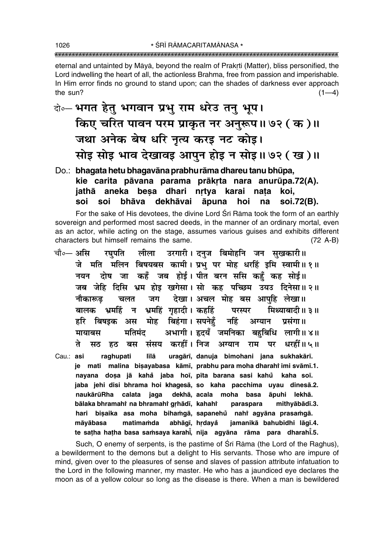eternal and untainted by Māyā, beyond the realm of Prakrti (Matter), bliss personified, the Lord indwelling the heart of all, the actionless Brahma, free from passion and imperishable. In Him error finds no ground to stand upon; can the shades of darkness ever approach the sun?  $(1-4)$ 

- बे॰– भगत हेतु भगवान प्रभु राम धरेउ तनु भूप। किए चरित पावन परम प्राकृत नर अनुरूप॥७२ ( क )॥ जथा अनेक बेष धरि नृत्य करइ नट कोइ। सोइ सोइ भाव देखावइ आपून होइ न सोइ॥ ७२ (ख)॥
- Do.: bhagata hetu bhagavāna prabhurāma dhareu tanu bhūpa, kie carita pāvana parama prākrta nara anurūpa.72(A). jathā aneka besa dhari nrtya karai nata koi. soi soi bhāva dekhāvai āpuna hoi  $na$ soi.72(B).

For the sake of His devotees, the divine Lord Sri Rama took the form of an earthly sovereign and performed most sacred deeds, in the manner of an ordinary mortal, even as an actor, while acting on the stage, assumes various guises and exhibits different characters but himself remains the same.  $(72 A-B)$ 

उरगारी। दनुज बिमोहनि जन सुखकारी॥ चौ०— असि रघपति लीला जे मति मलिन बिषयबस कामी। प्रभु पर मोह धरहिं इमि स्वामी॥ १॥ नयन दोष जा कहँ जब होई। पीत बरन ससि कहँ कह सोई॥ जब जेहि दिसि भ्रम होइ खगेसा। सो कह पच्छिम उयउ दिनेसा॥२॥ देखा। अचल मोह बस आपहि लेखा।। नौकारूढ चलत जग भ्रमहिं न भ्रमहिं गहादी। कहहिं मिथ्याबादी॥ ३॥ बालक परस्पर हरि बिषइक अस मोह बिहंगा। सपनेहँ नहिं प्रसंगा ॥ अग्यान मतिमंद अभागी। हृदयँ जमनिका बहुबिधि लागी॥४॥ मायाबस संसय करहीं। निज अग्यान राम पर धरहीं॥५॥ ते सठ हठ बस Cau.: asi raghupati līlā uragārī, danuja bimohani jana sukhakārī. je mati malina bisayabasa kāmī, prabhu para moha dharahi imi svāmī.1. nayana doşa jā kahå jaba hoī, pīta barana sasi kahů kaha soī. jaba jehi disi bhrama hoi khagesā, so kaha pacchima uyau dinesā.2. naukārūRha calata jaga dekhā, acala moha basa āpuhi lekhā. bālaka bhramahi na bhramahi grhādī, kahahi mithyābādī.3. paraspara hari bişaika asa moha bihamgā, sapanehů nahř agyāna prasamgā. abhāqī, hrdayå jamanikā bahubidhi lāgī.4. māvābasa matimamda te satha hatha basa samsaya karahi, nija agyāna rāma para dharahi.5.

Such, O enemy of serpents, is the pastime of Sri Rama (the Lord of the Raghus), a bewilderment to the demons but a delight to His servants. Those who are impure of mind, given over to the pleasures of sense and slaves of passion attribute infatuation to the Lord in the following manner, my master. He who has a jaundiced eye declares the moon as of a yellow colour so long as the disease is there. When a man is bewildered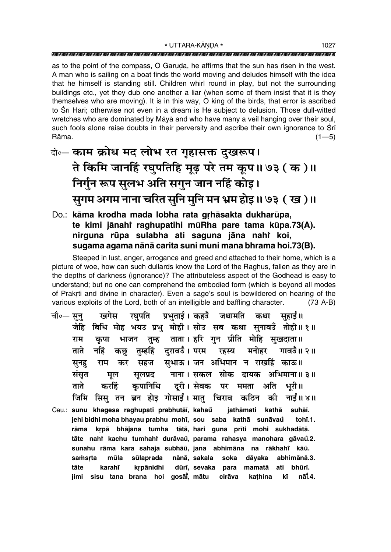as to the point of the compass, O Garuda, he affirms that the sun has risen in the west. A man who is sailing on a boat finds the world moving and deludes himself with the idea that he himself is standing still. Children whirl round in play, but not the surrounding buildings etc., yet they dub one another a liar (when some of them insist that it is they themselves who are moving). It is in this way, O king of the birds, that error is ascribed to Srī Hari; otherwise not even in a dream is He subject to delusion. Those dull-witted wretches who are dominated by Māyā and who have many a veil hanging over their soul. such fools alone raise doubts in their perversity and ascribe their own ignorance to Sri Rāma.  $(1 - 5)$ 

# बे- काम क्रोध मद लोभ रत गृहासक्त दुखरूप। ते किमि जानहिं रघुपतिहि मूढ़ परे तम कूप॥७३ (क)॥ निर्गुन रूप सुलभ अति सगुन जान नहिं कोइ। सुगम अगम नाना चरित सुनि मुनि मन भ्रम होइ॥ ७३ ( ख )॥

Do.: kāma krodha mada lobha rata grhāsakta dukharūpa, te kimi jānahi raghupatihi mūRha pare tama kūpa.73(A). nirguna rūpa sulabha ati saguna jāna nahi koi, sugama agama nānā carita suni muni mana bhrama hoi.73(B).

Steeped in lust, anger, arrogance and greed and attached to their home, which is a picture of woe, how can such dullards know the Lord of the Raghus, fallen as they are in the depths of darkness (ignorance)? The attributeless aspect of the Godhead is easy to understand; but no one can comprehend the embodied form (which is beyond all modes of Prakrti and divine in character). Even a sage's soul is bewildered on hearing of the various exploits of the Lord, both of an intelligible and baffling character.  $(73 A-B)$ 

|  |  | चौ०— सुनु    खगेस    रघुपति    प्रभुताई । कहउँ    जथामति   कथा    सुहाई॥ |  |  |
|--|--|--------------------------------------------------------------------------|--|--|
|  |  | जेहि बिधि मोह भयउ प्रभु मोही। सोउ सब कथा सुनावउँ तोही॥१॥                 |  |  |
|  |  | राम कृपा भाजन तुम्ह ताता।हरि गुन प्रीति मोहि सुखदाता॥                    |  |  |
|  |  | ताते नहिं कछु तुम्हहिं दुरावउँ। परम रहस्य मनोहर गावउँ॥ २॥                |  |  |
|  |  | सुनह राम कर सहज सुभाऊ। जन अभिमान न राखहिं काऊ॥                           |  |  |
|  |  | संसृत मूल सूलप्रद नाना।।सकल सोक दायक अभिमाना॥३॥                          |  |  |
|  |  | ताते करहिं कृपानिधि दूरी।सेवक पर ममता अति भूरी॥                          |  |  |
|  |  | जिमि सिसु तन ब्रन होइ गोसाईं। मातु चिराव कठिन की नाईं॥४॥                 |  |  |
|  |  |                                                                          |  |  |

Cau.: sunu khaqesa raqhupati prabhutāi, kahaŭ jathāmati kathā suhāī. jehi bidhi moha bhayau prabhu mohī, sou saba kathā sunāvaů tohī.1. krpā bhājana tumha tātā, hari guna prīti mohi sukhadātā. rāma tāte nahi kachu tumhahi durāvaŭ, parama rahasya manohara gāvaŭ.2. sunahu rāma kara sahaja subhāū, jana abhimāna na rākhahi kāū. samsrta nānā, sakala abhimānā.3. mūla sūlaprada soka dāvaka karaht bhūrī. tāte krpānidhi dūrī, sevaka para mamatā ati jimi sisu tana brana hoi gosāi, mātu cirāva kathina kī nāi.4.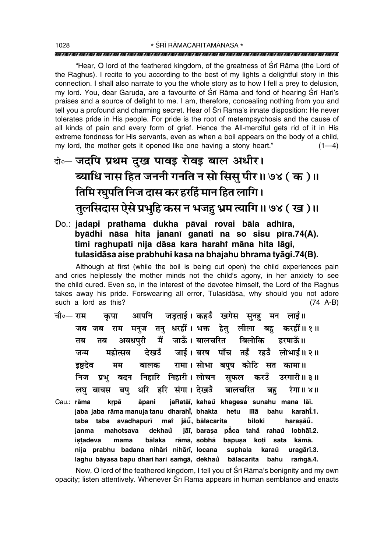"Hear, O lord of the feathered kingdom, of the greatness of Sri Rama (the Lord of the Raghus). I recite to you according to the best of my lights a delightful story in this connection. I shall also narrate to you the whole story as to how I fell a prey to delusion, my lord. You, dear Garuda, are a favourite of Srī Rāma and fond of hearing Srī Hari's praises and a source of delight to me. I am, therefore, concealing nothing from you and tell you a profound and charming secret. Hear of Srī Rāma's innate disposition: He never tolerates pride in His people. For pride is the root of metempsychosis and the cause of all kinds of pain and every form of grief. Hence the All-merciful gets rid of it in His extreme fondness for His servants, even as when a boil appears on the body of a child, my lord, the mother gets it opened like one having a stony heart."  $(1-4)$ 

- बे॰- जदपि प्रथम दुख पावइ रोवइ बाल अधीर। ब्याधि नास हित जननी गनति न सो सिस् पीर॥७४ ( क )॥ तिमि रघुपति निज दास कर हरहिं मान हित लागि। तुलसिदास ऐसे प्रभुहि कस न भजह भ्रम त्यागि॥ ७४ ( ख )॥
- Do.: jadapi prathama dukha pāvai rovai bāla adhīra, byādhi nāsa hita jananī ganati na so sisu pīra.74(A). timi raghupati nija dāsa kara harahi māna hita lāgi, tulasidāsa aise prabhuhi kasa na bhajahu bhrama tyāgi.74(B).

Although at first (while the boil is being cut open) the child experiences pain and cries helplessly the mother minds not the child's agony, in her anxiety to see the child cured. Even so, in the interest of the devotee himself, the Lord of the Raghus takes away his pride. Forswearing all error, Tulasidasa, why should you not adore such a lord as this?  $(74 \text{ A-B})$ 

- जडताई। कहउँ खगेस सनह मन लाई॥ चौ०— राम आपनि कपा जब जब राम मनुज तनु धरहीं। भक्त हेतु लीला बहु करहीं॥१॥ अवधपरी मैं जाऊँ।बालचरित बिलोकि हरषाऊँ ॥ तब तब देखउँ जाई। बरष पाँच तहँ रहउँ लोभाई॥२॥ महोत्सव जन्म बालक रामा। सोभा बपष कोटि सत कामा॥ इष्टदेव ਸਸ बदन निहारि निहारी।लोचन सफल करउँ उरगारी॥ ३॥ निज प्रभ धरि हरि संगा। देखउँ बप बालचरित रंगा ॥ ४ ॥ लघ बायस बह
- Cau.: rāma jaRatāi, kahaŭ khagesa sunahu mana lāi. krpā āpani jaba jaba rāma manuja tanu dharahī, bhakta hetu bahu karahi.1. līlā taba avadhapurī mat jāū, bālacarita taba biloki harasāū. ianma mahotsava dekhaů jāī, barasa pā̃ca tahå rahaů lobhāī.2. istadeva mama bālaka rāmā, sobhā bapuşa koti sata kāmā. nija prabhu badana nihāri nihārī, locana suphala karaů uragārī.3. laghu bāyasa bapu dhari hari samgā, dekhaŭ bālacarita bahu ramgā.4.

Now, O lord of the feathered kingdom, I tell you of Sri Rama's benignity and my own opacity; listen attentively. Whenever Sri Rama appears in human semblance and enacts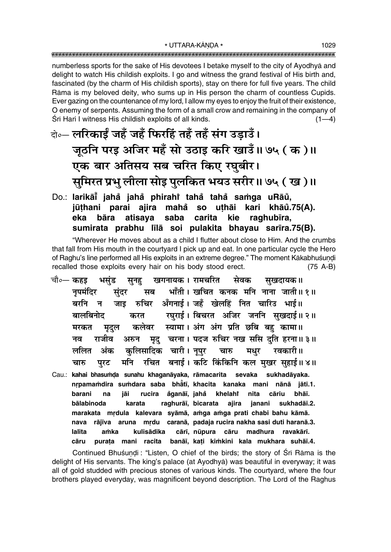numberless sports for the sake of His devotees I betake myself to the city of Ayodhya and delight to watch His childish exploits. I go and witness the grand festival of His birth and, fascinated (by the charm of His childish sports), stay on there for full five years. The child Rāma is my beloved deity, who sums up in His person the charm of countless Cupids. Ever gazing on the countenance of my lord, I allow my eyes to enjoy the fruit of their existence, O enemy of serpents. Assuming the form of a small crow and remaining in the company of Śrī Hari I witness His childish exploits of all kinds.  $(1-4)$ 

- वे॰- लरिकार्ड जहँ जहँ फिरहिं तहँ तहँ संग उडाउँ। जुठनि परइ अजिर महँ सो उठाइ करि खाउँ॥ ७५ ( क )॥ एक बार अतिसय सब चरित किए रघुबीर। सुमिरत प्रभु लीला सोइ पुलकित भयउ सरीर॥ ७५ (ख)॥
- Do.: larikāi jahå jahå phirahi tahå tahå samga uRāů, jūthani parai ajira mahå so uthāi kari khāŭ.75(A). eka bāra atisaya saba carita kie raghubīra, sumirata prabhu līlā soi pulakita bhayau sarīra.75(B).

"Wherever He moves about as a child I flutter about close to Him. And the crumbs that fall from His mouth in the courtyard I pick up and eat. In one particular cycle the Hero of Raghu's line performed all His exploits in an extreme degree." The moment Kākabhuśundi recalled those exploits every hair on his body stood erect.  $(75 A-B)$ 

- चौ०— कहड भसंड खगनायक। रामचरित सेवक सनह सुखदायक ॥ नपमंदिर भाँती। खचित कनक मनि नाना जाती॥१॥ संदर सब रुचिर अँगनाई। जहँ खेलहिं नित चारिउ भाई॥ बरनि न जाड़ रघराई। बिचरत अजिर जननि सखदाई॥ २॥ बालबिनोट करत कलेवर स्यामा। अंग अंग प्रति छबि बह कामा॥ मृदल मरकत मृद् चरना। पदज रुचिर नख ससि दुति हरना॥३॥ राजीव अरुन नव ललित कलिसादिक चारी। नपर चारु मधर रवकारी॥ अंक रचित बनाई। कटि किंकिनि कल मुखर सुहाई॥४॥ मनि चारु पुरट
- Cau.: kahai bhasumda sunahu khaganāyaka, rāmacarita sevaka sukhadāvaka. nrpamamdira sumdara saba bhatī, khacita kanaka mani nānā jātī.1. barani na iāi rucira ăganāī, iahă khelaht nita cāriu bhāī. bālabinoda karata raghurāī, bicarata ajira janani sukhadāī.2. marakata mrdula kalevara syāmā, amga amga prati chabi bahu kāmā. nava rājīva aruna mrdu caranā, padaja rucira nakha sasi duti haranā.3. cārī, nūpura cāru madhura ravakārī. lalita amka kulisādika cāru purața mani racita banāi, kați kimkini kala mukhara suhāi.4.

Continued Bhusundi: "Listen, O chief of the birds; the story of Sri Rama is the delight of His servants. The king's palace (at Ayodhyā) was beautiful in everyway; it was all of gold studded with precious stones of various kinds. The courtyard, where the four brothers played everyday, was magnificent beyond description. The Lord of the Raghus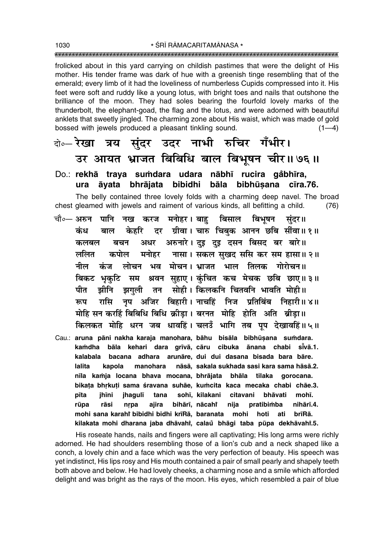frolicked about in this yard carrying on childish pastimes that were the delight of His mother. His tender frame was dark of hue with a greenish tinge resembling that of the emerald; every limb of it had the loveliness of numberless Cupids compressed into it. His feet were soft and ruddy like a young lotus, with bright toes and nails that outshone the brilliance of the moon. They had soles bearing the fourfold lovely marks of the thunderbolt, the elephant-goad, the flag and the lotus, and were adorned with beautiful anklets that sweetly jingled. The charming zone about His waist, which was made of gold bossed with jewels produced a pleasant tinkling sound.  $(1-4)$ 

### त्रय सुंदर उदर नाभी रुचिर गँभीर। दो**∘— रेखा** उर आयत भ्राजत बिबिधि बाल बिभूषन चीर॥ ७६॥

### Do.: rekhā traya sumdara udara nābhī rucira gåbhīra, ura āyata bhrājata bibidhi bāla bibhūsana cīra.76.

The belly contained three lovely folds with a charming deep navel. The broad chest gleamed with jewels and raiment of various kinds, all befitting a child.  $(76)$ 

- नख करज मनोहर।बाह बिसाल बिभुषन संदर॥ चौ∘— अरुन \_पानि दर ग्रीवा। चारु चिबुक आनन छबि सींवा॥१॥ केहरि कंध बाल अधर अरुनारे। दुइ दुइ दसन बिसद बर बारे॥ कलबल बचन मनोहर नासा। सकल सुखद ससि कर सम हासा॥२॥ ललित कपोल लोचन भव मोचन। भ्राजत भाल तिलक गोरोचन॥ नील कंज बिकट भृकुटि सम श्रवन सुहाए। कुंचित कच मेचक छबि छाए॥३॥ झगली तन सोही। किलकनि चितवनि भावति मोही॥ पीत झीनि नप अजिर बिहारी। नाचहिं निज प्रतिबिंब निहारी॥४॥ रूप रासि मोहि सन करहिं बिबिधि बिधि क्रीडा। बरनत मोहि होति अति ब्रीडा॥ किलकत मोहि धरन जब धावहिं। चलउँ भागि तब पुप देखावहिं॥५॥
- Cau.: aruna pāni nakha karaja manohara, bāhu bisāla bibhūsana sumdara. bāla kehari dara grīvā, cāru cibuka ānana chabi sīvā.1. kamdha kalabala bacana adhara arunāre, dui dui dasana bisada bara bāre. nāsā, sakala sukhada sasi kara sama hāsā.2. **lalita** kapola manohara nīla kamja locana bhava mocana, bhrājata bhāla tilaka gorocana. bikața bhrkuți sama śravana suhāe, kumcita kaca mecaka chabi chāe.3. pīta jhīni jhaqulī tana sohī, kilakani citavani bhāvati mohī. rāsi bihārī, nācahi pratibimba nihārī.4. rūpa nrpa aiira niia mohi sana karahi bibidhi bidhi krīRā, baranata mohi hoti ati brīRā. kilakata mohi dharana jaba dhāvahi, calaŭ bhāgi taba pūpa dekhāvahi.5.

His roseate hands, nails and fingers were all captivating; His long arms were richly adorned. He had shoulders resembling those of a lion's cub and a neck shaped like a conch, a lovely chin and a face which was the very perfection of beauty. His speech was yet indistinct. His lips rosy and His mouth contained a pair of small pearly and shapely teeth both above and below. He had lovely cheeks, a charming nose and a smile which afforded delight and was bright as the rays of the moon. His eyes, which resembled a pair of blue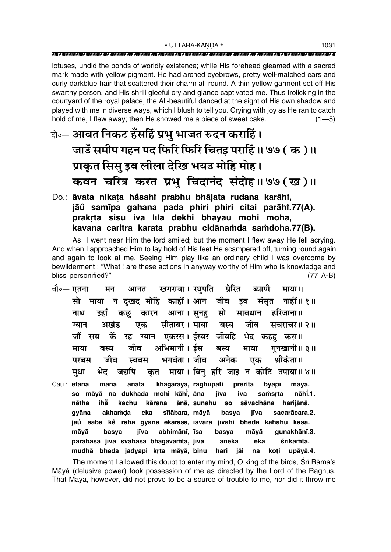lotuses, undid the bonds of worldly existence; while His forehead gleamed with a sacred mark made with yellow pigment. He had arched eyebrows, pretty well-matched ears and curly darkblue hair that scattered their charm all round. A thin yellow garment set off His swarthy person, and His shrill gleeful cry and glance captivated me. Thus frolicking in the courtyard of the royal palace, the All-beautiful danced at the sight of His own shadow and played with me in diverse ways, which I blush to tell you. Crying with joy as He ran to catch hold of me, I flew away; then He showed me a piece of sweet cake.  $(1 - 5)$ 

- केन्ट आवत निकट हँसहिं प्रभु भाजत रुदन कराहिं। जाउँ समीप गहन पद फिरि फिरि चितइ पराहिं॥ ७७ ( क )॥ प्राकृत सिस् इव लीला देखि भयउ मोहि मोह। कवन चरित्र करत प्रभु चिदानंद संदोह॥७७ (ख)॥
- Do.: āvata nikata håsahi prabhu bhājata rudana karāhi, jāů samīpa gahana pada phiri phiri citai parāhi.77(A). prākrta sisu iva līlā dekhi bhayau mohi moha, kavana caritra karata prabhu cidānamda samdoha.77(B).

As I went near Him the lord smiled; but the moment I flew away He fell acrying. And when I approached Him to lay hold of His feet He scampered off, turning round again and again to look at me. Seeing Him play like an ordinary child I was overcome by bewilderment: "What! are these actions in anyway worthy of Him who is knowledge and bliss personified?"  $(77 \text{ A-B})$ 

- प्रेरित खगराया । रघपति चौ∘— एतना आनत ब्यापी मन माया ॥ माया न दखद मोहि काहीं। आन जीव इव संसुत नाहीं ॥ १ ॥ सो सावधान इहाँ कछ आना । सूनह सो हरिजाना ॥ नाथ कारन सीताबर । माया अखंड बस्य जीव ग्यान एक सचराचर॥ २॥ जौं कें ग्यान एकरस।ईस्वर जीवहि भेद कहह कस॥ सब रह अभिमानी। ईस जीव बस्य माया गुनखानी॥ ३॥ माया बस्य जीव भगवंता । जीव अनेक श्रीकंता॥ स्वबस परबस एक मधा भेद जद्यपि माया। बिन् हरि जाइ न कोटि उपाया॥४॥ कत
- Cau.: etanā khagarāyā, raghupati māvā. mana ānata prerita byāpī so māvā na dukhada mohi kāhī. āna iīva iva samsrta nāhī.1. nātha ihằ kachu kārana ānā. sunahu **SO** sāvadhāna harijānā. gyāna akhamda eka sītābara, māyā basya jīva sacarācara.2. jaŭ saba ke raha gyāna ekarasa, īsvara jīvahi bheda kahahu kasa. jīva māvā basya abhimānī, īsa basya māvā qunakhānī.3. parabasa jīva svabasa bhagavamtā, jīva aneka eka śrīkamtā. mudhā bheda jadyapi krta māyā, binu hari jāi  $na$ koti upāyā.4.

The moment I allowed this doubt to enter my mind, O king of the birds, Srī Rāma's Māyā (delusive power) took possession of me as directed by the Lord of the Raghus. That Māyā, however, did not prove to be a source of trouble to me, nor did it throw me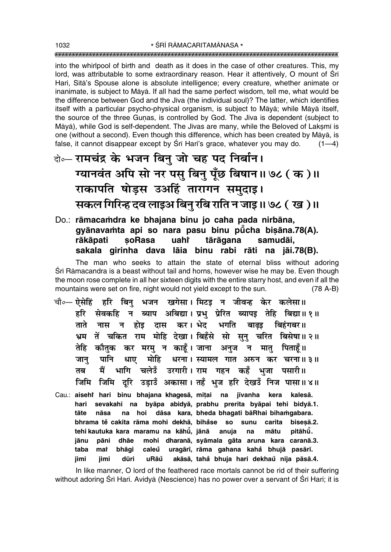into the whirlpool of birth and death as it does in the case of other creatures. This, my lord, was attributable to some extraordinary reason. Hear it attentively, O mount of Sri Hari, Sītā's Spouse alone is absolute intelligence; every creature, whether animate or inanimate, is subject to Māvā. If all had the same perfect wisdom, tell me, what would be the difference between God and the Jīva (the individual soul)? The latter, which identifies itself with a particular psycho-physical organism, is subject to Māyā; while Māyā itself, the source of the three Gunas, is controlled by God. The Jiva is dependent (subject to Māyā), while God is self-dependent. The Jīvas are many, while the Beloved of Laksmī is one (without a second). Even though this difference, which has been created by Māyā, is false, it cannot disappear except by Sri Hari's grace, whatever you may do.  $(1-4)$ 

- बे-रामचंद्र के भजन बिन् जो चह पद निर्बान। ग्यानवंत अपि सो नर पसु बिनु पूँछ बिषान॥ ७८ (क)॥ राकापति षोड़स उअहिं तारागन समुदाइ। सकल गिरिन्ह दव लाइअ बिनु रबि राति न जाइ।। ७८ (ख)।।
- Do.: rāmacamdra ke bhajana binu jo caha pada nirbāna, gyānavamta api so nara pasu binu pūcha bisāna.78(A). rākāpati soRasa uahi tārāgana samudāi, sakala girinha dava lāia binu rabi rāti na jāi.78(B).

The man who seeks to attain the state of eternal bliss without adoring Śrī Rāmacandra is a beast without tail and horns, however wise he may be. Even though the moon rose complete in all her sixteen digits with the entire starry host, and even if all the mountains were set on fire, night would not yield except to the sun.  $(78 A-B)$ 

- चौ∘— ऐसेहिं हरि बिन् भजन खगेसा। मिटइ न जीवन्ह केर कलेसा॥ हरि सेवकहि न ब्याप अबिद्या।प्रभ् प्रेरित ब्यापइ तेहि बिद्या॥१॥ ताते नास न होड़ दास कर।।भेद भगति बाढड बिहंगबर॥ भ्रम तें चकित राम मोहि देखा। बिहँसे सो सुनु चरित बिसेषा॥२॥ तेहि कौतुक कर मरमु न काहँ। जाना अनुज न मातु पिताहँ॥ जान् पानि धाए मोहि धरना।स्यामल गात अरुन कर चरना॥३॥ भागि चलेउँ उरगारी। राम गहन कहँ भुजा पसारी॥ मैं तब जिमि जिमि दूरि उड़ाउँ अकासा। तहँ भुज हरि देखउँ निज पासा॥४॥
- Cau.: aiseht hari binu bhajana khagesā, mitai na jīvanha kera kalesā. hari sevakahi na byāpa abidyā, prabhu prerita byāpai tehi bidyā.1. na hoi dāsa kara, bheda bhagati bāRhai bihamgabara. tāte nāsa bhrama tě cakita rāma mohi dekhā, bihåse so sunu carita bisesā.2. tehi kautuka kara maramu na kāhū, jānā anuja pitāhū. na mātu pāni dhāe mohi dharanā, syāmala gāta aruna kara caranā.3. jānu caleů uragārī, rāma gahana kahå bhujā pasārī. taba mar bhāgi akāsā, tahå bhuja hari dekhaŭ nija pāsā.4. iimi jimi dūri uRāů

In like manner, O lord of the feathered race mortals cannot be rid of their suffering without adoring Srī Hari. Avidyā (Nescience) has no power over a servant of Srī Hari; it is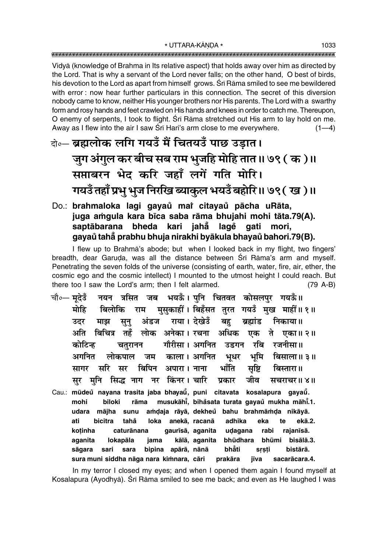Vidyā (knowledge of Brahma in Its relative aspect) that holds away over him as directed by the Lord. That is why a servant of the Lord never falls; on the other hand, O best of birds, his devotion to the Lord as apart from himself grows. Srī Rāma smiled to see me bewildered with error: now hear further particulars in this connection. The secret of this diversion nobody came to know, neither His younger brothers nor His parents. The Lord with a swarthy form and rosy hands and feet crawled on His hands and knees in order to catch me. Thereupon, O enemy of serpents, I took to flight. Sri Rama stretched out His arm to lay hold on me. Away as I flew into the air I saw Srī Hari's arm close to me everywhere.  $(1-4)$ 

# ते॰- ब्रह्मलोक लगि गयउँ मैं चितयउँ पाछ उड़ात। जुग अंगुल कर बीच सब राम भुजहि मोहि तात॥ ७९ ( क )॥ सप्ताबरन भेद करि जहाँ लगें गति मोरि। गयउँ तहाँ प्रभु भुज निरखि ब्याकुल भयउँ बहोरि॥ ७९( ख)॥

Do.: brahmaloka lagi gayaů mař citayaů pācha uRāta, juga amgula kara bīca saba rāma bhujahi mohi tāta.79(A). saptābarana bheda kari jahā lagė gati mori. qayaŭ tahā prabhu bhuja nirakhi byākula bhayaŭ bahori.79(B).

I flew up to Brahma's abode; but when I looked back in my flight, two fingers' breadth, dear Garuda, was all the distance between Srī Rāma's arm and myself. Penetrating the seven folds of the universe (consisting of earth, water, fire, air, ether, the cosmic ego and the cosmic intellect) I mounted to the utmost height I could reach. But there too I saw the Lord's arm; then I felt alarmed.  $(79 A-B)$ 

|     |  |  | चौ०— मूदेउँ नयन त्रसित जब भयऊँ। पुनि चितवत कोसलपुर गयऊँ॥                |  |  |
|-----|--|--|-------------------------------------------------------------------------|--|--|
|     |  |  | मोहि बिलोकि राम मुसुकाहीं।।बिहँसत तुरत गयउँ मुख माहीं॥१॥                |  |  |
| उदर |  |  | माझ सुनु अंडज राया। देखेउँ बहु ब्रह्मांड निकाया॥                        |  |  |
|     |  |  | अति बिचित्र तहँ लोक अनेका। रचना अधिक एक ते एका॥२॥                       |  |  |
|     |  |  | कोटिन्ह चतुरानन गौरीसा।अगनित उडगन रबि रजनीसा॥                           |  |  |
|     |  |  | अगनित लोकपाल जम काला।अगनित भृधर भूमि बिसाला॥३॥                          |  |  |
|     |  |  | सागर सरि सर बिपिन अपारा।नाना भाँति सृष्टि बिस्तारा॥                     |  |  |
|     |  |  | सुर मुनि सिद्ध नाग नर किंनर। चारि प्रकार जीव सचराचर॥४॥                  |  |  |
|     |  |  | Cau.: mūdeů nayana trasita jaba bhayaŭ, puni citavata kosalapura gayaŭ. |  |  |

musukāhi, bihasata turata gayaŭ mukha māhi.1. mohi biloki rāma amdaja rāyā, dekheŭ bahu brahmāmda nikāyā. mājha sunu udara ati bicitra tahå loka anekā, racanā adhika eka te ekā.2. kotinha caturānana gaurīsā, aganita udagana rabi raianīsā. aganita lokapāla jama kālā, aganita bhūdhara bhūmi bisālā.3. bhåti sāgara sari sara bipina apārā, nānā srsti bistārā. sura muni siddha nāga nara kimnara, cāri sacarācara.4. prakāra jīva

In my terror I closed my eyes; and when I opened them again I found myself at Kosalapura (Ayodhyā). Śrī Rāma smiled to see me back; and even as He laughed I was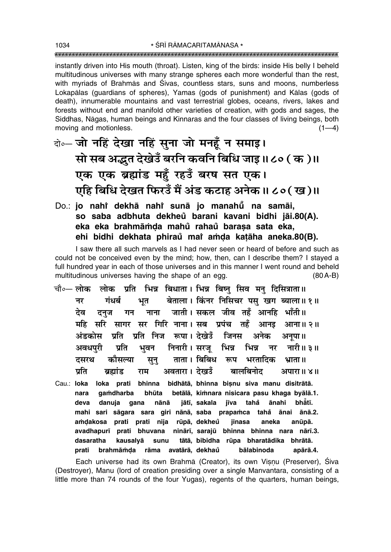instantly driven into His mouth (throat). Listen, king of the birds: inside His belly I beheld multitudinous universes with many strange spheres each more wonderful than the rest. with myriads of Brahmas and Sivas, countless stars, suns and moons, numberless Lokapālas (guardians of spheres), Yamas (gods of punishment) and Kālas (gods of death), innumerable mountains and vast terrestrial globes, oceans, rivers, lakes and forests without end and manifold other varieties of creation, with gods and sages, the Siddhas, Nagas, human beings and Kinnaras and the four classes of living beings, both moving and motionless.  $(1-4)$ 

- के-जो नहिं देखा नहिं सूना जो मनहूँ न समाइ। सो सब अद्भुत देखेउँ बरनि कवनि बिधि जाइ॥८० ( क )॥ एक एक ब्रह्मांड महँ रहउँ बरष सत एक। एहि बिधि देखत फिरउँ मैं अंड कटाह अनेक ॥ ८०( ख)॥
- Do.: jo nahi dekhā nahi sunā jo manahū na samāi, so saba adbhuta dekheů barani kavani bidhi jāi.80(A). eka eka brahmāmda mahů rahaů barasa sata eka, ehi bidhi dekhata phiraŭ mai amda katāha aneka.80(B).

I saw there all such marvels as I had never seen or heard of before and such as could not be conceived even by the mind; how, then, can I describe them? I stayed a full hundred year in each of those universes and in this manner I went round and beheld multitudinous universes having the shape of an egg.  $(80A-B)$ 

- लोक प्रति भिन्न बिधाता। भिन्न बिष्न् सिव मन् दिसित्राता॥ चौ∘— लोक नर गंधर्ब भत बेताला। किंनर निसिचर पस खग ब्याला॥१॥ गन नाना जाती।सकल जीव तहँ आनहि भाँती॥ देव दनज महि सरि सागर सर गिरि नाना। सब प्रपंच तहँ आनड़ आना॥२॥ जिनस प्रति निज रूपा। देखेउँ अंडकोस प्रति अनेक अनुपा ॥ अवधपरी प्रति निनारी । सरज भवन भिन्न भिन्न नारी॥ ३॥ नर ताता । बिबिध रूप दसरथ कौसल्या भरतादिक सूनु भ्राता ॥ प्रति अवतारा । देखउँ ब्रह्मांड राम बालबिनोट अपारा ॥ ४॥
- Cau.: **loka** loka prati bhinna bidhātā, bhinna bisnu siva manu disitrātā. betālā, kimnara nisicara pasu khaga byālā.1. nara gamdharba bhūta ānahi bhẳtī. danuja gana nānā jātī, sakala jīva tahå deva mahi sari sāgara sara giri nānā, saba prapamca tahå ānai ānā.2. amdakosa prati prati nija rūpā, dekheů jinasa aneka anūpā. avadhapurī prati bhuvana ninārī, sarajū bhinna bhinna nara nārī.3. dasaratha kausalvā tātā, bibidha rūpa bharatādika bhrātā. sunu brahmāmda rāma avatārā, dekhaŭ bālabinoda apārā.4. prati

Each universe had its own Brahma (Creator), its own Visnu (Preserver), Siva (Destroyer), Manu (lord of creation presiding over a single Manvantara, consisting of a little more than 74 rounds of the four Yugas), regents of the quarters, human beings,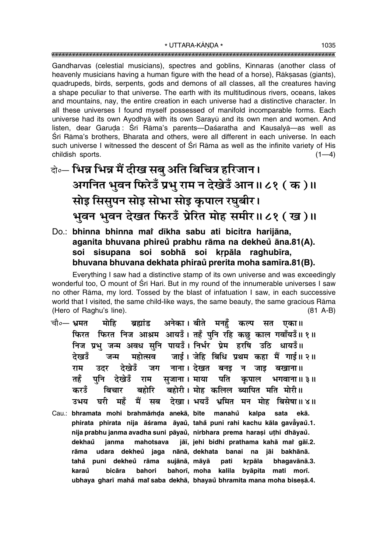Gandharvas (celestial musicians), spectres and goblins, Kinnaras (another class of heavenly musicians having a human figure with the head of a horse), Rāksasas (giants), quadrupeds, birds, serpents, gods and demons of all classes, all the creatures having a shape peculiar to that universe. The earth with its multitudinous rivers, oceans, lakes and mountains, nay, the entire creation in each universe had a distinctive character. In all these universes I found myself possessed of manifold incomparable forms. Each universe had its own Ayodhyā with its own Sarayū and its own men and women. And listen, dear Garuda: Śrī Rāma's parents-Daśaratha and Kausalyā-as well as Srī Rāma's brothers, Bharata and others, were all different in each universe. In each such universe I witnessed the descent of Srī Rāma as well as the infinite variety of His childish sports.  $(1-4)$ 

# वे॰- भिन्न भिन्न मैं दीख सबु अति बिचित्र हरिजान। अगनित भुवन फिरेउँ प्रभु राम न देखेउँ आन॥८१ ( क )॥ सोइ सिसुपन सोइ सोभा सोइ कुपाल रघुबीर। भुवन भुवन देखत फिरउँ प्रेरित मोह समीर॥८१ (ख)॥

Do.: bhinna bhinna mai dīkha sabu ati bicitra harijāna, aganita bhuvana phireů prabhu rāma na dekheů āna.81(A). soi sisupana soi sobhā soi krpāla raghubīra, bhuvana bhuvana dekhata phiraŭ prerita moha samīra.81(B).

Everything I saw had a distinctive stamp of its own universe and was exceedingly wonderful too, O mount of Srī Hari. But in my round of the innumerable universes I saw no other Rāma, my lord. Tossed by the blast of infatuation I saw, in each successive world that I visited, the same child-like ways, the same beauty, the same gracious Rāma (Hero of Raghu's line).  $(81 \text{ A-B})$ 

- अनेका। बीते मनहुँ कल्प सत एका॥ चौ०— भ्रमत मोहि बद्यांड फिरत फिरत निज आश्रम आयउँ। तहँ पुनि रहि कछु काल गवाँयउँ॥१॥ निज प्रभु जन्म अवध सुनि पायउँ। निर्भर प्रेम हरषि उठि धायउँ॥ जाई। जेहि बिधि प्रथम कहा मैं गाई॥२॥ देखउँ जन्म महोत्सव उदर देखेउँ जग नाना। देखत बनड़ न जाड़ बखाना॥ राम तहँ पनि देखेउँ सजाना। माया पति कपाल राम भगवाना॥ ३॥ बहोरी। मोह कलिल ब्यापित मति मोरी॥ करउँ बिचार बहोरि मैं सब देखा। भयउँ भ्रमित मन मोह बिसेषा॥४॥ उभय घरी महँ
- Cau.: bhramata mohi brahmāmda anekā, bīte manahů kalpa sata ekā. phirata phirata nija āśrama āyaů, tahå puni rahi kachu kāla gavāyaů.1. nija prabhu janma avadha suni pāyaů, nirbhara prema harași uțhi dhāyaů. jāī, jehi bidhi prathama kahā mař gāī.2. dekhaů janma mahotsava rāma udara dekheŭ jaga nānā, dekhata banai na jāi bakhānā. tahå puni dekheů rāma sujānā, māyā pati krpāla bhagavānā.3. bahorī, moha kalila byāpita mati morī. karaů bicāra bahori ubhaya gharī mahă mai saba dekhā, bhayaŭ bhramita mana moha bisesā.4.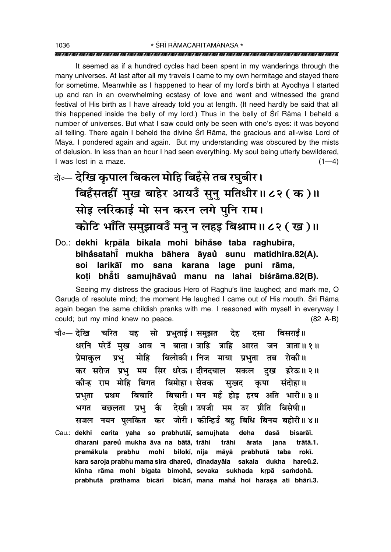It seemed as if a hundred cycles had been spent in my wanderings through the many universes. At last after all my travels I came to my own hermitage and stayed there for sometime. Meanwhile as I happened to hear of my lord's birth at Ayodhya I started up and ran in an overwhelming ecstasy of love and went and witnessed the grand festival of His birth as I have already told you at length. (It need hardly be said that all this happened inside the belly of my lord.) Thus in the belly of Sri Rama I beheld a number of universes. But what I saw could only be seen with one's eyes: it was beyond all telling. There again I beheld the divine Srī Rāma, the gracious and all-wise Lord of Māyā. I pondered again and again. But my understanding was obscured by the mists of delusion. In less than an hour I had seen everything. My soul being utterly bewildered, I was lost in a maze.  $(1-4)$ 

# के— देखि कृपाल बिकल मोहि बिहँसे तब रघुबीर। बिहँसतहीं मुख बाहेर आयउँ सुनु मतिधीर॥८२ (क)॥ सोइ लरिकाई मो सन करन लगे पुनि राम। कोटि भाँति समुझावउँ मन् न लहड़ बिश्राम॥८२ (ख)॥

Do.: dekhi krpāla bikala mohi bihåse taba raghubīra, bihåsatahi mukha bāhera āvaŭ sunu matidhīra.82(A). soi larikāī mo sana karana lage puni rāma, koti bhāti samujhāvaŭ manu na lahai biśrāma.82(B).

Seeing my distress the gracious Hero of Raghu's line laughed; and mark me, O Garuda of resolute mind; the moment He laughed I came out of His mouth. Sri Rama again began the same childish pranks with me. I reasoned with myself in everyway I could; but my mind knew no peace.  $(82 A-B)$ 

- चौ०— देखि चरित यह सो प्रभताई । समझत बिसराई।। देह दसा धरनि परेउँ मख आव न बाता। त्राहि त्राहि आरत जन त्राता॥१॥ मोहि ्बिलोकी। निज**ंमाया प्रभता तब रोकी**॥ प्रेमाकल प्रभ कर सरोज प्रभु मम सिर धरेऊ। दीनदयाल सकल दुख हरेऊ॥२॥ कीन्ह राम मोहि बिगत बिमोहा।सेवक सुखद कृपा संदोहा॥ बिचारी। मन महँ होड़ हरष अति भारी॥३॥ बिचारि प्रभुता प्रथम प्रभ कै देखी। उपजी मम उर प्रीति बिसेषी॥ भगत बछलता सजल नयन पुलकित कर जोरी। कीन्हिउँ बहु बिधि बिनय बहोरी॥४॥
- Cau.: dekhi carita yaha so prabhutāi, samujhata deha bisarāī. dasā dharani pareů mukha āva na bātā, trāhi trāhi ārata jana trātā.1. premākula prabhu mohi bilokī, nija māyā prabhutā taba rokī. kara saroja prabhu mama sira dhareū, dīnadayāla sakala dukha hareū.2. kīnha rāma mohi bigata bimohā, sevaka sukhada krpā samdohā. prabhutā prathama bicāri bicārī, mana mahă hoi harașa ati bhārī.3.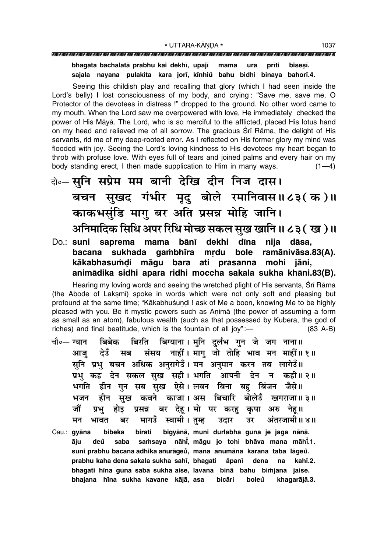### 

#### bhagata bachalatā prabhu kai dekhī, upajī mama ura prīti bisesī. sajala nayana pulakita kara jorī, kīnhiu bahu bidhi binaya bahorī.4.

Seeing this childish play and recalling that glory (which I had seen inside the Lord's belly) I lost consciousness of my body, and crying: "Save me, save me, O Protector of the devotees in distress!" dropped to the ground. No other word came to my mouth. When the Lord saw me overpowered with love, He immediately checked the power of His Māyā. The Lord, who is so merciful to the afflicted, placed His lotus hand on my head and relieved me of all sorrow. The gracious Srī Rāma, the delight of His servants, rid me of my deep-rooted error. As I reflected on His former glory my mind was flooded with joy. Seeing the Lord's loving kindness to His devotees my heart began to throb with profuse love. With eyes full of tears and joined palms and every hair on my body standing erect, I then made supplication to Him in many ways.  $(1-4)$ 

## वे०-सूनि सप्रेम मम बानी देखि दीन निज दास। बचन सुखद गंभीर मृदु बोले रमानिवास॥८३(क)॥ काकभसुंडि मागु बर अति प्रसन्न मोहि जानि। अनिमादिक सिधि अपर रिधि मोच्छ सकल सुख खानि ॥ ८३( ख )॥

Do.: suni saprema mama bānī dekhi dīna nija dāsa, bacana sukhada gambhīra mrdu bole ramānivāsa.83(A). kākabhasumdi māgu bara ati prasanna mohi jāni, animādika sidhi apara ridhi moccha sakala sukha khāni.83(B).

Hearing my loving words and seeing the wretched plight of His servants, Srī Rāma (the Abode of Laksmi) spoke in words which were not only soft and pleasing but profound at the same time; "Kākabhuśundi! ask of Me a boon, knowing Me to be highly pleased with you. Be it mystic powers such as Anima (the power of assuming a form as small as an atom), fabulous wealth (such as that possessed by Kubera, the god of riches) and final beatitude, which is the fountain of all joy":- $(83 A-B)$ 

बिग्याना। मुनि दुर्लभ गुन जे जग नाना॥ चौ०— ग्यान बिबेक बिरति संसय नाहीं। मांगु जो तोहि भाव मन माहीं॥१॥ देउँ सब आज सुनि प्रभु बचन अधिक अनुरागेउँ। मन अनुमान करन तब लागेउँ॥ प्रभु कह देन सकल सुख सही। भगति आपनी देन न कही॥२॥ भगति हीन गुन सब सुख ऐसे।लवन बिना बह बिंजन जैसे॥ हीन सुख कवने काजा। अस बिचारि बोलेउँ खगराजा॥३॥ भजन होड़ प्रसन्न बर देहू। मो पर करहु कृपा अरु नेहू॥ जौं प्रभ् मागउँ स्वामी। तुम्ह उदार उर अंतरजामी॥ ४॥ मन भावत बर Cau.: qvāna bibeka birati bigyānā, muni durlabha guna je jaga nānā. samsaya nāhi, māgu jo tohi bhāva mana māhi.1. āju deů saba suni prabhu bacana adhika anurāgeů, mana anumāna karana taba lāgeů. prabhu kaha dena sakala sukha sahī, bhagati āpanī dena kahī.2. na bhagati hīna guna saba sukha aise, lavana binā bahu bimjana jaise.

bicāri

boleů

khagarājā.3.

bhajana hīna sukha kavane kājā, asa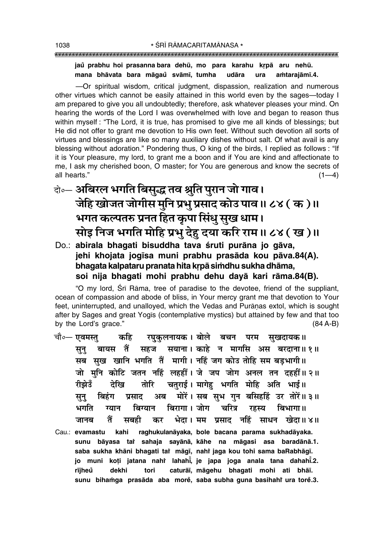### jaů prabhu hoi prasanna bara dehū, mo para karahu krpā aru nehū. mana bhāvata bara māgau svāmī, tumha udāra ura amtarajāmī.4.

- Or spiritual wisdom, critical judgment, dispassion, realization and numerous other virtues which cannot be easily attained in this world even by the sages-today I am prepared to give you all undoubtedly; therefore, ask whatever pleases your mind. On hearing the words of the Lord I was overwhelmed with love and began to reason thus within myself: "The Lord, it is true, has promised to give me all kinds of blessings; but He did not offer to grant me devotion to His own feet. Without such devotion all sorts of virtues and blessings are like so many auxiliary dishes without salt. Of what avail is any blessing without adoration." Pondering thus, O king of the birds, I replied as follows: "If it is Your pleasure, my lord, to grant me a boon and if You are kind and affectionate to me, I ask my cherished boon, O master; for You are generous and know the secrets of all hearts."  $(1-4)$ 

- केन्ट अबिरल भगति बिसुद्ध तव श्रुति पुरान जो गाव। जेहि खोजत जोगीस मुनि प्रभु प्रसाद कोउ पाव ॥ ८४ ( क )॥ भगत कल्पतरु प्रनत हित कृपा सिंधु सुख धाम। सोइ निज भगति मोहि प्रभु देहु दया करि राम॥ ८४ ( ख )॥
- Do.: abirala bhagati bisuddha tava śruti purāna jo gāva, jehi khojata jogīsa muni prabhu prasāda kou pāva.84(A). bhagata kalpataru pranata hita krpā simdhu sukha dhāma, soi nija bhagati mohi prabhu dehu dayā kari rāma.84(B).

"O my lord, Srī Rāma, tree of paradise to the devotee, friend of the suppliant, ocean of compassion and abode of bliss, in Your mercy grant me that devotion to Your feet, uninterrupted, and unalloyed, which the Vedas and Purānas extol, which is sought after by Sages and great Yogis (contemplative mystics) but attained by few and that too by the Lord's grace."  $(84 A-B)$ 

- रघुकुलनायक। बोले बचन परम सुखदायक॥ चौ०— **एवमस्त्** कहि बायस तैं सहज सयाना। काहे न मागसि अस बरदाना॥१॥ सून् सब सुख खानि भगति तैं मागी। नहिं जग कोउ तोहि सम बड़भागी।। जो मनि कोटि जतन नहिं लहहीं। जे जप जोग अनल तन दहहीं॥२॥ चतुराई। मागेहु भगति मोहि अति भाई॥ रीझेउँ देखि तोरि मोरें। सब सुभ गुन बसिहहिं उर तोरें॥ ३॥ बिहंग प्रसाद अब सन बिरागा। जोग चरित्र रहस्य बिभागा।। भगति ग्यान बिग्यान तैं भेदा। मम प्रसाद नहिं साधन खेदा॥४॥ सबही कर जानब kahi raghukulanāyaka, bole bacana parama sukhadāyaka. Cau.: evamastu sunu bāyasa tai sahaja sayānā, kāhe na māgasi asa baradānā.1. saba sukha khāni bhagati tar māgī, nahi jaga kou tohi sama baRabhāgī.
	- jo muni koti jatana nahi lahahi, je japa joga anala tana dahahi.2. caturāī, māgehu bhagati mohi ati bhāī. rījheů dekhi tori sunu bihamga prasāda aba more, saba subha guna basihahi ura tore.3.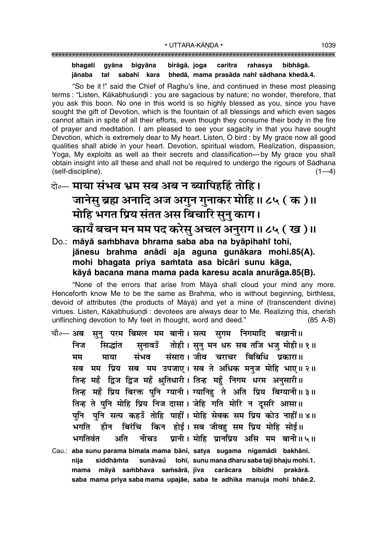#### bhagati gyāna bigyāna birāgā, joga caritra rahasya bibhāgā. jānaba tat sabahī kara bhedā, mama prasāda nahi sādhana khedā.4.

"So be it!" said the Chief of Raghu's line, and continued in these most pleasing terms : "Listen, Kākabhuśundi : you are sagacious by nature; no wonder, therefore, that you ask this boon. No one in this world is so highly blessed as you, since you have sought the gift of Devotion, which is the fountain of all blessings and which even sages cannot attain in spite of all their efforts, even though they consume their body in the fire of prayer and meditation. I am pleased to see your sagacity in that you have sought Devotion, which is extremely dear to My heart. Listen, O bird : by My grace now all good qualities shall abide in your heart. Devotion, spiritual wisdom, Realization, dispassion, Yoga, My exploits as well as their secrets and classification-by My grace you shall obtain insight into all these and shall not be required to undergo the rigours of Sādhana (self-discipline).  $(1-4)$ 

## केन्- माया संभव भ्रम सब अब न ब्यापिहहिं तोहि। जानेसु ब्रह्म अनादि अज अगुन गुनाकर मोहि ॥ ८५ ( क )॥ मोहि भगत प्रिय संतत अस बिचारि सुनु काग। कायँ बचन मन मम पद करेसु अचल अनुराग॥ ८५ ( ख )॥

Do.: māyā sambhava bhrama saba aba na byāpihahi tohi, jānesu brahma anādi aja aguna gunākara mohi.85(A). mohi bhagata priya samtata asa bicāri sunu kāga, kāyå bacana mana mama pada karesu acala anurāga.85(B).

"None of the errors that arise from Māyā shall cloud your mind any more. Henceforth know Me to be the same as Brahma, who is without beginning, birthless, devoid of attributes (the products of Māyā) and yet a mine of (transcendent divine) virtues. Listen, Kākabhuśundi: devotees are always dear to Me. Realizing this, cherish unflinching devotion to My feet in thought, word and deed."  $(85 \text{ A-B})$ 

सून् परम बिमल मम बानी। सत्य सुगम निगमादि बखानी॥ चौ०— अब सुनावडँ तोही। सुनु मन धरु सब तजि भजु मोही॥ १॥ निज सिद्धांत संभव संसारा। जीव चराचर बिबिधि प्रकारा॥ मम माया सब मम प्रिय सब मम उपजाए। सब ते अधिक मनुज मोहि भाए॥ २॥ तिन्ह महँ द्विज द्विज महँ श्रुतिधारी। तिन्ह महुँ निगम धरम अनुसारी॥ तिन्ह महँ प्रिय बिरक्त पुनि ग्यानी। ग्यानिहु ते अति प्रिय बिग्यानी॥३॥ तिन्ह ते पनि मोहि प्रिय निज दासा। जेहि गति मोरि न दूसरि आसा॥ पनि पनि सत्य कहउँ तोहि पाहीँ। मोहि सेवक सम प्रिय कोउ नाहीँ॥४॥ बिरंचि किन होई। सब जीवह सम प्रिय मोहि सोई॥ भगति हीन प्रानी। मोहि प्रानप्रिय असि मम बानी॥५॥ भगतिवंत अति नीचउ Cau.: aba sunu parama bimala mama bānī, satya sugama nigamādi bakhānī. siddhāmta sunāvaŭ tohī, sunu mana dharu saba taji bhaju mohī.1. niia mama māyā sambhava samsārā, jīva carācara bibidhi prakārā. saba mama priya saba mama upajāe, saba te adhika manuja mohi bhāe.2.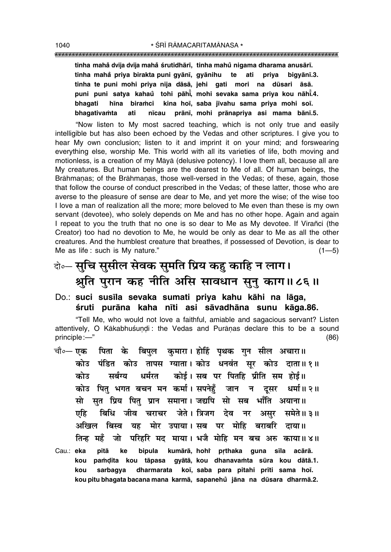### """""""""""""""""""""""""""""""""""""""""""""""""""""""""""""""""""""""""""""""""""

**tinha maha° dvija dvija maha° ‹rutidhår∂, tinha mahu° nigama dharama anusår∂. tinha maha° priya birakta puni gyån∂, gyånihu te ati priya bigyån∂.3. tinha te puni mohi priya nija dåså, jehi gati mori na dµusari åså. puni puni satya kahau° tohi påh∂° , mohi sevaka sama priya kou nåh∂° .4.** bhagati hīna biramci kina hoī, saba jīvahu sama priya mohi soī. **bhagativa≈ta ati n∂cau prån∂, mohi prånapriya asi mama bån∂.5.**

"Now listen to My most sacred teaching, which is not only true and easily intelligible but has also been echoed by the Vedas and other scriptures. I give you to hear My own conclusion; listen to it and imprint it on your mind; and forswearing everything else, worship Me. This world with all its varieties of life, both moving and motionless, is a creation of my Måyå (delusive potency). I love them all, because all are My creatures. But human beings are the dearest to Me of all. Of human beings, the Brāhmanas; of the Brāhmanas, those well-versed in the Vedas; of these, again, those that follow the course of conduct prescribed in the Vedas; of these latter, those who are averse to the pleasure of sense are dear to Me, and yet more the wise; of the wise too I love a man of realization all the more; more beloved to Me even than these is my own servant (devotee), who solely depends on Me and has no other hope. Again and again I repeat to you the truth that no one is so dear to Me as My devotee. If Virañci (the Creator) too had no devotion to Me, he would be only as dear to Me as all the other creatures. And the humblest creature that breathes, if possessed of Devotion, is dear to Me as life : such is My nature."  $(1-5)$ 

दो**०– सुचि सुसील सेवक सुमति प्रिय कहु काहि न लाग।** <u>श्रु</u>ति पुरान कह नीति असि सावधान सुनु काग॥८६॥

### Do.: **suci sus∂la sevaka sumati priya kahu kåhi na låga, ‹ruti puråna kaha n∂ti asi såvadhåna sunu kåga.86.**

ìTell Me, who would not love a faithful, amiable and sagacious servant? Listen attentively, O Kākabhusundi: the Vedas and Purānas declare this to be a sound  $principle:$  (86)

- चौ०— **एक पिता के बिपुल कुमारा । होहिं पृथक गुन सील अचारा ॥** े कोउ पंडित कोउ तापस ग्याता। कोउ धनवंत सर कोउ दाता॥१॥ <u>कोउ सर्बग्य धर्मरत कोई।सब पर पितहि प्रीति सम होई॥</u> **कोउ पितु भगत बचन मन कर्मा। सपनेहँ जान न दुसर धर्मा॥२॥** सो सत प्रिय पित प्रान समाना। जद्यपि सो सब भाँति अयाना॥ एहि बिधि जीव चराचर जेते।**त्रिजग देव नर असर समेते॥३॥** <u>अखिल बिस्व यह मोर उपाया।सब पर मोहि बराबरि दाया॥</u> **ÁÃã"U ◊"°U ¡Ù ¬Á⁄U"UÁ⁄U ◊Œ ◊ÊÿÊ– ÷¡Ò ◊ÙÁ"U ◊Ÿ 'ø •L§ ∑§ÊÿÊH 4H** Cau.: **eka pitå ke bipula kumårå, hohiÚ pæthaka guna s∂la acårå.**
- kou pamdita kou tāpasa gyātā, kou dhanavamta sūra kou dātā.1. kou sarbagya dharmarata koī, saba para pitahi prīti sama hoī. **kou pitu bhagata bacana mana karmå, sapanehu° jåna na dµusara dharmå.2.**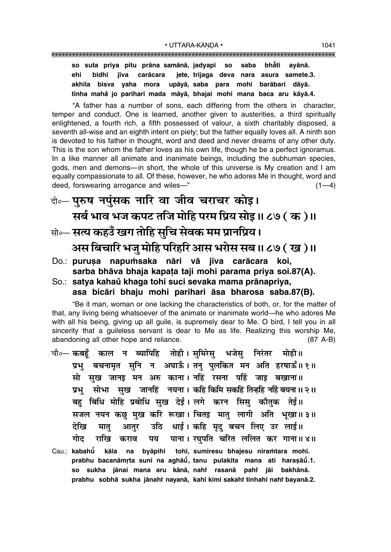### 

bhẵti so suta priya pitu prāna samānā, jadyapi so saba ayānā. jete, trijaga deva nara asura samete.3. ehi bidhi jīva carācara akhila bisva vaha mora upāvā saba para mohi barābari dāvā. tinha mahă jo parihari mada māyā, bhajai mohi mana baca aru kāyā.4.

"A father has a number of sons, each differing from the others in character, temper and conduct. One is learned, another given to austerities, a third spiritually enlightened, a fourth rich, a fifth possessed of valour, a sixth charitably disposed, a seventh all-wise and an eighth intent on piety; but the father equally loves all. A ninth son is devoted to his father in thought, word and deed and never dreams of any other duty. This is the son whom the father loves as his own life, though he be a perfect ignoramus. In a like manner all animate and inanimate beings, including the subhuman species, gods, men and demons—in short, the whole of this universe is My creation and I am equally compassionate to all. Of these, however, he who adores Me in thought, word and deed, forswearing arrogance and wiles-"  $(1-4)$ 

# वे⊶ पुरुष नपुंसक नारि वा जीव चराचर कोइ। सर्ब भाव भज कपट तजि मोहि परम प्रिय सोइ॥ ८७ ( क )॥ सो॰— सत्य कहउँ खग तोहि सुचि सेवक मम प्रानप्रिय।

अस बिचारि भजु मोहि परिहरि आस भरोस सब ॥ ८७ ( ख )॥

- Do.: purusa napumsaka nāri vā jīva carācara koi, sarba bhāva bhaja kapata taji mohi parama priya soi.87(A).
- So.: satya kahaŭ khaga tohi suci sevaka mama prānapriya, asa bicāri bhaju mohi parihari āsa bharosa saba.87(B).

"Be it man, woman or one lacking the characteristics of both, or, for the matter of that, any living being whatsoever of the animate or inanimate world—he who adores Me with all his being, giving up all guile, is supremely dear to Me. O bird, I tell you in all sincerity that a quileless servant is dear to Me as life. Realizing this worship Me, abandoning all other hope and reliance.  $(87 A-B)$ 

- चौ०— कबहँ काल न ब्यापिहि तोही।समिरेस भजेस निरंतर मोही॥ प्रभु बचनामृत सुनि न अघाऊँ। तन् पुलकित मन अति हरषाऊँ॥१॥ सो सुख जानइ मन अरु काना। नहिं रसना पहिं जाइ बखाना॥ प्रभु सोभा सुख जानहिं नयना। कहि किमि सकहिं तिन्हहि नहिं बयना॥२॥ बह बिधि मोहि प्रबोधि सख देई। लगे करन सिस कौतक तेई॥ सजल नयन कछ मख करि रूखा। चितड़ मातु लागी अति भुखा॥३॥ उठि धाई। कहि मृद् बचन लिए उर लाई॥ देखि आतुर मात पय पाना। रघुपति चरित ललित कर गाना॥४॥ गोट राखि कराव Cau.: kabahū kāla na byāpihi tohī, sumiresu bhajesu niramtara mohī.
- prabhu bacanāmṛta suni na aghāū, tanu pulakita mana ati haraṣāū̃.1. so sukha jānai mana aru kānā, nahi rasanā pahi jāi bakhānā. prabhu sobhā sukha jānahi nayanā, kahi kimi sakahi tinhahi nahi bayanā.2.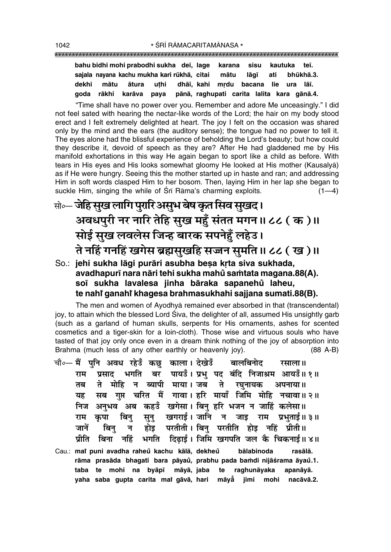"Time shall have no power over you. Remember and adore Me unceasingly." I did not feel sated with hearing the nectar-like words of the Lord: the hair on my body stood erect and I felt extremely delighted at heart. The joy I felt on the occasion was shared only by the mind and the ears (the auditory sense); the tongue had no power to tell it. The eves alone had the blissful experience of beholding the Lord's beauty; but how could they describe it, devoid of speech as they are? After He had gladdened me by His manifold exhortations in this way He again began to sport like a child as before. With tears in His eyes and His looks somewhat gloomy He looked at His mother (Kausalya) as if He were hungry. Seeing this the mother started up in haste and ran; and addressing Him in soft words clasped Him to her bosom. Then, laying Him in her lap she began to suckle Him, singing the while of Sri Rama's charming exploits.  $(1-4)$ 

- सो०- जेहि सुख लागि पुरारि असुभ बेष कृत सिव सुखद। अवधपुरी नर नारि तेहि सुख महुँ संतत मगन॥८८ ( क )॥ सोई सुख लवलेस जिन्ह बारक सपनेहुँ लहेउ। ते नहिं गनहिं खगेस ब्रह्मसुखहि सज्जन सुमति ॥ ८८ (ख)॥
- So.: jehi sukha lāgi purāri asubha besa krta siva sukhada, avadhapurī nara nāri tehi sukha mahů samtata magana.88(A). soī sukha lavalesa jinha bāraka sapanehů laheu, te nahi ganahi khagesa brahmasukhahi sajjana sumati.88(B).

The men and women of Ayodhyā remained ever absorbed in that (transcendental) joy, to attain which the blessed Lord Siva, the delighter of all, assumed His unsightly garb (such as a garland of human skulls, serpents for His ornaments, ashes for scented cosmetics and a tiger-skin for a loin-cloth). Those wise and virtuous souls who have tasted of that joy only once even in a dream think nothing of the joy of absorption into Brahma (much less of any other earthly or heavenly joy).  $(88 A-B)$ 

|        |     |      | चौ∘— मैं  पुनि  अवध  रहेउँ  कछु   काला । देखेउँ      बालबिनोद        |  |  | रसाला॥  |  |
|--------|-----|------|----------------------------------------------------------------------|--|--|---------|--|
| राम    |     |      | प्रसाद भगति बर पायउँ।प्रभु पद बंदि निजाश्रम आयउँ॥१॥                  |  |  |         |  |
| तब     |     |      | ते मोहि न ब्यापी माया।जब ते रघुनायक अपनाया॥                          |  |  |         |  |
| यह     |     |      | सब गुप्त चरित मैं गावा। हरि मायाँ जिमि मोहि नचावा॥ २॥                |  |  |         |  |
| निज    |     |      | अनुभव अब कहउँ खगेसा। बिनु हरि भजन न जाहिँ कलेसा॥                     |  |  |         |  |
| राम    | कपा | बिन् | सुनु खगराई। जानि न जाइ राम प्रभुताई॥३॥                               |  |  |         |  |
| जानें  |     |      | बिनु न होड़ परतीती। बिनु परतीति होड़ नहिं प्रीती॥                    |  |  |         |  |
| प्रीति |     |      | बिना नहिं भगति दिढ़ाई। जिमि खगपति जल कै चिकनाई॥४॥                    |  |  |         |  |
|        |     |      | Cau.: mai puni avadha raheů kachu kālā, dekheů bālabinoda            |  |  | rasālā. |  |
|        |     |      | rāma prasāda bhagati bara pāyaů, prabhu pada bamdi nijāśrama āyaů.1. |  |  |         |  |
|        |     |      | taba te mohi na byāpī māyā, jaba te raghunāyaka apanāyā.             |  |  |         |  |
|        |     |      | yaha saba gupta carita mai gāvā, hari māyā jimi mohi nacāvā.2.       |  |  |         |  |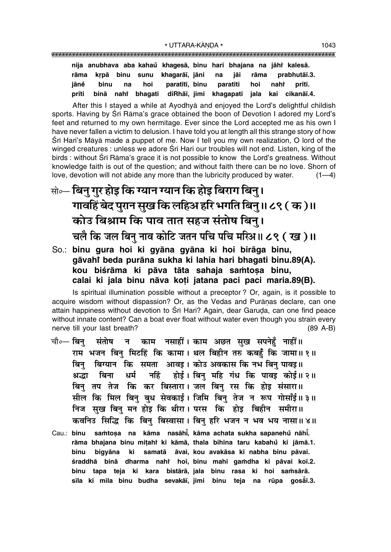|  |  | nija anubhava aba kahaŭ khagesā, binu hari bhajana na jāhi kalesā. |  |  |  |
|--|--|--------------------------------------------------------------------|--|--|--|
|  |  | rāma krpā binu sunu khagarāī, jāni na jāi rāma prabhutāī.3.        |  |  |  |
|  |  | jāně binu na hoi paratītī, binu paratīti hoi nahr prītī.           |  |  |  |
|  |  | prīti binā nahi bhagati diRhāī, jimi khagapati jala kai cikanāī.4. |  |  |  |

After this I stayed a while at Ayodhya and enjoyed the Lord's delightful childish sports. Having by Sri Rama's grace obtained the boon of Devotion I adored my Lord's feet and returned to my own hermitage. Ever since the Lord accepted me as his own I have never fallen a victim to delusion. I have told you at length all this strange story of how Śrī Hari's Māyā made a puppet of me. Now I tell you my own realization, O lord of the winged creatures : unless we adore Srī Hari our troubles will not end. Listen, king of the birds: without Srī Rāma's grace it is not possible to know the Lord's greatness. Without knowledge faith is out of the question; and without faith there can be no love. Shorn of love, devotion will not abide any more than the lubricity produced by water.  $(1-4)$ 

सो॰— बिनु गुर होइ कि ग्यान ग्यान कि होइ बिराग बिनु। गावहिं बेद पुरान सुख कि लहिअ हरि भगति बिनु॥ ८९ ( क )॥ कोउ बिश्राम कि पाव तात सहज संतोष बिनु। चलै कि जल बिन् नाव कोटि जतन पचि पचि मरिअ॥ ८९ (ख)॥

So.: binu gura hoi ki gyāna gyāna ki hoi birāga binu, gāvahi beda purāna sukha ki lahia hari bhagati binu.89(A). kou biśrāma ki pāva tāta sahaja samtosa binu, calai ki jala binu nāva koti jatana paci paci maria.89(B).

Is spiritual illumination possible without a preceptor? Or, again, is it possible to acquire wisdom without dispassion? Or, as the Vedas and Purānas declare, can one attain happiness without devotion to Srī Hari? Again, dear Garuda, can one find peace without innate content? Can a boat ever float without water even though you strain every nerve till your last breath?  $(89 A-B)$ 

- काम नसाहीं। काम अछत सुख सपनेहँ नाहीं॥ संतोष चौ∘— बिन् न राम भजन बिन् मिटहिं कि कामा। थल बिहीन तरु कबहँ कि जामा॥१॥ बिनु बिग्यान कि समता आवइ। कोउ अवकास कि नभ बिनु पावइ॥ धर्म नहिं होई। बिनु महि गंध कि पावड़ कोई॥ २॥ श्रद्धा बिना बिन् तप तेज कि कर बिस्तारा। जल बिन् रस कि होड़ संसारा॥ सील कि मिल बिनु बुध सेवकाई। जिमि बिनु तेज न रूप गोसाँई॥३॥ निज सख बिन मन होड़ कि थीरा। परस कि होड़ बिहीन समीरा॥ कवनिउ सिद्धि कि बिनु बिस्वासा। बिनु हरि भजन न भव भय नासा॥४॥
- Cau.: binu samtosa na kāma nasāhi, kāma achata sukha sapanehu nāhi. rāma bhajana binu miṭahi ki kāmā, thala bihīna taru kabahů ki jāmā.1. samatā āvai, kou avakāsa ki nabha binu pāvai. binu bigyāna ki śraddhā binā dharma nahr hoī, binu mahi gamdha ki pāvai koī.2. binu tapa teja ki kara bistārā, jala binu rasa ki hoi samsārā. sīla ki mila binu budha sevakāī, jimi binu teja na rūpa gosāī.3.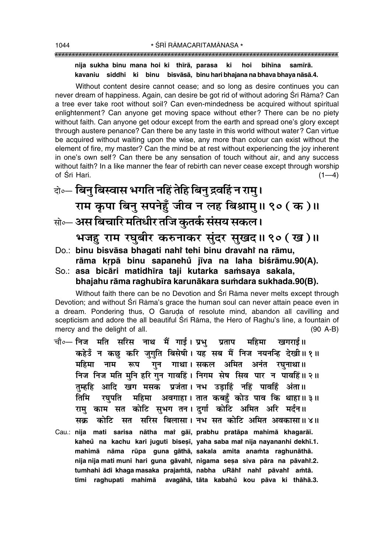#### nija sukha binu mana hoi ki thīrā, parasa ki hoi bihīna samīrā. kavaniu siddhi ki binu bisvāsā, binu hari bhajana na bhava bhava nāsā.4.

Without content desire cannot cease; and so long as desire continues you can never dream of happiness. Again, can desire be got rid of without adoring Srī Rāma? Can a tree ever take root without soil? Can even-mindedness be acquired without spiritual enlightenment? Can anyone get moving space without ether? There can be no piety without faith. Can anyone get odour except from the earth and spread one's glory except through austere penance? Can there be any taste in this world without water? Can virtue be acquired without waiting upon the wise, any more than colour can exist without the element of fire, my master? Can the mind be at rest without experiencing the joy inherent in one's own self? Can there be any sensation of touch without air, and any success without faith? In a like manner the fear of rebirth can never cease except through worship of Śrī Hari.  $(1-4)$ 

केन्- बिनु बिस्वास भगति नहिं तेहि बिनु द्रवहिं न रामु। राम कृपा बिनु सपनेहुँ जीव न लह बिश्रामु॥ ९० ( क )॥ सो०- अस बिचारि मतिधीर तजि कुतर्क संसय सकल।

भजह राम रघुबीर करुनाकर सुंदर सुखद॥ ९० (ख)॥

- Do.: binu bisvāsa bhagati nahi tehi binu dravahi na rāmu, rāma krpā binu sapanehů jīva na laha biśrāmu.90(A).
- So.: asa bicāri matidhīra taji kutarka samsaya sakala, bhajahu rāma raghubīra karunākara sumdara sukhada.90(B).

Without faith there can be no Devotion and Srī Rāma never melts except through Devotion; and without Sri Rama's grace the human soul can never attain peace even in a dream. Pondering thus, O Garuda of resolute mind, abandon all cavilling and scepticism and adore the all beautiful Sri Rama, the Hero of Raghu's line, a fountain of mercy and the delight of all.  $(90 A-B)$ 

- चौ०— निज मति सरिस नाथ मैं गाई। प्रभु प्रताप महिमा खगराई॥ कहेउँ न कछु करि जुगुति बिसेषी। यह सब मैं निज नयनन्हि देखी॥१॥ महिमा नाम रूप गुन गाथा।सकल अमित अनंत रघुनाथा॥ निज निज मति मुनि हरि गुन गावहिं। निगम सेष सिव पार न पावहिं॥२॥ तम्हहि आदि खग मसक प्रजंता। नभ उडाहिं नहिं पावहिं अंता॥ रघुपति महिमा अवगाहा। तात कबहुँ कोउ पाव कि थाहा॥३॥ तिमि रामु काम सत कोटि सुभग तन। दुर्गा कोटि अमित अरि मर्दन॥ सक्र कोटि सत सरिस बिलासा। नभ सत कोटि अमित अवकासा॥४॥
- Cau.: nija mati sarisa nātha mai gāi, prabhu pratāpa mahimā khagarāi. kaheů na kachu kari juguti biseși, yaha saba mai nija nayananhi dekhī.1. mahimā nāma rūpa guna gāthā, sakala amita anamta raghunāthā. nija nija mati muni hari guna gāvahi, nigama sesa siva pāra na pāvahi.2. tumhahi ādi khaga masaka prajamtā, nabha uRāhi nahi pāvahi amtā. timi raghupati mahimā avagāhā, tāta kabahů kou pāva ki thāhā.3.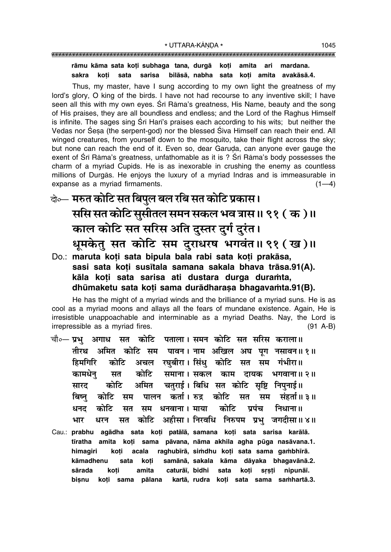### rāmu kāma sata koti subhaga tana, durgā koti amita ari mardana. bilāsā, nabha sata koti amita avakāsā.4. sata sarisa sakra koti

Thus, my master, have I sung according to my own light the greatness of my lord's glory, O king of the birds. I have not had recourse to any inventive skill; I have seen all this with my own eyes. Srī Rāma's greatness, His Name, beauty and the song of His praises, they are all boundless and endless; and the Lord of the Raghus Himself is infinite. The sages sing Srī Harī's praises each according to his wits; but neither the Vedas nor Sesa (the serpent-god) nor the blessed Siva Himself can reach their end. All winged creatures, from yourself down to the mosquito, take their flight across the sky: but none can reach the end of it. Even so, dear Garuda, can anyone ever gauge the exent of Sri Rama's greatness, unfathomable as it is ? Sri Rama's body possesses the charm of a myriad Cupids. He is as inexorable in crushing the enemy as countless millions of Durgās. He enjoys the luxury of a myriad Indras and is immeasurable in expanse as a myriad firmaments.  $(1-4)$ 

## वेब्न मरुत कोटि सत बिपुल बल रबि सत कोटि प्रकास। ससि सत कोटि सुसीतल समन सकल भव त्रास ॥ ९१ ( क )॥ काल कोटि सत सरिस अति दुस्तर दुर्ग दुरंत। धूमकेतु सत कोटि सम दुराधरष भगवंत॥ ९१ ( ख)॥

Do.: maruta koți sata bipula bala rabi sata koți prakāsa, sasi sata koți susītala samana sakala bhava trāsa.91(A). kāla koți sata sarisa ati dustara durga duramta, dhūmaketu sata koti sama durādharasa bhaqavamta.91(B).

He has the might of a myriad winds and the brilliance of a myriad suns. He is as cool as a myriad moons and allays all the fears of mundane existence. Again, He is irresistible unappoachable and interminable as a myriad Deaths. Nay, the Lord is irrepressible as a myriad fires.  $(91 A-B)$ 

- चौ०— प्रभु अगाध सत कोटि पताला। समन कोटि सत सरिस कराला॥ तीरथ अमित कोटि सम पावन। नाम अखिल अघ पूग नसावन॥१॥ अचल रघबीरा। सिंध कोटि सत सम गंभीरा॥ हिमगिरि कोटि कोटि समाना।सकल काम दायक कामधेन सत भगवाना॥ २॥ चतराई। बिधि सत कोटि सृष्टि निपुनाई॥ कोटि सारद अमित बिष्न कोटि सम पालन कर्ता । रुद्र कोटि सम संहर्ता ॥ ३ ॥ सत सम धनवाना । माया धनट कोटि कोटि प्रपंच निधाना ॥ सत कोटि अहीसा। निरवधि निरुपम प्रभु जगदीसा॥४॥ भार धरन सत
- Cau.: prabhu agādha sata koți patālā, samana koți sata sarisa karālā. tīratha amita koți sama pāvana, nāma akhila agha pūga nasāvana.1. himagiri koti acala raghubīrā, simdhu koți sata sama gambhīrā. kāmadhenu sata koti samānā, sakala kāma dāyaka bhagavānā.2. sārada koti amita caturāī, bidhi sata koți srsti nipunāī. koti sama pālana kartā, rudra koti sata sama samhartā.3. bisnu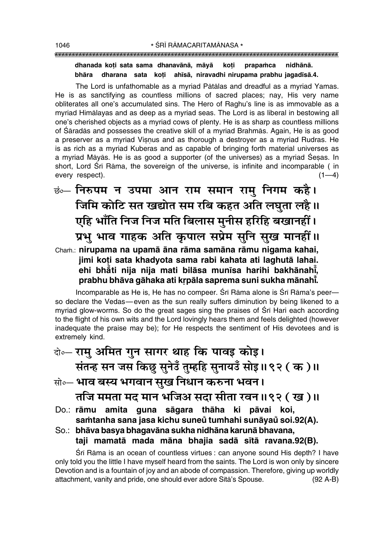#### dhanada koți sata sama dhanavānā, māyā koti prapamca nidhānā. dharana sata koti ahīsā, niravadhi nirupama prabhu jagadīsā.4. bhāra

The Lord is unfathomable as a myriad Pātālas and dreadful as a myriad Yamas. He is as sanctifying as countless millions of sacred places; nay, His very name obliterates all one's accumulated sins. The Hero of Raghu's line is as immovable as a myriad Himalayas and as deep as a myriad seas. The Lord is as liberal in bestowing all one's cherished objects as a myriad cows of plenty. He is as sharp as countless millions of Saradas and possesses the creative skill of a myriad Brahmas. Again, He is as good a preserver as a myriad Visnus and as thorough a destrover as a myriad Rudras. He is as rich as a myriad Kuberas and as capable of bringing forth material universes as a myriad Māyās. He is as good a supporter (of the universes) as a myriad Sesas. In short, Lord Śrī Rāma, the sovereign of the universe, is infinite and incomparable (in every respect).  $(1-4)$ 

<u>छंन् निरुपम न उपमा आन राम समान रामु निगम कहै।</u> जिमि कोटि सत खद्योत सम रबि कहत अति लघुता लहै।। एहि भाँति निज निज मति बिलास मुनीस हरिहि बखानहीं। प्रभु भाव गाहक अति कृपाल सप्रेम सुनि सुख मानहीं॥ Cham.: nirupama na upamā āna rāma samāna rāmu nigama kahai, jimi koti sata khadyota sama rabi kahata ati laghutā lahai. ehi bhăti nija nija mati bilāsa munīsa harihi bakhānahī, prabhu bhāva gāhaka ati krpāla saprema suni sukha mānahī.

Incomparable as He is, He has no compeer. Srī Rāma alone is Srī Rāma's peerso declare the Vedas—even as the sun really suffers diminution by being likened to a myriad glow-worms. So do the great sages sing the praises of Sri Hari each according to the flight of his own wits and the Lord lovingly hears them and feels delighted (however inadequate the praise may be); for He respects the sentiment of His devotees and is extremely kind.

- वे॰ रामु अमित गुन सागर थाह कि पावइ कोइ। संतन्ह सन जस किछ सुनेउँ तुम्हहि सुनायउँ सोइ॥९२ ( क )॥ सो॰– भाव बस्य भगवान सुख निधान करुना भवन।
- तजि ममता मद मान भजिअ सदा सीता रवन॥९२ (ख)॥
- Do.: rāmu amita guna sāgara thāha ki pāvai koi, samtanha sana jasa kichu suneů tumhahi sunāyaů soi.92(A).
- So.: bhāva basya bhagavāna sukha nidhāna karunā bhavana, taji mamatā mada māna bhajia sadā sītā ravana.92(B).

Śrī Rāma is an ocean of countless virtues : can anyone sound His depth? I have only told you the little I have myself heard from the saints. The Lord is won only by sincere Devotion and is a fountain of joy and an abode of compassion. Therefore, giving up worldly attachment, vanity and pride, one should ever adore Sītā's Spouse.  $(92 A-B)$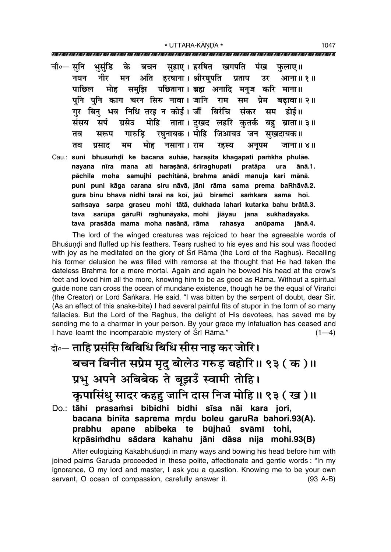\* UTTARA-KĀNDA \* 

- चौ∘— सनि भसंडि के बचन सहाए । हरषित खगपति पंख फलाए।। अति हरषाना। श्रीरघुपति नीर मन प्रताप नयन उर आना ॥ १ ॥ पाछिल समझि पछिताना। ब्रह्म अनादि मनज करि माना॥ मोह पनि पनि काग चरन सिरु नावा। जानि राम सम प्रेम बढावा॥२॥ गर बिन भव निधि तरड न कोई। जौं बिरंचि संकर सम होर्ड ॥ ताता । दखद लहरि कृतर्क बह ग्रसेड मोहि संसय सर्प ब्राता॥ ३॥ रघनायक। मोहि जिआयउ जन सखदायक॥ तव सरूप गारुडि मोह नसाना। राम तव प्रसाद मम रहस्य अनुपम जाना ॥ ४॥ Cau.: suni bhusumdi ke bacana suhāe, harasita khagapati pamkha phulāe. nayana nīra mana ati harasānā, śrīraghupati pratāpa ura ānā.1. pāchila moha samujhi pachitānā, brahma anādi manuja kari mānā.
- puni puni kāga carana siru nāvā, jāni rāma sama prema baRhāvā.2. gura binu bhava nidhi tarai na koi, jau biramci samkara sama hoi. samsaya sarpa graseu mohi tātā, dukhada lahari kutarka bahu brātā.3. sarūpa gāruRi raghunāyaka, mohi jiāyau jana sukhadāyaka. tava tava prasāda mama moha nasānā, rāma rahasya anūpama jānā.4.

The lord of the winged creatures was rejoiced to hear the agreeable words of Bhuśundi and fluffed up his feathers. Tears rushed to his eyes and his soul was flooded with joy as he meditated on the glory of Sri Rama (the Lord of the Raghus). Recalling his former delusion he was filled with remorse at the thought that He had taken the dateless Brahma for a mere mortal. Again and again he bowed his head at the crow's feet and loved him all the more, knowing him to be as good as Rāma. Without a spiritual quide none can cross the ocean of mundane existence, though he be the equal of Virañci (the Creator) or Lord Śankara. He said, "I was bitten by the serpent of doubt, dear Sir. (As an effect of this snake-bite) I had several painful fits of stupor in the form of so many fallacies. But the Lord of the Raghus, the delight of His devotees, has saved me by sending me to a charmer in your person. By your grace my infatuation has ceased and I have learnt the incomparable mystery of Srī Rāma."  $(1-4)$ 

- वे॰- ताहि प्रसंसि बिबिधि बिधि सीस नाइ कर जोरि। बचन बिनीत सप्रेम मृद् बोलेउ गरुड़ बहोरि॥ ९३ ( क )॥ प्रभु अपने अबिबेक ते बूझउँ स्वामी तोहि। कुपासिंधु सादर कहह जानि दास निज मोहि॥ ९३ ( ख )॥
- Do.: tāhi prasamsi bibidhi bidhi sīsa nāi kara jori, bacana binīta saprema mrdu boleu garuRa bahori.93(A). abibeka te būjhaů svāmī tohi, prabhu apane krpāsimdhu sādara kahahu jāni dāsa nija mohi.93(B)

After eulogizing Kākabhuśuņḍi in many ways and bowing his head before him with joined palms Garuda proceeded in these polite, affectionate and gentle words : "In my ignorance, O my lord and master, I ask you a question. Knowing me to be your own servant, O ocean of compassion, carefully answer it.  $(93 A-B)$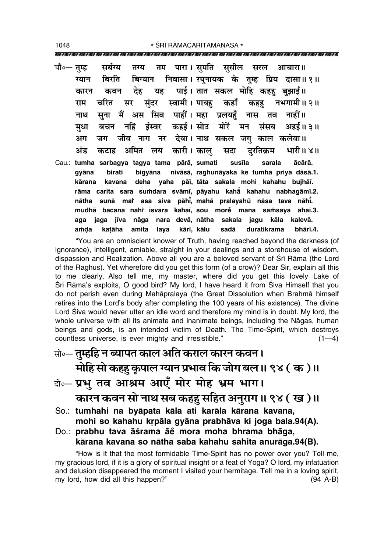\* ŚRĪ RĀMACARITAMĀNASA \* 

- सर्बग्य पारा। समति ससील चौ०— **तुम्ह** तग्य तम सरल आचारा॥ निवासा। रघुनायक के तुम्ह प्रिय दासा॥१॥ ग्यान बिरति बिग्यान पाई। तात सकल मोहि कहह बुझाई॥ देह यह कवन कारन संदर स्वामी। पायह कहाँ चरित सर नभगामी॥ २॥ कहह राम अस सिव पाहीं। महा प्रलयहँ नास तव नाहीं॥ सना मैं नाथ कहई । सोउ मोरें बचन नहिं र्डस्वर मधा मन संसय अहर्ड ॥ ३ ॥ नर देवा । नाथ सकल जगु काल कलेवा ॥ अग जग जीव नाग अंड कारी। काल भारी॥ ४॥ अमित लय सदा दरतिक्रम कटाह Cau.: tumha sarbagya tagya tama pārā, sumati susīla ācārā. sarala birati bigyāna nivāsā, raghunāyaka ke tumha priya dāsā.1. qyāna deha yaha pāī, tāta sakala mohi kahahu bujhāī. kārana kavana rāma carita sara sumdara svāmī, pāyahu kahā kahahu nabhagāmī.2. nātha sunā mai asa siva pāhi, mahā pralayahu nāsa tava nāhi. mudhā bacana nahi īsvara kahaī, sou more mana samsaya ahaī.3. nara devā, nātha sakala jagu kāla aga jaga jīva nāga kalevā.
- amda katāha amita laya kārī, kālu sadā duratikrama bhārī.4. "You are an omniscient knower of Truth, having reached beyond the darkness (of ignorance), intelligent, amiable, straight in your dealings and a storehouse of wisdom, dispassion and Realization. Above all you are a beloved servant of Srī Rāma (the Lord of the Raghus). Yet wherefore did you get this form (of a crow)? Dear Sir, explain all this to me clearly. Also tell me, my master, where did you get this lovely Lake of Śrī Rāma's exploits, O good bird? My lord, I have heard it from Śiva Himself that you do not perish even during Mahāpralaya (the Great Dissolution when Brahmā himself retires into the Lord's body after completing the 100 years of his existence). The divine Lord Siva would never utter an idle word and therefore my mind is in doubt. My lord, the whole universe with all its animate and inanimate beings, including the Nāgas, human beings and gods, is an intended victim of Death. The Time-Spirit, which destroys countless universe, is ever mighty and irresistible."  $(1-4)$
- सो०— **तुम्हहि न ब्यापत काल अति कराल कारन कवन।** मोहि सो कहह कृपाल ग्यान प्रभाव कि जोग बल ।। ९४ ( क )।। वे॰ प्रभु तव आश्रम आएँ मोर मोह भ्रम भाग।
- कारन कवन सो नाथ सब कहहु सहित अनुराग॥ ९४ ( ख )॥
- So.: tumhahi na byāpata kāla ati karāla kārana kavana, mohi so kahahu krpāla gyāna prabhāva ki joga bala.94(A).
- Do.: prabhu tava āśrama āĕ mora moha bhrama bhāga, kārana kavana so nātha saba kahahu sahita anurāga.94(B).

"How is it that the most formidable Time-Spirit has no power over you? Tell me, my gracious lord, if it is a glory of spiritual insight or a feat of Yoga? O lord, my infatuation and delusion disappeared the moment I visited your hermitage. Tell me in a loving spirit, my lord, how did all this happen?"  $(94 \text{ A-B})$ 

1048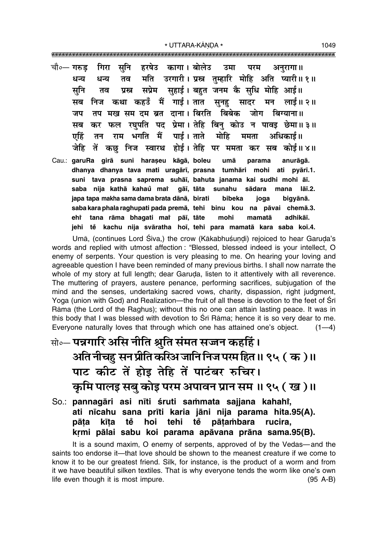\* UTTARA-KĀNDA \* 

- चौ०— गरुड गिरा सनि हरषेड कागा। बोलेड उमा अनुरागा ॥ परम मति उरगारी। प्रस्न तुम्हारि मोहि अति प्यारी॥१॥ धन्य धन्य तव सुनि सप्रेम सहाई। बहुत जनम कै सधि मोहि आई॥ प्रस्न तव कथा कहउँ मैं गाई।तात सुनह सादर मन लाई॥ २॥ सब निज तप मख सम दम ब्रत दाना। बिरति विबेक जप जोग बिग्याना॥ फल रघपति पद प्रेमा।तेहि बिन कोउ न पावड़ छेमा॥३॥ कर मब राम भगति मैं पाई।ताते मोहि अधिकाई॥ एहिं तन ममता जेहि तें कछ निज स्वारथ होई।तेहि पर ममता कर सब कोई॥४॥
- Cau.: garuRa girā suni harașeu kāgā, boleu umā parama anurāgā. dhanya dhanya tava mati uragārī, prasna tumhāri mohi ati pyārī.1. suni tava prasna saprema suhāī, bahuta janama kai sudhi mohi āī. saba nija kathā kahaŭ mat gāī, tāta sunahu sādara mana lāī.2. japa tapa makha sama dama brata dānā, birati bibeka joga bigyānā. saba kara phala raghupati pada premā, tehi binu kou na pāvai chemā.3. eht tana rāma bhagati mar pāī, tāte mohi mamatā adhikāī. kachu nija svāratha hoī, tehi para mamatā kara saba koī.4. jehi tě

Umā, (continues Lord Śiva,) the crow (Kākabhuśundi) rejoiced to hear Garuda's words and replied with utmost affection : "Blessed, blessed indeed is your intellect, O enemy of serpents. Your question is very pleasing to me. On hearing your loving and agreeable question I have been reminded of many previous births. I shall now narrate the whole of my story at full length; dear Garuda, listen to it attentively with all reverence. The muttering of prayers, austere penance, performing sacrifices, subjugation of the mind and the senses, undertaking sacred vows, charity, dispassion, right judgment, Yoga (union with God) and Realization—the fruit of all these is devotion to the feet of Sri Rāma (the Lord of the Raghus); without this no one can attain lasting peace. It was in this body that I was blessed with devotion to Sri Rama; hence it is so very dear to me. Everyone naturally loves that through which one has attained one's object.  $(1-4)$ 

- क्षे∘– पन्नगारि असि नीति श्रुति संमत सज्जन कहहिं। अति नीचह सन प्रीति करिअ जानि निज परम हित ।। ९५ (क)॥ पाट कीट तें होड़ तेहि तें पाटंबर रुचिर। कुमि पालइ सबु कोइ परम अपावन प्रान सम ॥ ९५ ( ख )॥
- So.: pannagāri asi nīti śruti sammata sajjana kahahi, ati nīcahu sana prīti karia jāni nija parama hita.95(A). hoi tehi tě pātaṁbara pāta kīta tě rucira. krmi pālai sabu koi parama apāvana prāna sama.95(B).

It is a sound maxim. O enemy of serpents, approved of by the Vedas—and the saints too endorse it—that love should be shown to the meanest creature if we come to know it to be our greatest friend. Silk, for instance, is the product of a worm and from it we have beautiful silken textiles. That is why everyone tends the worm like one's own life even though it is most impure.  $(95 A-B)$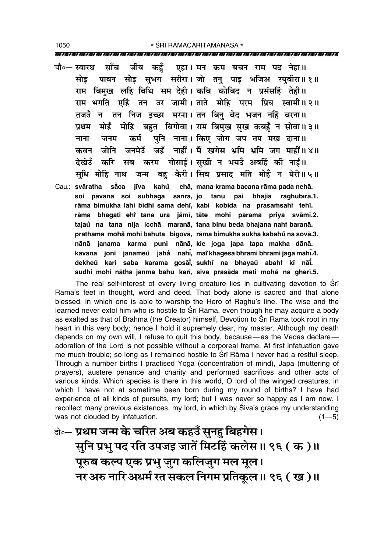\* ŚRĪ RĀMACARITAMĀNASA \* 

चौ०— **स्वारथ साँच** जीव कहँ एहा। मन क्रम बचन राम पद नेहा॥ पावन सोड सभग सरीरा।जो तन पाड भजिअ रघबीरा॥१॥ मोड राम बिमख लहि बिधि सम देही। कबि कोबिद न प्रसंसहिं तेही॥ राम भगति एहिं तन उर जामी। ताते मोहि परम प्रिय स्वामी॥ २॥ तजडँ न तन निज इच्छा मरना। तन बिन् बेद भजन नहिं बरना॥ प्रथम मोहँ मोहि बहुत बिगोवा। राम बिमुख सुख कबहुँ न सोवा॥३॥ जनम कर्म पनि नाना। किए जोग जप तप मख दाना॥ नाना कवन जोनि जनमेउँ जहँ नाहीं। मैं खगेस भ्रमि भ्रमि जग माहीं॥४॥ देखेउँ करि सब करम गोसाईं। सखी न भयउँ अबहिं की नाईं॥ सधि मोहि नाथ जन्म बह केरी। सिव प्रसाद मति मोहँ न घेरी॥५॥ Cau.: svāratha sāca jīva kahů ehā, mana krama bacana rāma pada nehā. soi pāvana soi subhaga sarīrā, jo tanu pāi bhajia raghubīrā.1. rāma bimukha lahi bidhi sama dehī, kabi kobida na prasamsahi tehī. rāma bhagati ehi tana ura jāmī, tāte mohi parama priya svāmī.2. tajaŭ na tana nija icchā maranā, tana binu beda bhajana nahi baranā.

prathama mohằ mohi bahuta bigovā, rāma bimukha sukha kabahů na sovā.3. nānā janama karma puni nānā, kie joga japa tapa makha dānā. kavana joni janameů jahå nāhi, mai khagesa bhrami bhrami jaga māhi.4. dekheů kari saba karama gosāi, sukhī na bhayaů abahř kī nāi. sudhi mohi nātha janma bahu kerī, siva prasāda mati mohă na gherī.5.

The real self-interest of every living creature lies in cultivating devotion to Sri Rāma's feet in thought, word and deed. That body alone is sacred and that alone blessed, in which one is able to worship the Hero of Raghu's line. The wise and the learned never extol him who is hostile to Srī Rāma, even though he may acquire a body as exalted as that of Brahma (the Creator) himself, Devotion to Sri Rama took root in my heart in this very body; hence I hold it supremely dear, my master. Although my death depends on my own will, I refuse to quit this body, because—as the Vedas declare adoration of the Lord is not possible without a corporeal frame. At first infatuation gave me much trouble; so long as I remained hostile to Sri Rama I never had a restful sleep. Through a number births I practised Yoga (concentration of mind), Japa (muttering of prayers), austere penance and charity and performed sacrifices and other acts of various kinds. Which species is there in this world, O lord of the winged creatures, in which I have not at sometime been born during my round of births? I have had experience of all kinds of pursuits, my lord; but I was never so happy as I am now. I recollect many previous existences, my lord, in which by Siva's grace my understanding was not clouded by infatuation.  $(1 - 5)$ 

के— प्रथम जन्म के चरित अब कहउँ सुनहु बिहगेस। सुनि प्रभु पद रति उपजइ जातें मिटहिं कलेस॥ ९६ ( क )॥ पूरुब कल्प एक प्रभु जुग कलिजुग मल मूल। नर अरु नारि अधर्म रत सकल निगम प्रतिकूल ॥ ९६ (ख)॥

1050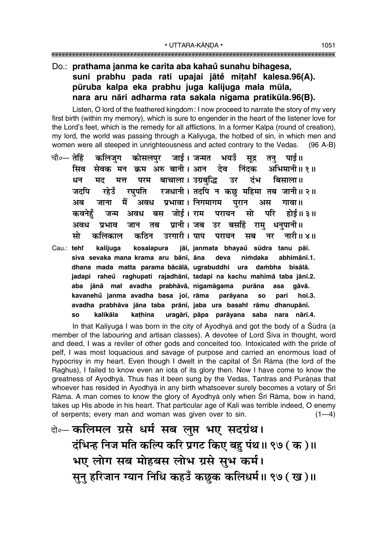### Do.: prathama janma ke carita aba kahaŭ sunahu bihagesa, suni prabhu pada rati upajai jātě mitahř kalesa.96(A). pūruba kalpa eka prabhu juga kalijuga mala mūla, nara aru nāri adharma rata sakala nigama pratikūla.96(B).

Listen, O lord of the feathered kingdom: I now proceed to narrate the story of my very first birth (within my memory), which is sure to engender in the heart of the listener love for the Lord's feet, which is the remedy for all afflictions. In a former Kalpa (round of creation). my lord, the world was passing through a Kaliyuga, the hotbed of sin, in which men and women were all steeped in unrighteousness and acted contrary to the Vedas.  $(96 A-B)$ 

- कोसलपुर जाई।जन्मत भयउँ चौ∘— तेहिं कलिजग सूद्र तन पाई ॥ सेवक मन क्रम अरु बानी। आन देव अभिमानी॥ १॥ सिव निंदक धन मट मत्त परम बाचाला। उग्रबद्धि उर ਟਂभ बिसाला ॥ रघुपति रजधानी। तदपि न कछ महिमा तब जानी॥ २॥ जदपि रहेउँ अब मैं अवध प्रभावा । निगमागम पुरान अस गावा ॥ जाना बस जोई। राम परि कवनेहँ परायन सो होई॥ ३॥ जन्म अवध प्रानी। जब उर बसहिं राम धनुपानी ॥ अवध प्रभाव जान तब मो परायन कलिकाल कठिन उरगारी । पाप सब नर नारी॥ ४॥
- Cau.: teht kalijuga kosalapura jāi, janmata bhayaŭ sūdra tanu pāi. siva sevaka mana krama aru bānī, āna deva nimdaka abhimānī.1. dhana mada matta parama bācālā, ugrabuddhi ura dambha bisālā. jadapi raheů raghupati rajadhānī, tadapi na kachu mahimā taba jānī.2. aba jānā mai avadha prabhāvā, nigamāgama purāna asa gāvā. kavanehů janma avadha basa joī, rāma parāyana **SO** pari hoī.3. avadha prabhāva jāna taba prānī, jaba ura basahi rāmu dhanupānī. kalikāla uragārī, pāpa parāyana **SO** kathina saba nara nārī.4.

In that Kaliyuga I was born in the city of Ayodhya and got the body of a Sudra (a member of the labouring and artisan classes). A devotee of Lord Siva in thought, word and deed, I was a reviler of other gods and conceited too. Intoxicated with the pride of pelf, I was most loquacious and savage of purpose and carried an enormous load of hypocrisy in my heart. Even though I dwelt in the capital of Srī Rāma (the lord of the Raghus), I failed to know even an iota of its glory then. Now I have come to know the greatness of Ayodhyā. Thus has it been sung by the Vedas, Tantras and Purānas that whoever has resided in Ayodhyā in any birth whatsoever surely becomes a votary of Srī Rāma. A man comes to know the glory of Ayodhyā only when Śrī Rāma, bow in hand, takes up His abode in his heart. That particular age of Kali was terrible indeed, O enemy of serpents; every man and woman was given over to sin.  $(1-4)$ 

बे॰ कलिमल ग्रसे धर्म सब लुप्त भए सदग्रंथ। दंभिन्ह निज मति कल्पि करि प्रगट किए बहु पंथ ॥ ९७ ( क )॥ भए लोग सब मोहबस लोभ ग्रसे सुभ कर्म। सुनु हरिजान ग्यान निधि कहउँ कछुक कलिधर्म॥ ९७ ( ख )॥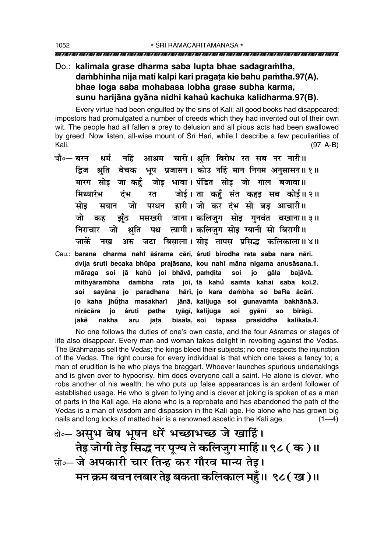## Do.: kalimala grase dharma saba lupta bhae sadagramtha, dambhinha nija mati kalpi kari pragata kie bahu pamtha.97(A). bhae loga saba mohabasa lobha grase subha karma, sunu harijāna gyāna nidhi kahaŭ kachuka kalidharma.97(B).

Every virtue had been engulfed by the sins of Kali; all good books had disappeared; impostors had promulgated a number of creeds which they had invented out of their own wit. The people had all fallen a prey to delusion and all pious acts had been swallowed by greed. Now listen, all-wise mount of Srī Hari, while I describe a few peculiarities of Kali.  $(97 A-B)$ 

- आश्रम चारी। श्रुति बिरोध रत सब नर नारी॥ चौ०— बरन धर्म नहिं द्विज श्रति बेचक भूप प्रजासन। कोउ नहिं मान निगम अनुसासन॥१॥ मारग सोड़ जा कहँ जोड़ भावा। पंडित सोड़ जो गाल बजावा॥ जोई। ता कहँ संत कहड़ सब कोई॥२॥ मिथ्यारंभ टंभ रत जो परधन हारी। जो कर दंभ सो बड आचारी॥ सयान सोड मसखरी जाना।कलिजुग सोइ गुनवंत बखाना॥३॥ जो झूँठ कह पथ त्यागी। कलिज़ग सोइ ग्यानी सो बिरागी॥ निराचार ्जो श्रति जटा बिसाला। सोड तापस प्रसिद्ध कलिकाला॥४॥ जाकें नख अरु
- Cau.: barana dharma nahi āśrama cārī, śruti birodha rata saba nara nārī. dvija śruti becaka bhūpa prajāsana, kou nahř māna nigama anusāsana.1. māraga soi jā kahů joi bhāvā, pamdita soi jo qāla bajāvā. dambha rata joī, tā kahů samta kahai saba koī.2. mithyārambha sayāna jo paradhana hārī, jo kara dambha so baRa ācārī. soi jo kaha jhū̃tha masakharī jānā, kalijuga soi gunavamta bakhānā.3. nirācāra jo śruti patha tyāgī, kalijuga **SO** birāgī. soi gyānī nakha jatā bisālā, soi tāpasa prasiddha kalikālā.4. jākě aru

No one follows the duties of one's own caste, and the four Asramas or stages of life also disappear. Every man and woman takes delight in revolting against the Vedas. The Brāhmanas sell the Vedas; the kings bleed their subjects; no one respects the injunction of the Vedas. The right course for every individual is that which one takes a fancy to; a man of erudition is he who plays the braggart. Whoever launches spurious undertakings and is given over to hypocrisy, him does everyone call a saint. He alone is clever, who robs another of his wealth; he who puts up false appearances is an ardent follower of established usage. He who is given to lying and is clever at joking is spoken of as a man of parts in the Kali age. He alone who is a reprobate and has abandoned the path of the Vedas is a man of wisdom and dispassion in the Kali age. He alone who has grown big nails and long locks of matted hair is a renowned ascetic in the Kali age.  $(1-4)$ 

वे०-असुभ बेष भूषन धरें भच्छाभच्छ जे खाहिं। तेइ जोगी तेइ सिद्ध नर पूज्य ते कलिजुग माहिं॥ ९८ ( क )॥ सो०- जे अपकारी चार तिन्ह कर गौरव मान्य तेइ। मन क्रम बचन लबार तेइ बकता कलिकाल महँ॥ ९८( ख )॥

1052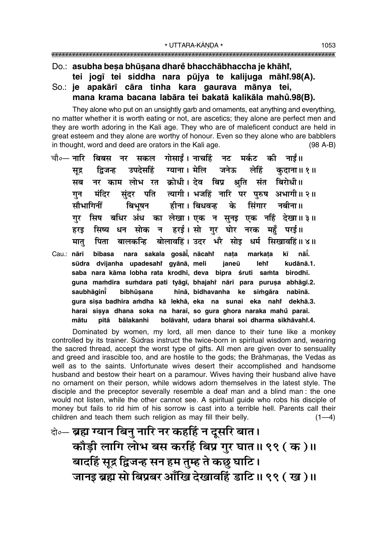### Do.: asubha beşa bhūşana dharĕ bhacchābhaccha je khāhi,

### tei jogī tei siddha nara pūjya te kalijuga māhi.98(A). So.: je apakārī cāra tinha kara gaurava mānya tei, mana krama bacana labāra tei bakatā kalikāla mahu. 98(B).

They alone who put on an unsightly garb and ornaments, eat anything and everything, no matter whether it is worth eating or not, are ascetics; they alone are perfect men and they are worth adoring in the Kali age. They who are of maleficent conduct are held in great esteem and they alone are worthy of honour. Even so they alone who are babblers in thought, word and deed are orators in the Kali age.  $(98 A-B)$ 

|  |  | चौ∘— नारि बिबस नर सकल गोसाईं। नाचहिं नट मर्कट की नाईं॥ |  |  |                                                           |  |
|--|--|--------------------------------------------------------|--|--|-----------------------------------------------------------|--|
|  |  |                                                        |  |  | सूद्र द्विजन्ह उपदेसहिं ग्याना। मेलि जनेऊ लेहिं कुदाना॥१॥ |  |
|  |  | सब नर काम लोभ रत क्रोधी। देव बिप्र श्रुति संत बिरोधी॥  |  |  |                                                           |  |
|  |  |                                                        |  |  | गुन मंदिर सुंदर पति त्यागी। भजहिं नारि पर पुरुष अभागी॥ २॥ |  |
|  |  | सौभागिनीं बिभूषन हीना।।बिधवन्ह के सिंगार नबीना॥        |  |  |                                                           |  |
|  |  |                                                        |  |  | गर सिष बधिर अंध का लेखा। एक न सुनइ एक नहिं देखा॥३॥        |  |
|  |  | हरइ सिष्य धन सोक न हरई।सो गुर घोर नरक महुँ परई॥        |  |  |                                                           |  |
|  |  |                                                        |  |  | मातु पिता बालकन्हि बोलावहिं। उदर भरै सोइ धर्म सिखावहिं॥४॥ |  |
|  |  |                                                        |  |  |                                                           |  |

Cau.: nāri bibasa nara sakala gosāi, nācahī nāĭ. nata markata kī sūdra dvijanha upadesahi gyānā, meli kudānā.1. janeū leht saba nara kāma lobha rata krodhī, deva bipra śruti samta birodhī. guna mamdira sumdara pati tyāgī, bhajahi nāri para purușa abhāgī.2. saubhāqinī hīnā, bidhavanha ke simgāra bibhūsana nabīnā. gura sisa badhira amdha kā lekhā, eka na sunai eka nahi dekhā.3. harai sisya dhana soka na harai, so gura ghora naraka mahů parai. bolāvahi, udara bharai soi dharma sikhāvahi.4. mātu pitā bālakanhi

Dominated by women, my lord, all men dance to their tune like a monkey controlled by its trainer. Sudras instruct the twice-born in spiritual wisdom and, wearing the sacred thread, accept the worst type of gifts. All men are given over to sensuality and greed and irascible too, and are hostile to the gods; the Brāhmanas, the Vedas as well as to the saints. Unfortunate wives desert their accomplished and handsome husband and bestow their heart on a paramour. Wives having their husband alive have no ornament on their person, while widows adorn themselves in the latest style. The disciple and the preceptor severally resemble a deaf man and a blind man: the one would not listen, while the other cannot see. A spiritual quide who robs his disciple of money but fails to rid him of his sorrow is cast into a terrible hell. Parents call their children and teach them such religion as may fill their belly.  $(1-4)$ 

केन्चिह्य ग्यान बिनु नारि नर कहहिं न दूसरि बात। कौड़ी लागि लोभ बस करहिं बिप्र गुर घात॥ ९९ ( क )॥ बादहिं सूद्र द्विजन्ह सन हम तुम्ह ते कछु घाटि। जानइ ब्रह्म सो बिप्रबर आँखि देखावहिं डाटि ॥ ९९ ( ख )॥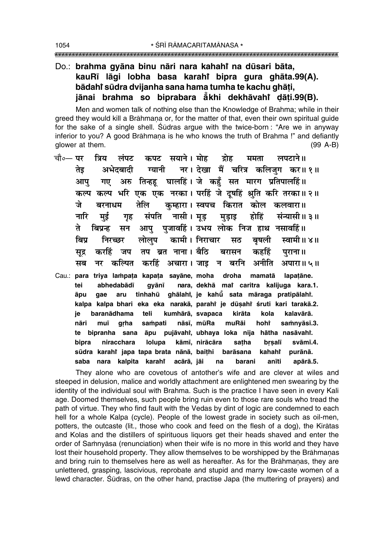## Do.: brahma gyāna binu nāri nara kahahi na dūsari bāta, kauRī lāgi lobha basa karahi bipra gura ghāta.99(A). bādahi sūdra dvijanha sana hama tumha te kachu ghāti, jānai brahma so biprabara åkhi dekhāvahi dāti.99(B).

Men and women talk of nothing else than the Knowledge of Brahma; while in their greed they would kill a Brāhmana or, for the matter of that, even their own spiritual quide for the sake of a single shell. Sudras argue with the twice-born: "Are we in anyway inferior to you? A good Brāhmana is he who knows the truth of Brahma!" and defiantly glower at them.  $(99 A-B)$ 

| त्रिय लंपट कपट सयाने।मोह द्रोह ममता लपटाने॥<br>चौ०— <b>पर</b>           |                 |
|-------------------------------------------------------------------------|-----------------|
| अभेदबादी ग्यानी नर।देखा मैं चरित्र कलिजुग कर॥१॥<br>तेइ                  |                 |
| आपु गए अरु तिन्हहू घालहिं। जे कहुँ सत मारग प्रतिपालहिं॥                 |                 |
| कल्प कल्प भरि एक एक नरका। परहिं जे दूषहिं श्रुति करि तरका॥२॥            |                 |
| जे<br>बरनाधम तेलि कुम्हारा। स्वपच किरात कोल कलवारा॥                     |                 |
| मुई गृह संपति नासी।मूड़ मुड़ाइ होहिं संन्यासी॥३॥<br>नारि                |                 |
| बिप्रन्ह सन आपु पुजावहिं। उभय लोक निज हाथ नसावहिं॥<br>ते                |                 |
| निरच्छर लोलुप कामी।निराचार सठ बृषली स्वामी॥४॥<br>बिप्र                  |                 |
| सूद्र करहिं जप तप ब्रत नाना । बैठि बरासन  कहहिं  पुराना ॥               |                 |
| नर कल्पित करहिं अचारा।जाइ न बरनि अनीति अपारा॥५॥<br>सब                   |                 |
| Cau.: para triya lampata kapata sayāne, moha droha mamatā lapatāne.     |                 |
| abhedabādī gyānī nara, dekhā mai caritra kalijuga kara.1.<br>tei        |                 |
| gae aru tinhahū ghālahi, je kahū sata māraga pratipālahi.<br>āpu        |                 |
| kalpa kalpa bhari eka eka narakā, parahi je dūṣahi śruti kari tarakā.2. |                 |
| baranādhama teli kumhārā, svapaca kirāta kola<br>ie                     | kalavārā.       |
| muī grha sampati nāsī, mūRa muRāi hohi samnyāsī.3.<br>nāri              |                 |
| te bipranha sana āpu pujāvahi, ubhaya loka nija hātha nasāvahi.         |                 |
| bipra niracchara lolupa kāmī, nirācāra saṭha                            | brsalī svāmī.4. |
| sūdra karahi japa tapa brata nānā, baiṭhi barāsana kahahi               | purānā.         |
| saba nara kalpita karahi acārā, jāi na barani                           | anīti apārā.5.  |
|                                                                         |                 |

They alone who are covetous of antother's wife and are clever at wiles and steeped in delusion, malice and worldly attachment are enlightened men swearing by the identity of the individual soul with Brahma. Such is the practice I have seen in every Kali age. Doomed themselves, such people bring ruin even to those rare souls who tread the path of virtue. They who find fault with the Vedas by dint of logic are condemned to each hell for a whole Kalpa (cycle). People of the lowest grade in society such as oil-men, potters, the outcaste (lit., those who cook and feed on the flesh of a dog), the Kirātas and Kolas and the distillers of spirituous liquors get their heads shaved and enter the order of Samnyasa (renunciation) when their wife is no more in this world and they have lost their household property. They allow themselves to be worshipped by the Brāhmanas and bring ruin to themselves here as well as hereafter. As for the Brāhmanas, they are unlettered, grasping, lascivious, reprobate and stupid and marry low-caste women of a lewd character. Sudras, on the other hand, practise Japa (the muttering of prayers) and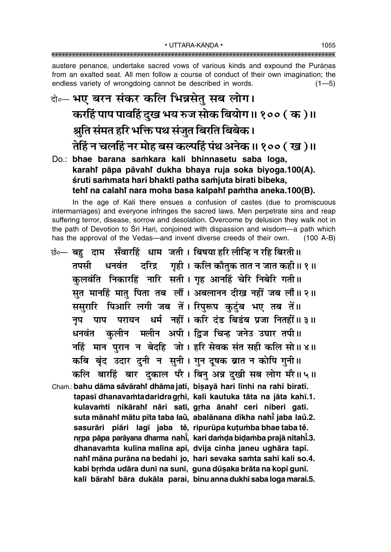austere penance, undertake sacred vows of various kinds and expound the Puranas from an exalted seat. All men follow a course of conduct of their own imagination; the endless variety of wrongdoing cannot be described in words.  $(1 - 5)$ 

## बे- भए बरन संकर कलि भिन्नसेतु सब लोग। करहिं पाप पावहिं दुख भय रुज सोक बियोग॥ १०० ( क )॥ श्रति संमत हरि भक्ति पथ संजुत बिरति बिबेक । तेहिं न चलहिं नर मोह बस कल्पहिं पंथ अनेक ॥ १०० ( ख )॥

Do.: bhae barana samkara kali bhinnasetu saba loga, karahi pāpa pāvahi dukha bhaya ruja soka biyoga.100(A). śruti sammata hari bhakti patha samjuta birati bibeka, tehi na calahi nara moha basa kalpahi pamtha aneka.100(B).

In the age of Kali there ensues a confusion of castes (due to promiscuous intermarriages) and everyone infringes the sacred laws. Men perpetrate sins and reap suffering terror, disease, sorrow and desolation. Overcome by delusion they walk not in the path of Devotion to Srī Hari, conjoined with dispassion and wisdom—a path which has the approval of the Vedas-and invent diverse creeds of their own.  $(100 A-B)$ 

छं∘— बहु दाम सँवारहिं धाम जती। बिषया हरि लीन्हि न रहि बिरती॥ तपसी धनवंत दरिद्र गृही । कलि कौतुक तात न जात कही ॥ १ ॥ कुलवंति निकारहिं नारि सती। गृह आनहिं चेरि निबेरि गती॥ सुत मानहिं मातु पिता तब लौं। अबलानन दीख नहीं जब लौं॥ २॥ ससुरारि पिआरि लगी जब तें। रिपुरूप कुटुंब भए तब तें॥ नृप पाप परायन धर्म नहीं। करि दंड बिडंब प्रजा नितहीं॥३॥ धनवंत कुलीन मलीन अपी। द्विज चिन्ह जनेउ उघार तपी॥ नहिं मान पुरान न बेदहि जो। हरि सेवक संत सही कलि सो॥४॥ कबि बृंद उदार दुनी न सुनी। गुन दूषक ब्रात न कोपि गुनी॥ कलि बारहिं बार दुकाल परै। बिनु अन्न दुखी सब लोग मरै॥५॥

Cham.: bahu dāma såvārahi dhāma jatī, bisayā hari līnhi na rahi biratī. tapasī dhanavamtadaridragrhī, kali kautuka tāta na jāta kahī.1. kulavamti nikārahi nāri satī, grha ānahi ceri niberi gatī. suta mānahi mātu pīta taba laŭ, abalānana dīkha nahī jaba laŭ.2. sasurāri piāri lagī jaba tě, ripurūpa kutumba bhae taba tě. nrpa pāpa parāyana dharma nahī, kari damda bidamba prajā nitahī.3. dhanavamta kulīna malīna apī, dvija cinha janeu ughāra tapī. nahi māna purāna na bedahi jo, hari sevaka samta sahī kali so.4. kabi brmda udāra dunī na sunī, guna dūsaka brāta na kopi gunī. kali bārahi bāra dukāla parai, binu anna dukhī saba loga marai.5.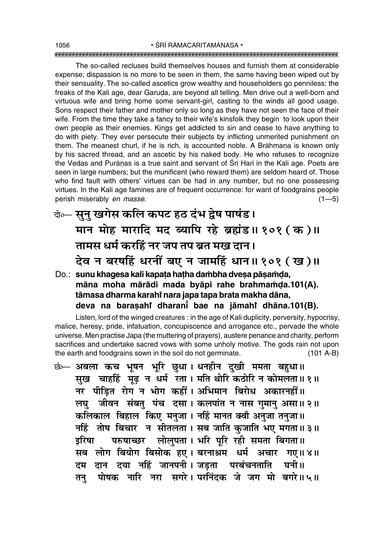The so-called recluses build themselves houses and furnish them at considerable expense; dispassion is no more to be seen in them, the same having been wiped out by their sensuality. The so-called ascetics grow wealthy and householders go penniless: the freaks of the Kali age, dear Garuda, are beyond all telling. Men drive out a well-born and virtuous wife and bring home some servant-girl, casting to the winds all good usage. Sons respect their father and mother only so long as they have not seen the face of their wife. From the time they take a fancy to their wife's kinsfolk they begin to look upon their own people as their enemies. Kings get addicted to sin and cease to have anything to do with piety. They ever persecute their subjects by inflicting unmerited punishment on them. The meanest churl, if he is rich, is accounted noble. A Brāhmana is known only by his sacred thread, and an ascetic by his naked body. He who refuses to recognize the Vedas and Purānas is a true saint and servant of Srī Hari in the Kali age. Poets are seen in large numbers; but the munificent (who reward them) are seldom heard of. Those who find fault with others' virtues can be had in any number, but no one possessing virtues. In the Kali age famines are of frequent occurrence: for want of foodgrains people perish miserably en masse.  $(1 - 5)$ 

# बेञ्च सूनु खगेस कलि कपट हठ दंभ द्वेष पाषंड। मान मोह मारादि मद ब्यापि रहे ब्रह्मंड॥१०१ (क)॥ तामस धर्म करहिं नर जप तप बत मख दान। देव न बरषहिं धरनीं बए न जामहिं धान॥१०१ (ख)॥

Do.: sunu khaqesa kali kapata hatha dambha dvesa pāsamda, māna moha mārādi mada byāpi rahe brahmamda.101(A). tāmasa dharma karahi nara japa tapa brata makha dāna, deva na barașahi dharani bae na jāmahi dhāna.101(B).

Listen, lord of the winged creatures : in the age of Kali duplicity, perversity, hypocrisy, malice, heresy, pride, infatuation, concupiscence and arrogance etc., pervade the whole universe. Men practise Japa (the muttering of prayers), austere penance and charity, perform sacrifices and undertake sacred vows with some unholy motive. The gods rain not upon the earth and foodgrains sown in the soil do not germinate.  $(101 A-B)$ 

छं— अबला कच भूषन भूरि छुधा। धनहीन दुखी ममता बहुधा॥ सुख चाहहिं मुढ न धर्म रता। मति थोरि कठोरि न कोमलता॥ १॥ नर पीड़ित रोग न भोग कहीं। अभिमान बिरोध अकारनहीं॥ लघु जीवन संबतु पंच दसा। कलपांत न नास गुमानु असा॥ २॥ कलिकाल बिहाल किए मनुजा। नहिं मानत क्वौ अनुजा तनुजा॥ नहिं तोष बिचार न सीतलता। सब जाति कजाति भए मगता॥३॥ परुषाच्छर लोलुपता । भरि पूरि रही समता बिगता ॥ इरिषा सब लोग बियोग बिसोक हुए। बरनाश्रम धर्म अचार गए॥४॥ दम दान दया नहिं जानपनी।जडता परबंचनताति घनी॥ तनु पोषक नारि नरा सगरे। परनिंदक जे जग मो बगरे॥५॥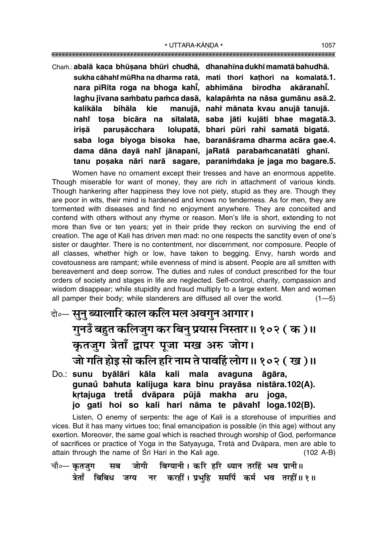### Cham.: abalā kaca bhūṣana bhūri chudhā, dhanahīna dukhī mamatā bahudhā. sukha cāhahi mūRha na dharma ratā, mati thori kathori na komalatā.1. nara pīRita roga na bhoga kahī, abhimāna birodha akāranahī. laghu jīvana sambatu pamca dasā, kalapāmta na nāsa gumānu asā.2. kalikāla bihāla kie manujā, nahi mānata kvau anujā tanujā. bicāra na sītalatā, saba jāti kujāti bhae magatā.3. nahi tosa lolupatā, bhari pūri rahī samatā bigatā. irisā parusācchara saba loga biyoga bisoka hae, baranāśrama dharma acāra gae.4. dama dāna dayā nahi jānapanī, jaRatā parabamcanatāti ghanī. tanu posaka nāri narā sagare, paranimdaka je jaga mo bagare.5.

Women have no ornament except their tresses and have an enormous appetite. Though miserable for want of money, they are rich in attachment of various kinds. Though hankering after happiness they love not piety, stupid as they are. Though they are poor in wits, their mind is hardened and knows no tenderness. As for men, they are tormented with diseases and find no enjoyment anywhere. They are conceited and contend with others without any rhyme or reason. Men's life is short, extending to not more than five or ten years; yet in their pride they reckon on surviving the end of creation. The age of Kali has driven men mad: no one respects the sanctity even of one's sister or daughter. There is no contentment, nor discernment, nor composure. People of all classes, whether high or low, have taken to begging. Envy, harsh words and covetousness are rampant; while evenness of mind is absent. People are all smitten with bereavement and deep sorrow. The duties and rules of conduct prescribed for the four orders of society and stages in life are neglected. Self-control, charity, compassion and wisdom disappear; while stupidity and fraud multiply to a large extent. Men and women all pamper their body; while slanderers are diffused all over the world.  $(1 - 5)$ 

## केन्- सूनु ब्यालारि काल कलि मल अवगुन आगार। गुनउँ बहुत कलिजुग कर बिनु प्रयास निस्तार॥ १०२ ( क )॥ कृतजुग त्रेताँ द्वापर पूजा मख अरु जोग। जो गति होड़ सो कलि हरि नाम ते पावहिं लोग॥ १०२ (ख)॥ Do.: sunu byālāri kāla kali mala avaguna āgāra, gunaŭ bahuta kalijuga kara binu prayāsa nistāra.102(A). krtajuga tretā dvāpara pūjā makha aru joga, jo gati hoi so kali hari nāma te pāvahi loga.102(B).

Listen, O enemy of serpents: the age of Kali is a storehouse of impurities and vices. But it has many virtues too; final emancipation is possible (in this age) without any exertion. Moreover, the same goal which is reached through worship of God, performance of sacrifices or practice of Yoga in the Satyayuga, Tretā and Dvāpara, men are able to attain through the name of Srī Hari in the Kali age.  $(102 A-B)$ 

जोगी बिग्यानी। करि हरि ध्यान तरहिं भव प्रानी॥ चौ∘— कतजग मब त्रेताँ बिबिध जग्य नर करहीं। प्रभुहि समर्पि कर्म भव तरहीं॥१॥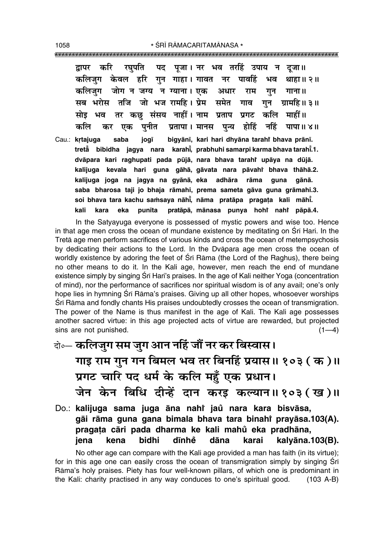करि रघपति पद पजा। नर भव तरहिं उपाय न द्रापर दजा। कलिजग केवल हरि गन गाहा।गावत नर पावहिं भव थाहा ॥ २ ॥ कलिज़्ग जोग न जग्य न ग्याना। एक अधार राम गन गाना ॥ सब भरोस तजि जो भज रामहि। प्रेम समेत गन ग्रामहि॥ ३॥ गाव तर कछ संसय नाहीं। नाम प्रताप कलि माहीं॥ मोड भव प्रगट होहिं कलि एक पनीत प्रतापा । मानस पन्य नहिं कर पापा॥४॥ Cau.: krtajuga saba biqyānī, kari hari dhyāna tarahi bhava prānī. jogī treta bibidha jagya nara karahi, prabhuhi samarpi karma bhava tarahi.1. dvāpara kari raghupati pada pūjā, nara bhava tarahi upāya na dūjā. kalijuga kevala hari guna gāhā, gāvata nara pāvahi bhava thāhā.2. kalijuga joga na jagya na gyānā, eka adhāra rāma guna gānā. saba bharosa taji jo bhaja rāmahi, prema sameta gāva guna grāmahi.3. soi bhava tara kachu samsaya nāhi, nāma pratāpa pragata kali māhi. eka pratāpā, mānasa punya hohi nahi pāpā.4. kali kara punīta

In the Satyayuga everyone is possessed of mystic powers and wise too. Hence in that age men cross the ocean of mundane existence by meditating on Srī Hari. In the Tretā age men perform sacrifices of various kinds and cross the ocean of metempsychosis by dedicating their actions to the Lord. In the Dvapara age men cross the ocean of worldly existence by adoring the feet of Sri Rama (the Lord of the Raghus), there being no other means to do it. In the Kali age, however, men reach the end of mundane existence simply by singing Srī Hari's praises. In the age of Kali neither Yoga (concentration of mind), nor the performance of sacrifices nor spiritual wisdom is of any avail; one's only hope lies in hymning Srī Rāma's praises. Giving up all other hopes, whosoever worships Śrī Rāma and fondly chants His praises undoubtedly crosses the ocean of transmigration. The power of the Name is thus manifest in the age of Kali. The Kali age possesses another sacred virtue: in this age projected acts of virtue are rewarded, but projected sins are not punished.  $(1-4)$ 

- केन्- कलिजुग सम जुग आन नहिं जौं नर कर बिस्वास। गाइ राम गुन गन बिमल भव तर बिनहिं प्रयास॥ १०३ ( क )॥ प्रगट चारि पद धर्म के कलि महुँ एक प्रधान। जेन केन बिधि दीन्हें दान करड़ कल्यान॥१०३ (ख)॥
- Do.: kalijuga sama juga āna nahi jaŭ nara kara bisvāsa, gāi rāma guna gana bimala bhava tara binahi prayāsa.103(A). pragata cāri pada dharma ke kali mahů eka pradhāna, jena kena **bidhi** dīnhě dāna karai kalyāna.103(B).

No other age can compare with the Kali age provided a man has faith (in its virtue); for in this age one can easily cross the ocean of transmigration simply by singing Sri Rāma's holy praises. Piety has four well-known pillars, of which one is predominant in the Kali: charity practised in any way conduces to one's spiritual good.  $(103 A-B)$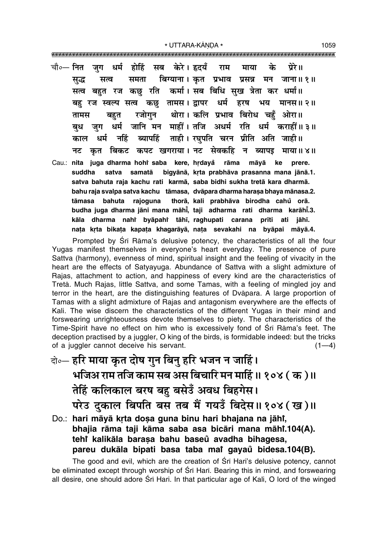\* UTTARA-KĀNDA \* 

|  |  |  |  | चौ०— नित जुग धर्म होहिं सब केरे। हृदयँ राम माया के प्रेरे॥ |  |                                                         |
|--|--|--|--|------------------------------------------------------------|--|---------------------------------------------------------|
|  |  |  |  |                                                            |  | सुद्ध सत्व समता बिग्याना।कृत प्रभाव प्रसन्न मन जाना॥१॥  |
|  |  |  |  | सत्व बहुत रज कछु रति कर्मा।सब बिधि सुख त्रेता कर धर्मा॥    |  |                                                         |
|  |  |  |  |                                                            |  | बहु रज स्वल्प सत्व कछु तामस। द्वापर धर्म हरष भय मानस॥२॥ |
|  |  |  |  | तामस बहुत रजोगुन थोरा।कलि प्रभाव बिरोध चहुँ ओरा॥           |  |                                                         |
|  |  |  |  |                                                            |  | बुध जुग धर्म जानि मन माहीं।तजि अधर्म रति धर्म कराहीं॥३॥ |
|  |  |  |  | काल धर्म नहिं ब्यापहिं ताही। रघुपति चरन प्रीति अति जाही॥   |  |                                                         |
|  |  |  |  |                                                            |  | नट कृत बिकट कपट खगराया। नट सेवकहि न ब्यापइ माया॥४॥      |

Cau.: nita juga dharma hohi saba kere, hrdayå rāma māyā ke prere. bigyānā, krta prabhāva prasanna mana jānā.1. suddha satva samatā satva bahuta raja kachu rati karmā, saba bidhi sukha tretā kara dharmā. bahu raja svalpa satva kachu tāmasa, dvāpara dharma haraṣa bhaya mānasa.2. tāmasa bahuta rajoguna thorā, kali prabhāva birodha cahů orā. budha juga dharma jāni mana māhi, taji adharma rati dharma karāhi.3. kāla dharma nahi byāpahi tāhī, raghupati carana prīti ati jāhī. nata krta bikata kapata khagarāyā, nata sevakahi na byāpai māyā.4.

Prompted by Srī Rāma's delusive potency, the characteristics of all the four Yugas manifest themselves in everyone's heart everyday. The presence of pure Sattva (harmony), evenness of mind, spiritual insight and the feeling of vivacity in the heart are the effects of Satyayuga. Abundance of Sattya with a slight admixture of Rajas, attachment to action, and happiness of every kind are the characteristics of Tretā. Much Rajas, little Sattva, and some Tamas, with a feeling of mingled joy and terror in the heart, are the distinguishing features of Dvapara. A large proportion of Tamas with a slight admixture of Rajas and antagonism everywhere are the effects of Kali. The wise discern the characteristics of the different Yugas in their mind and forswearing unrighteousness devote themselves to piety. The characteristics of the Time-Spirit have no effect on him who is excessively fond of Sri Rāma's feet. The deception practised by a juggler, O king of the birds, is formidable indeed: but the tricks of a juggler cannot deceive his servant.  $(1-4)$ 

- दो॰– हरि माया कृत दोष गुन बिनु हरि भजन न जाहिं। भजिअ राम तजि काम सब अस बिचारि मन माहिं ॥ १०४ ( क )॥ तेहिं कलिकाल बरष बहु बसेउँ अवध बिहगेस। परेउ दुकाल बिपति बस तब मैं गयउँ बिदेस॥१०४ (ख)॥
- Do.: hari māyā krta dosa guna binu hari bhajana na jāhi, bhajia rāma taji kāma saba asa bicāri mana māhi.104(A). tehi kalikāla barasa bahu baseŭ avadha bihagesa, pareu dukāla bipati basa taba mai gavaŭ bidesa.104(B).

The good and evil, which are the creation of Sri Hari's delusive potency, cannot be eliminated except through worship of Sri Hari. Bearing this in mind, and forswearing all desire, one should adore Srī Hari. In that particular age of Kali, O lord of the winged

1059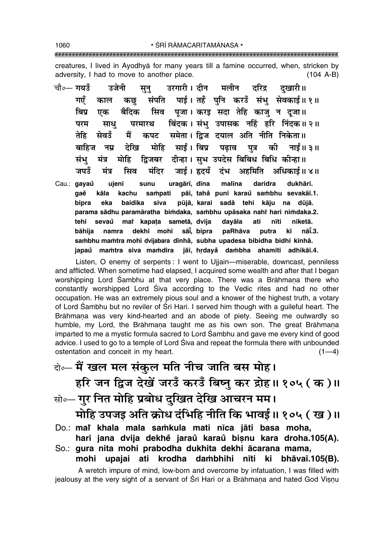creatures, I lived in Ayodhya for many years till a famine occurred, when, stricken by adversity, I had to move to another place.  $(104 A-B)$ 

उरगारी। दीन मलीन दरिद्र दखारी॥ चौ०— गयउँ उजेनी सन् ्<br>संपति पाई। तहँ पनि करउँ संभ सेवकाई॥ १ ॥ गाउँ कछ काल सिव पूजा। करइ सदा तेहि काजु न दूजा॥ बिप्र बैदिक एक परमारथ विंदक। संभु उपासक नहिं हरि निंदक॥२॥ परम साध तेहि सेवउँ कपट समेता। द्विज दयाल अति नीति निकेता॥ मैं मोहि साईं। बिप्र पढाव पत्र की बाहिज देखि नाई ॥ ३ ॥ नम द्विजबर दीन्हा। सभ उपदेस बिबिध बिधि कीन्हा॥ संभ मोहि मंत्र मंदिर जाई। हृदयँ दंभ अहमिति अधिकाई॥४॥ जपउँ मंत्र सिव uragārī, dīna malīna daridra dukhārī. Cau.: qayaů ujenī sunu pāī, tahå puni karaŭ sambhu sevakāī.1. qaĕ kāla kachu sampati pūjā, karai sadā tehi kāju na dūjā. bipra eka baidika siva parama sādhu paramāratha bimdaka, sambhu upāsaka nahi hari nimdaka.2. tehi sevaŭ mat kapata sametā, dvija davāla ati niketā. nīti kī bāhiia namra dekhi mohi sāi̇̃, bipra paRhāva putra nāi̇̃.3. sambhu mamtra mohi dvijabara dīnhā, subha upadesa bibidha bidhi kīnhā. japaŭ mamtra siva mamdira iāī, hrdavă dambha ahamiti adhikāī.4.

Listen, O enemy of serpents : I went to Ujjain-miserable, downcast, penniless and afflicted. When sometime had elapsed, I acquired some wealth and after that I began worshipping Lord Sambhu at that very place. There was a Brahmana there who constantly worshipped Lord Siva according to the Vedic rites and had no other occupation. He was an extremely pious soul and a knower of the highest truth, a votary of Lord Sambhu but no reviler of Srī Hari. I served him though with a guileful heart. The Brāhmana was very kind-hearted and an abode of piety. Seeing me outwardly so humble, my Lord, the Brāhmana taught me as his own son. The great Brāhmana imparted to me a mystic formula sacred to Lord Sambhu and gave me every kind of good advice. I used to go to a temple of Lord Siva and repeat the formula there with unbounded ostentation and conceit in my heart.  $(1-4)$ 

वे॰- मैं खल मल संकुल मति नीच जाति बस मोह।

हरि जन द्विज देखें जरउँ करउँ बिष्नु कर द्रोह॥१०५ ( क )॥ सो॰- गुर नित मोहि प्रबोध दुखित देखि आचरन मम।

मोहि उपजड़ अति क्रोध दंभिहि नीति कि भावई।। १०५ (ख)॥

- Do.: mai khala mala samkula mati nīca jāti basa moha, hari jana dvija dekhě jaraů karaů bisnu kara droha.105(A).
- So.: gura nita mohi prabodha dukhita dekhi ācarana mama, mohi upajai ati krodha dambhihi nīti ki bhāvaī.105(B).

A wretch impure of mind, low-born and overcome by infatuation, I was filled with jealousy at the very sight of a servant of Sri Hari or a Brāhmana and hated God Vișnu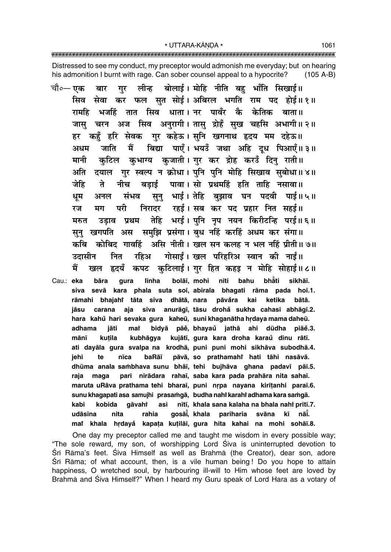\* UTTARA-KĀNDA \* 

Distressed to see my conduct, my preceptor would admonish me everyday; but on hearing his admonition I burnt with rage. Can sober counsel appeal to a hypocrite?  $(105 A-B)$ 

- गर लीन्ह बोलाई। मोहि नीति बहु भाँति सिखाई॥ चौ०— एक बार सिव सेवा कर फल सत सोई। अबिरल भगति राम पद होई॥१॥ भजहिं तात सिव धाता। नर पावँर कै केतिक बाता॥ रामहि जासु चरन अज सिव अनुरागी।तासु द्रोहँ सुख चहसि अभागी॥२॥ हर कहुँ हरि सेवक गुर कहेऊ।सुनि खगनाथ हृदय मम दहेऊ॥ बिद्या पाएँ। भयउँ जथा अहि दुध पिआएँ॥३॥ मैं अधम जाति कटिल कभाग्य कजाती। गर कर द्रोह करउँ दिन राती॥ मानी अति दयाल गर स्वल्प न क्रोधा। पनि पनि मोहि सिखाव सुबोधा॥४॥ बडाई पावा। सो प्रथमहिं हति ताहि नसावा॥ जेहि ते नीच सन भाई। तेहि बझाव घन पदवी पाई॥५॥ संभव धम अनल निरादर रहई । सब कर पद प्रहार नित सहई॥ परी रज मग उड़ाव प्रथम तेहि भरई। पुनि नृप नयन किरीटन्हि परई॥६॥ मरुत सुनु खगपति अस समुझि प्रसंगा। बुध नहिं करहिं अधम कर संगा॥ कबि कोबिद गावहिं असि नीती। खल सन कलह न भल नहिं प्रीती॥ ७॥ रहिअ गोसाईं। खल परिहरिअ स्वान की नाईं॥ उदासीन नित खल हृदयँ कपट कुटिलाई। गुर हित कहड़ न मोहि सोहाई॥८॥ मैं
- bolāī. mohi nīti bahu bhẳti Cau.: eka bāra qura līnha sikhāī. siva sevā kara phala suta soī, abirala bhagati rāma pada hoī.1. rāmahi bhajahi tāta siva dhātā, nara pāvåra kai ketika bātā. siva anurāgī, tāsu drohå sukha cahasi abhāgī.2. iāsu carana aia hara kahů hari sevaka gura kaheū, suni khaganātha hrdaya mama daheū. adhama jāti mat bidyā pāě, bhayaů jathā ahi dūdha piāě.3. kubhāgya kujātī, gura kara droha karaŭ dinu rātī. mānī kutila ati dayāla gura svalpa na krodhā, puni puni mohi sikhāva subodhā.4. jehi te nīca baRāī pāvā, so prathamahi hati tāhi nasāvā. dhūma anala sambhava sunu bhāi, tehi bujhāva ghana padavī pāi.5. parī nirādara rahaī, saba kara pada prahāra nita sahaī. raja maga maruta uRāva prathama tehi bharaī, puni nrpa nayana kirītanhi paraī.6. sunu khagapati asa samujhi prasamgā, budha nahi karahi adhama kara samgā. nītī, khala sana kalaha na bhala nahi prītī.7. kobida aāvahi asi kabi gosāi, khala pariharia udāsīna nita rahia svāna kī nāi. mai khala hrdayå kapata kutilāi, gura hita kahai na mohi sohāi.8.

One day my preceptor called me and taught me wisdom in every possible way; "The sole reward, my son, of worshipping Lord Siva is uninterrupted devotion to Śrī Rāma's feet. Śiva Himself as well as Brahmā (the Creator), dear son, adore Srī Rāma; of what account, then, is a vile human being! Do you hope to attain happiness, O wretched soul, by harbouring ill-will to Him whose feet are loved by Brahmā and Śiva Himself?" When I heard my Guru speak of Lord Hara as a votary of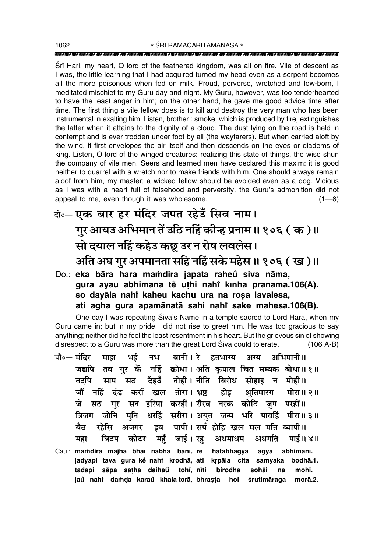Srī Hari, my heart, O lord of the feathered kingdom, was all on fire. Vile of descent as I was, the little learning that I had acquired turned my head even as a serpent becomes all the more poisonous when fed on milk. Proud, perverse, wretched and low-born, I meditated mischief to my Guru day and night. My Guru, however, was too tenderhearted to have the least anger in him; on the other hand, he gave me good advice time after time. The first thing a vile fellow does is to kill and destroy the very man who has been instrumental in exalting him. Listen, brother : smoke, which is produced by fire, extinguishes the latter when it attains to the dignity of a cloud. The dust lying on the road is held in contempt and is ever trodden under foot by all (the wayfarers). But when carried aloft by the wind, it first envelopes the air itself and then descends on the eves or diadems of king. Listen, O lord of the winged creatures: realizing this state of things, the wise shun the company of vile men. Seers and learned men have declared this maxim: it is good neither to quarrel with a wretch nor to make friends with him. One should always remain aloof from him, my master; a wicked fellow should be avoided even as a dog. Vicious as I was with a heart full of falsehood and perversity, the Guru's admonition did not appeal to me, even though it was wholesome.  $(1 - 8)$ 

## वे॰- एक बार हर मंदिर जपत रहेउँ सिव नाम। गुर आयउ अभिमान तें उठि नहिं कीन्ह प्रनाम॥ १०६ ( क )॥ सो दयाल नहिं कहेउ कछु उर न रोष लवलेस। अति अघ गुर अपमानता सहि नहिं सके महेस ॥ १०६ ( ख )॥

Do.: eka bāra hara mamdira japata raheů siva nāma, gura āyau abhimāna tě uthi nahi kīnha pranāma.106(A). so dayāla nahi kaheu kachu ura na rosa lavalesa, ati agha gura apamānatā sahi nahi sake mahesa.106(B).

One day I was repeating Siva's Name in a temple sacred to Lord Hara, when my Guru came in; but in my pride I did not rise to greet him. He was too gracious to say anything; neither did he feel the least resentment in his heart. But the grievous sin of showing disrespect to a Guru was more than the great Lord Siva could tolerate.  $(106 A-B)$ 

|  |  |  | चौ∘— मंदिर माझ भई नभ बानी।ोर हतभाग्य अग्य अभिमानी॥  |  |                                                                    |
|--|--|--|-----------------------------------------------------|--|--------------------------------------------------------------------|
|  |  |  |                                                     |  | जद्यपि तव गुर कें नहिं क्रोधा। अति कृपाल चित सम्यक बोधा॥१॥         |
|  |  |  | तदपि साप सठ दैहउँ तोही। नीति बिरोध सोहाइ न मोही॥    |  |                                                                    |
|  |  |  |                                                     |  | जौं नहिं दंड करौं खल तोरा। भ्रष्ट होइ  श्रुतिमारग  मोरा॥ २॥        |
|  |  |  | जे सठ गुर सन इरिषा करहीं। रौरव नरक कोटि जुग परहीं॥  |  |                                                                    |
|  |  |  |                                                     |  | त्रिजग जोनि पुनि धरहिं सरीरा। अयुत जन्म भरि पावहिं पीरा॥३॥         |
|  |  |  | बैठ रहेसि अजगर इव पापी।सर्पं होहि खल मल मति ब्यापी॥ |  |                                                                    |
|  |  |  |                                                     |  | महा बिटप कोटर महुँ जाई। रहु अधमाधम अधगति पाई॥४॥                    |
|  |  |  |                                                     |  | Cau.: mamdira mājha bhaī nabha bānī, re hatabhāgya agya abhimānī.  |
|  |  |  |                                                     |  | jadyapi tava gura kě nahř krodhā, ati krpāla cita samyaka bodhā.1. |
|  |  |  |                                                     |  |                                                                    |

tadapi sāpa satha daihau tohī, nīti birodha sohāi na mohī. jaů nahř damda karaů khala torā, bhrasta hoi śrutimāraga morā.2.

1062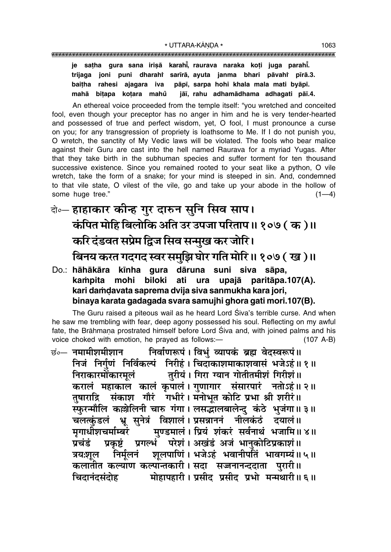je satha gura sana irişā karahi, raurava naraka koti juga parahi. trijaga joni puni dharahi sarīrā ayuta janma bhari pāvahi pīrā.3. baitha rahesi aiagara iva pāpī, sarpa hohi khala mala mati byāpī. mahā bitapa kotara mahů jāī, rahu adhamādhama adhagati pāī.4.

An ethereal voice proceeded from the temple itself: "you wretched and conceited fool, even though your preceptor has no anger in him and he is very tender-hearted and possessed of true and perfect wisdom, yet, O fool, I must pronounce a curse on vou: for any transgression of propriety is loathsome to Me. If I do not punish you, O wretch, the sanctity of My Vedic laws will be violated. The fools who bear malice against their Guru are cast into the hell named Raurava for a myriad Yugas. After that they take birth in the subhuman species and suffer torment for ten thousand successive existence. Since you remained rooted to your seat like a python, O vile wretch, take the form of a snake; for your mind is steeped in sin. And, condemned to that vile state, O vilest of the vile, go and take up your abode in the hollow of some huge tree."  $(1-4)$ 

- केन् हाहाकार कीन्ह गुर दारुन सुनि सिव साप। कंपित मोहि बिलोकि अति उर उपजा परिताप ।। १०७ ( क )।। करि दंडवत सप्रेम द्विज सिव सन्मुख कर जोरि। बिनय करत गदगद स्वर समुझि घोर गति मोरि॥ १०७ (ख)॥
- Do.: hāhākāra kīnha qura dāruna suni siva sāpa, kampita mohi biloki ati ura upajā paritāpa.107(A). kari damdavata saprema dvija siva sanmukha kara jori, binaya karata gadagada svara samujhi ghora gati mori.107(B).

The Guru raised a piteous wail as he heard Lord Śiva's terrible curse. And when he saw me trembling with fear, deep agony possessed his soul. Reflecting on my awful fate, the Brāhmana prostrated himself before Lord Śiva and, with joined palms and his voice choked with emotion, he prayed as follows:- $(107 A-B)$ 

निर्वाणरूपं । विभुं व्यापकं ब्रह्म वेदस्वरूपं ॥ छं०— **नमामीशमीशान** निजं निर्गुणं निर्विकल्पं निरीहं। चिदाकाशमाकाशवासं भजेऽहं॥ १॥ तरीयं । गिरा ग्यान गोतीतमीशं गिरीशं ॥ निराकारमोंकारमलं करालं महाकालं कालं कपालं। गणागार संसारपारं नतोऽहं॥ २॥ तुषाराद्रि संकाश गौरं गभीरं। मनोभूत कोटि प्रभा श्री शरीरं॥ स्फरन्मौलि कल्लोलिनी चारु गंगा। लसद्धालबालेन्द कंठे भजंगा॥३॥ चलत्कंडलं भ्रू सुनेत्रं विशालं। प्रसन्नाननं नीलकंठं दयालं॥ मुण्डमालं । प्रियं शंकरं सर्वनाथं भजामि॥४॥ मगाधीशचर्माम्बरं प्रकष्टं प्रगल्भं परेशं । अखंडं अजं भानकोटिप्रकाशं ॥ प्रचंड शूलपाणिं । भजेऽहं भवानीपतिं भावगम्यं॥५॥ निर्मूलनं त्रयःशुल कलातीत कल्याण कल्पान्तकारी। सदा सज्जनानन्ददाता पुरारी॥ चिदानंदसंदोह मोहापहारी। प्रसीद प्रसीद प्रभो मन्मथारी॥ ६॥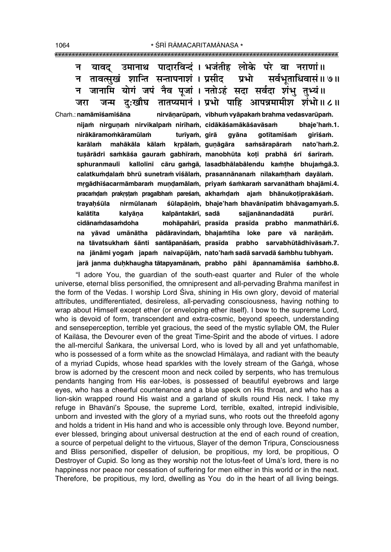| न यावद् उमानाथ पादारविन्दं। भजंतीह लोके परे वा नराणां॥          |  |
|-----------------------------------------------------------------|--|
| न तावत्सुखं शान्ति सन्तापनाशं । प्रसीद प्रभो सर्वभूताधिवासं॥ ७॥ |  |
| न जानामि योगं जपं नैव पूजां । नतोऽहं सदा सर्वदा शंभु तुभ्यं॥    |  |
| जरा जन्म दुःखौघ तातप्यमानं । प्रभो पाहि आपन्नमामीश शंभो॥८॥      |  |

Cham∴ namāmīśamīśāna nirvāṇarūpam, vibhum vyāpakam brahma vedasvarūpam. nijam nirgunam nirvikalpam nirīham, cidākāśamākāśavāsam bhaje'ham.1. nirākāramoṁkāramūlaṁ turīyaṁ, girā gyāna gotītamīśaṁ girīśaṁ. karālam mahākāla kālam krpālam, gunāgāra samsārapāram nato'ham.2. tusārādri samkāśa gauram gabhīram, manobhūta koti prabhā śrī śarīram. **sphuranmauli kallolin∂ cåru ga≈gå, lasadbhålabålendu ka≈¢he bhuja≈gå.3.** calatkumdalam bhrū sunetram viśālam, prasannānanam nīlakamtham dayālam. mrgādhīśacarmāmbaraṁ mundamālaṁ, priyaṁ śaṁkaraṁ sarvanāthaṁ bhajāmi.4. pracamdam prakrstam pragalbham pareśam, akhamdam ajam bhānukotiprakāśam. trayahśūla nirmūlanam śūlapānim, bhaje'ham bhavānīpatim bhāvagamyam.5. **kalåt∂ta kalyåƒa kalpåntakår∂, sadå sajjanånandadåtå purår∂. cidåna≈dasa≈doha mohåpahår∂, pras∂da pras∂da prabho manmathår∂.6. na yåvad umånåtha pådåravinda≈, bhaja≈t∂ha loke pare vå naråƒå≈. na tåvatsukha≈ ‹ånti santåpanå‹a≈, pras∂da prabho sarvabhµutådhivåsa≈.7.** na jānāmi yogam japam naivapūjām, nato'ham sadā sarvadā śambhu tubhyam. jarā janma duḥkhaugha tātapyamānaṁ, prabho pāhi āpannamāmīśa śaṁbho.8.

"I adore You, the quardian of the south-east quarter and Ruler of the whole universe, eternal bliss personified, the omnipresent and all-pervading Brahma manifest in the form of the Vedas. I worship Lord Siva, shining in His own glory, devoid of material attributes, undifferentiated, desireless, all-pervading consciousness, having nothing to wrap about Himself except ether (or enveloping ether itself). I bow to the supreme Lord, who is devoid of form, transcendent and extra-cosmic, beyond speech, understanding and senseperception, terrible yet gracious, the seed of the mystic syllable OM, the Ruler of Kailåsa, the Devourer even of the great Time-Spirit and the abode of virtues. I adore the all-merciful Sankara, the universal Lord, who is loved by all and yet unfathomable, who is possessed of a form white as the snowclad Himålaya, and radiant with the beauty of a myriad Cupids, whose head sparkles with the lovely stream of the Ganga, whose brow is adorned by the crescent moon and neck coiled by serpents, who has tremulous pendants hanging from His ear-lobes, is possessed of beautiful eyebrows and large eyes, who has a cheerful countenance and a blue speck on His throat, and who has a lion-skin wrapped round His waist and a garland of skulls round His neck. I take my refuge in Bhavānī's Spouse, the supreme Lord, terrible, exalted, intrepid indivisible, unborn and invested with the glory of a myriad suns, who roots out the threefold agony and holds a trident in His hand and who is accessible only through love. Beyond number, ever blessed, bringing about universal destruction at the end of each round of creation, a source of perpetual delight to the virtuous, Slayer of the demon Tripura, Consciousness and Bliss personified, dispeller of delusion, be propitious, my lord, be propitious, O Destroyer of Cupid. So long as they worship not the lotus-feet of Uma's lord, there is no happiness nor peace nor cessation of suffering for men either in this world or in the next. Therefore, be propitious, my lord, dwelling as You do in the heart of all living beings.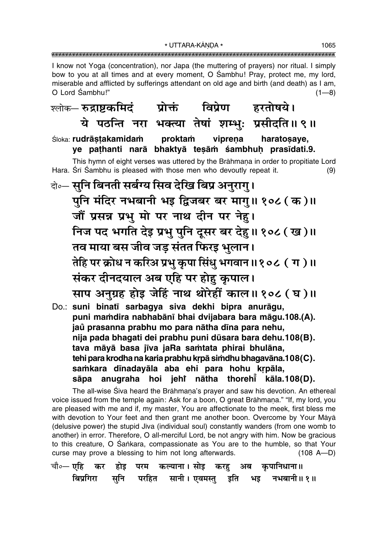I know not Yoga (concentration), nor Japa (the muttering of prayers) nor ritual. I simply bow to you at all times and at every moment, O Sambhu! Pray, protect me, my lord, miserable and afflicted by sufferings attendant on old age and birth (and death) as I am, O Lord Śambhu!"  $(1 - 8)$ 

श्लोक- रुद्राष्टकमिदं प्रोक्तं विप्रेण हरतोषये। ये पठन्ति नरा भक्त्या तेषां शम्भुः प्रसीदति॥९॥ Śloka: rudrāstakamidam proktam viprena haratosave. ye pathanti narā bhaktyā tesām śambhuh prasīdati.9.

This hymn of eight verses was uttered by the Brāhmana in order to propitiate Lord Hara. Srī Sambhu is pleased with those men who devoutly repeat it.  $(9)$ 

- केन्- सुनि बिनती सर्बग्य सिव देखि बिप्र अनुरागु। पुनि मंदिर नभबानी भइ द्विजबर बर मागु॥ १०८ (क)॥ जौं प्रसन्न प्रभु मो पर नाथ दीन पर नेहु। निज पद भगति देइ प्रभु पुनि दूसर बर देहु ॥ १०८ (ख)॥ तव माया बस जीव जड़ संतत फिरड़ भुलान। तेहि पर क्रोध न करिअ प्रभु कुपा सिंधु भगवान ॥१०८ ( ग )॥ संकर दीनदयाल अब एहि पर होहु कुपाल। साप अनग्रह होड़ जेहिं नाथ थोरेहीं काल॥१०८ (घ)॥ Do.: suni binatī sarbagya siva dekhi bipra anurāgu,
- puni mamdira nabhabānī bhai dvijabara bara māgu.108.(A). jaŭ prasanna prabhu mo para nātha dīna para nehu, nija pada bhagati dei prabhu puni dūsara bara dehu.108(B). tava māyā basa jīva jaRa samtata phirai bhulāna, tehi para krodha na karia prabhu krpā simdhu bhagavāna.108(C). samkara dīnadayāla aba ehi para hohu krpāla, sāpa anugraha hoi jehi nātha thorehi kāla.108(D).

The all-wise Siva heard the Brāhmana's prayer and saw his devotion. An ethereal voice issued from the temple again: Ask for a boon, O great Brāhmana." "If, my lord, you are pleased with me and if, my master, You are affectionate to the meek, first bless me with devotion to Your feet and then grant me another boon. Overcome by Your Māyā (delusive power) the stupid Jiva (individual soul) constantly wanders (from one womb to another) in error. Therefore, O all-merciful Lord, be not angry with him. Now be gracious to this creature, O Sankara, compassionate as You are to the humble, so that Your curse may prove a blessing to him not long afterwards.  $(108 A-D)$ 

|  |  | चौ०— एहि  कर  होइ  परम  कल्याना । सोइ  करहु  अब  कृपानिधाना॥ |  |                                                        |
|--|--|--------------------------------------------------------------|--|--------------------------------------------------------|
|  |  |                                                              |  | ं बिप्रगिरा सुनि परहित सानी। एवमस्तु इति भइ नभबानी॥ १॥ |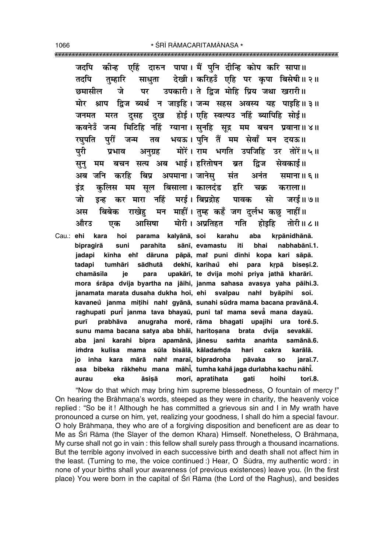1066

\* ŚRĪ RĀMACARITAMĀNASA \*

जदपि कीन्ह एहिं दारुन पापा। मैं पनि दीन्हि कोप करि सापा॥ देखी। करिहडँ एहि पर कृपा बिसेषी॥२॥ तदपि तम्हारि साधता उपकारी। ते द्विज मोहि प्रिय जथा खरारी॥ छमासील जे पर द्विज ब्यर्थ न जाड़हि। जन्म सहस अवस्य यह पाइहि॥ ३॥ मोर श्राप दख होई। एहि स्वल्पउ नहिं ब्यापिहि सोई॥ जनमत मरत दसह कवनेउँ जन्म मिटिहि नहिँ ग्याना। सुनहि सूद्र मम बचन प्रवाना॥४॥ भयऊ। पनि तैं मम सेवाँ मन दयऊ॥ रघपति परीं जन्म तव मोरें। राम भगति उपजिहि उर तोरें॥५॥ पुरी प्रभाव अनग्रह बचन सत्य अब भाई। हरितोषन सेवकाई॥ ब्रत द्विज सन् मम अब जनि करहि बिप्र अपमाना। जानेस् संत अनंत समाना ॥ ६॥ कुलिस मम सूल बिसाला। कालदंड डंद्र हरि चक कराला ॥ जो कर मारा नहिं मरई। बिप्रद्रोह पावक सो जरई॥ ७॥ इन्ह मन माहीं। तम्ह कहँ जग दर्लभ कछ नाहीं॥ बिबेक अस राखेह मोरी। अप्रतिहत औरउ आसिषा गति होड़हि तोरी॥ ८॥ एक Cau.: ehi kara hoi parama kalyānā, soi karahu aba krpānidhānā. sānī, evamastu bipragirā suni parahita iti bhai nabhabānī.1. jadapi kīnha eht dāruna pāpā, mai puni dīnhi kopa kari sāpā. tumhāri sādhutā dekhī, karihaŭ ehi tadapi para krpā bisesī.2. upakārī, te dvija mohi priya jathā kharārī. chamāsīla ie para mora śrāpa dvija byartha na jāihi, janma sahasa avasya yaha pāihi.3. janamata marata dusaha dukha hoi, ehi svalpau nahi byāpihi soī. kavaneů janma mitihi nahř gyānā, sunahi sūdra mama bacana pravānā.4. raghupati puri janma tava bhayaū, puni tar mama seva mana dayaū. purī prabhāva anugraha morė, rāma bhagati upajihi ura torė.5. sunu mama bacana satya aba bhāi, haritosana brata dviia sevakāī. aba jani karahi bipra apamānā, jānesu samānā.6. samta anamta imdra kulisa mama sūla bisālā, kāladamda hari cakra karālā. inha kara mārā nahi maraī, bipradroha pāvaka **SO** jaraī.7. io bibeka rākhehu mana māhi, tumha kahå jaga durlabha kachu nāhi. asa morī, apratihata aurau eka āsisā qati hoihi torī.8.

"Now do that which may bring him supreme blessedness, O fountain of mercy!" On hearing the Brāhmana's words, steeped as they were in charity, the heavenly voice replied: "So be it! Although he has committed a grievous sin and I in My wrath have pronounced a curse on him, yet, realizing your goodness, I shall do him a special favour. O holy Brāhmana, they who are of a forgiving disposition and beneficent are as dear to Me as Srī Rāma (the Slayer of the demon Khara) Himself. Nonetheless, O Brāhmana, My curse shall not go in vain: this fellow shall surely pass through a thousand incarnations. But the terrible agony involved in each successive birth and death shall not affect him in the least. (Turning to me, the voice continued :) Hear, O Sudra, my authentic word : in none of your births shall your awareness (of previous existences) leave you. (In the first place) You were born in the capital of Sri Rama (the Lord of the Raghus), and besides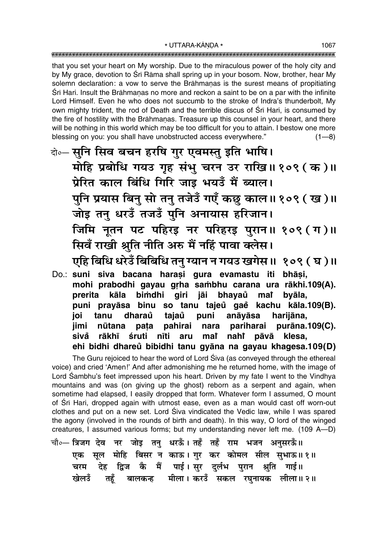1067

that you set your heart on My worship. Due to the miraculous power of the holy city and by My grace, devotion to Śrī Rāma shall spring up in your bosom. Now, brother, hear My solemn declaration: a vow to serve the Brāhmanas is the surest means of propitiating Śrī Hari. Insult the Brāhmanas no more and reckon a saint to be on a par with the infinite Lord Himself. Even he who does not succumb to the stroke of Indra's thunderbolt, My own mighty trident, the rod of Death and the terrible discus of Srī Hari, is consumed by the fire of hostility with the Brāhmanas. Treasure up this counsel in your heart, and there will be nothing in this world which may be too difficult for you to attain. I bestow one more blessing on you: you shall have unobstructed access everywhere."  $(1 - 8)$ 

बेञ्- सुनि सिव बचन हरषि गुर एवमस्तु इति भाषि। मोहि प्रबोधि गयउ गृह संभु चरन उर राखि॥१०९ (क)॥ प्रेरित काल बिंधि गिरि जाड़ भयउँ मैं ब्याल। पुनि प्रयास बिनु सो तनु तजेउँ गएँ कछु काल॥१०९ ( ख )॥ जोइ तनु धरउँ तजउँ पुनि अनायास हरिजान। जिमि नूतन पट पहिरइ नर परिहरइ पुरान॥ १०९ (ग)॥ सिवँ राखी श्रुति नीति अरु मैं नहिं पावा क्लेस। एहि बिधि धरेउँ बिबिधि तनु ग्यान न गयउ खगेस ॥ १०९ ( घ )॥ Do.: suni siva bacana harasi gura evamastu iti bhāsi, mohi prabodhi gayau grha sambhu carana ura rākhi.109(A).

kāla biṁdhi bhavaů prerita qiri iāi mat byāla. puni prayāsa binu so tanu tajeů gaě kachu kāla.109(B). ioi tanu dharaů tajaů puni anāvāsa harijāna, purāna.109(C). jimi nūtana pahirai pariharai pata nara nīti sivå rākhī śruti aru mar nahi pāvā klesa, ehi bidhi dhareů bibidhi tanu gyāna na gayau khagesa.109(D)

The Guru rejoiced to hear the word of Lord Śiva (as conveyed through the ethereal voice) and cried 'Amen!' And after admonishing me he returned home, with the image of Lord Sambhu's feet impressed upon his heart. Driven by my fate I went to the Vindhya mountains and was (on giving up the ghost) reborn as a serpent and again, when sometime had elapsed, I easily dropped that form. Whatever form I assumed, O mount of Srī Hari, dropped again with utmost ease, even as a man would cast off worn-out clothes and put on a new set. Lord Siva vindicated the Vedic law, while I was spared the agony (involved in the rounds of birth and death). In this way, O lord of the winged creatures, I assumed various forms; but my understanding never left me. (109 A-D)

|  |  | चौ०— त्रिजग देव नर जोइ तनु धरऊँ। तहँ तहँ राम भजन अनुसरऊँ॥ |  |                                                   |
|--|--|-----------------------------------------------------------|--|---------------------------------------------------|
|  |  |                                                           |  | एक सूल मोहि बिसर न काऊ। गुर कर कोमल सील सुभाऊ॥१॥  |
|  |  | चरम देह द्विज कै मैं पाई।सुर दुर्लभ पुरान श्रुति गाई॥     |  |                                                   |
|  |  |                                                           |  | खेलउँ तहूँ बालकन्ह मीला।।करउँ सकल रघुनायक लीला॥२॥ |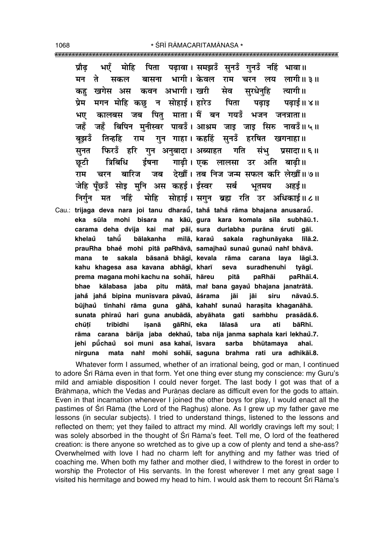प्रौढ भएँ मोहि पिता पढावा । समझउँ सनउँ गनउँ नहिँ भावा॥ बासना भागी। केवल राम चरन लय लागी॥३॥ मन ते सकल कवन अभागी। खरी सेव सरधेनहि त्यागी ॥ कह खगेस अस प्रेम मगन मोहि कछ न सोहार्ड । हारेउ पिता पढाई॥ ४॥ पढाड कालबस जब पित् माता। मैं बन गयउँ भजन जनत्राता॥ भए जहँ जहँ बिपिन मनीस्वर पावउँ। आश्रम जाड जाड सिरु नावउँ॥५॥ बझउँ तिन्हहि राम गन गाहा ।कहहिं सनउँ हरषित खगनाहा॥ सनत फिरउँ हरि गन अनबादा। अब्याहत गति संभ प्रसादा॥ ६॥ गाढी। एक लालसा उर अति बाढ़ी।। त्रिबिधि र्डषना छटी जब देखौं। तब निज जन्म सफल करि लेखौं॥७॥ राम बारिज चरन जेहि पँछउँ सोड मनि अस कहर्ड। ईस्वर मर्ब भतमय अहर्द ॥ निर्गन नहिं मोहि सोहाई। सगुन ब्रह्म रति उर अधिकाई॥८॥ मत Cau.: trijaga deva nara joi tanu dharau, tahă tahă rāma bhajana anusarau. eka sūla mohi bisara na kāū, gura kara komala sīla subhāū.1. carama deha dvija kai mai pāī, sura durlabha purāna śruti gāī. khelaů tahū bālakanha mīlā, karaů sakala raghunāvaka  $I\bar{I}l\bar{a}.2.$ prauRha bhaě mohi pitā paRhāvā, samajhaů sunaů gunaů nahř bhāvā. te sakala bāsanā bhāgī, kevala rāma carana laya mana lāgī.3. kahu khagesa asa kavana abhāgī, kharī seva suradhenuhi tvāgī.

prema magana mohi kachu na sohāī, hāreu pitā paRhāi paRhāī.4. kālabasa jaba pitu mātā, mai bana gayaŭ bhajana janatrātā. bhae jahå jahå bipina munīsvara pāvaŭ, āśrama jāi siru iāi nāvaů.5. būjhaů tinhahi rāma guna gāhā, kahahi sunaů harașita khaganāhā. sunata phiraŭ hari guna anubādā, abyāhata gati sambhu prasādā.6. chūtī tribidhi **īsanā** gāRhī, eka lālasā ura ati **bāRhī** rāma carana bārija jaba dekhaů, taba nija janma saphala kari lekhaů.7. jehi pūchaŭ soi muni asa kahaī, īsvara sarba bhūtamaya ahaī. mata nahi mohi sohāi, saguna brahma rati ura adhikāi.8. nirguna

Whatever form I assumed, whether of an irrational being, god or man, I continued to adore Srī Rāma even in that form. Yet one thing ever stung my conscience: my Guru's mild and amiable disposition I could never forget. The last body I got was that of a Brāhmana, which the Vedas and Purānas declare as difficult even for the gods to attain. Even in that incarnation whenever I joined the other boys for play, I would enact all the pastimes of Sri Rama (the Lord of the Raghus) alone. As I grew up my father gave me lessons (in secular subjects). I tried to understand things, listened to the lessons and reflected on them; yet they failed to attract my mind. All worldly cravings left my soul; I was solely absorbed in the thought of Sri Rama's feet. Tell me, O lord of the feathered creation: is there anyone so wretched as to give up a cow of plenty and tend a she-ass? Overwhelmed with love I had no charm left for anything and my father was tried of coaching me. When both my father and mother died, I withdrew to the forest in order to worship the Protector of His servants. In the forest wherever I met any great sage I visited his hermitage and bowed my head to him. I would ask them to recount Srī Rāma's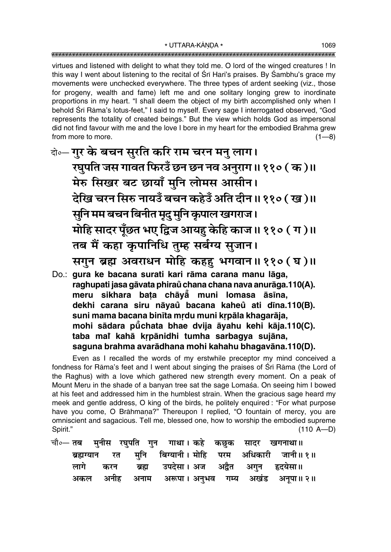virtues and listened with delight to what they told me. O lord of the winged creatures ! In this way I went about listening to the recital of Srī Hari's praises. By Sambhu's grace my movements were unchecked everywhere. The three types of ardent seeking (viz., those for progeny, wealth and fame) left me and one solitary longing grew to inordinate proportions in my heart. "I shall deem the object of my birth accomplished only when I behold Śrī Rāma's lotus-feet," I said to myself. Every sage I interrogated observed, "God represents the totality of created beings." But the view which holds God as impersonal did not find favour with me and the love I bore in my heart for the embodied Brahma grew from more to more.  $(1 - 8)$ 

केन्- गुर के बचन सुरति करि राम चरन मनु लाग। रघुपति जस गावत फिरउँ छन छन नव अनुराग॥ ११० ( क )॥ मेरु सिखर बट छायाँ मुनि लोमस आसीन। देखि चरन सिरु नायउँ बचन कहेउँ अति दीन॥११० ( ख )॥ सुनि मम बचन बिनीत मृदु मुनि कृपाल खगराज। मोहि सादर पूँछत भए द्विज आयहु केहि काज॥ ११० ( ग )॥ तब मैं कहा कृपानिधि तुम्ह सर्बग्य सुजान। सगुन ब्रह्म अवराधन मोहि कहह भगवान॥११० (घ)॥ Do.: qura ke bacana surati kari rāma carana manu lāga, raghupati jasa gāvata phiraŭ chana chana nava anurāga.110(A). meru sikhara bata chāva muni lomasa āsīna, dekhi carana siru nāyaŭ bacana kaheŭ ati dīna.110(B). suni mama bacana binīta mrdu muni krpāla khagarāja, mohi sādara pūchata bhae dvija āyahu kehi kāja.110(C).

taba mai kahā krpānidhi tumha sarbagya sujāna, saguna brahma avarādhana mohi kahahu bhagavāna.110(D). Even as I recalled the words of my erstwhile preceptor my mind conceived a

fondness for Rāma's feet and I went about singing the praises of Srī Rāma (the Lord of the Raghus) with a love which gathered new strength every moment. On a peak of Mount Meru in the shade of a banyan tree sat the sage Lomaśa. On seeing him I bowed at his feet and addressed him in the humblest strain. When the gracious sage heard my meek and gentle address, O king of the birds, he politely enquired : "For what purpose have you come, O Brāhmaṇa?" Thereupon I replied, "O fountain of mercy, you are omniscient and sagacious. Tell me, blessed one, how to worship the embodied supreme Spirit."  $(110 A-D)$ 

|  |  |  |  | चौ∘— तब   मुनीस   रघुपति   गुन   गाथा । कहे   कछुक   सादर   खगनाथा॥ |
|--|--|--|--|---------------------------------------------------------------------|
|  |  |  |  | ब्रह्मग्यान रत मुनि बिग्यानी।मोहि परम अधिकारी जानी॥१॥               |
|  |  |  |  | लागे करन ब्रह्म उपदेसा।अज अद्वैत अगुन हृदयेसा॥                      |
|  |  |  |  | अकल अनीह अनाम अरूपा।अनुभव गम्य अखंड अनूपा॥२॥                        |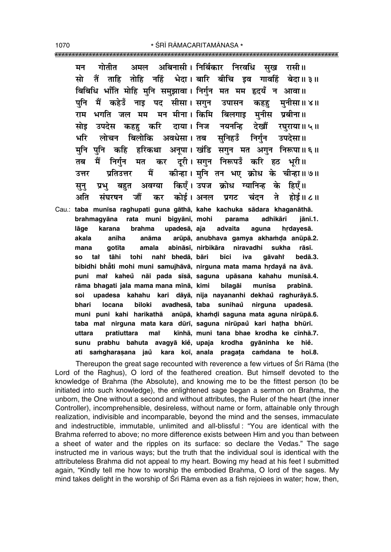गोतीत अबिनासी। निर्बिकार निरवधि सख रासी॥ मन अमल तैं ताहि तोहि नहिं भेदा। बारि बीचि इव गावहिं बेदा॥३॥ मो बिबिधि भाँति मोहि मनि समझावा। निर्गन मत मम हृदयँ न आवा॥ पनि मैं कहेउँ नाड पद सीसा।सगन उपासन कहह मनीसा॥ ४॥ राम भगति जल मम मन मीना। किमि बिलगाड मनीस प्रबीना॥ मोड उपदेस कहह करि दाया । निज नयनन्धि देखौं रघराया॥५॥ भरि लोचन बिलोकि अवधेसा । तब सनिहउँ निर्गन उपदेसा॥ मनि पनि कहि हरिकथा अनुपा।खंडि सगन मत अगन निरूपा॥६॥ कर दरी।सगन निरूपउँ करि हठ भरी॥ मैं निर्गन तब मत कीन्हा। मनि तन भए क्रोध के चीन्हा॥७॥ मैं उत्तर प्रतिउत्तर किएँ। उपज क्रोध ग्यानिन्ह के हिएँ ॥ अवग्या सन् प्रभ बहत अति संघरषन जौं कर कोई। अनल प्रगट ते होई॥ ८॥ चंदन

Cau.: taba munīsa raghupati guna gāthā, kahe kachuka sādara khaganāthā. brahmagyāna rata muni bigyānī, mohi parama adhikārī jānī.1. lāge karana brahma upadesā, aja advaita aguna hrdayesā. arūpā, anubhava gamya akhamda anūpā.2. akala anīha anāma niravadhi abināsī, nirbikāra sukha rāsī. mana qotīta amala nahř bhedā, bāri **SO** tar tāhi tohi bīci iva qāvahř bedā.3. bibidhi bhati mohi muni samujhāvā, nirguna mata mama hrdaya na āvā. puni mai kaheŭ nāi pada sīsā, saguna upāsana kahahu munīsā.4. rāma bhagati jala mama mana mīnā, kimi bilagāi munīsa prabīnā. soi upadesa kahahu kari dāyā, nija nayananhi dekhaŭ raghurāyā.5. avadhesā, taba sunihaŭ bhari locana biloki nirguna upadesā. muni puni kahi harikathā anūpā, khamdi saguna mata aguna nirūpā.6. taba mai nirguna mata kara dūrī, saguna nirūpaŭ kari hatha bhūrī. pratiuttara mat kīnhā, muni tana bhae krodha ke cīnhā.7. uttara sunu prabhu bahuta avagyā kie, upaja krodha gyāninha ke hie. ati samgharasana jaŭ kara koi, anala pragata camdana te hoi.8.

Thereupon the great sage recounted with reverence a few virtues of Sri Rama (the Lord of the Raghus), O lord of the feathered creation. But himself devoted to the knowledge of Brahma (the Absolute), and knowing me to be the fittest person (to be initiated into such knowledge), the enlightened sage began a sermon on Brahma, the unborn, the One without a second and without attributes, the Ruler of the heart (the inner Controller), incomprehensible, desireless, without name or form, attainable only through realization, indivisible and incomparable, beyond the mind and the senses, immaculate and indestructible, immutable, unlimited and all-blissful: "You are identical with the Brahma referred to above; no more difference exists between Him and you than between a sheet of water and the ripples on its surface: so declare the Vedas." The sage instructed me in various ways; but the truth that the individual soul is identical with the attributeless Brahma did not appeal to my heart. Bowing my head at his feet I submitted again, "Kindly tell me how to worship the embodied Brahma, O lord of the sages. My mind takes delight in the worship of Sri Rama even as a fish rejoiees in water; how, then,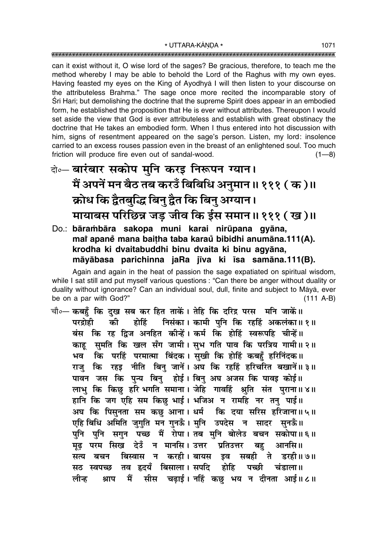can it exist without it, O wise lord of the sages? Be gracious, therefore, to teach me the method whereby I may be able to behold the Lord of the Raghus with my own eyes. Having feasted my eyes on the King of Ayodhya I will then listen to your discourse on the attributeless Brahma." The sage once more recited the incomparable story of Srī Hari; but demolishing the doctrine that the supreme Spirit does appear in an embodied form, he established the proposition that He is ever without attributes. Thereupon I would set aside the view that God is ever attributeless and establish with great obstinacy the doctrine that He takes an embodied form. When I thus entered into hot discussion with him, signs of resentment appeared on the sage's person. Listen, my lord: insolence carried to an excess rouses passion even in the breast of an enlightened soul. Too much friction will produce fire even out of sandal-wood.  $(1 - 8)$ 

### वे⊶ बारंबार सकोप मुनि करइ निरूपन ग्यान। मैं अपनें मन बैठ तब करउँ बिबिधि अनुमान॥ १११ ( क )॥ क्रोध कि द्वैतबुद्धि बिनु द्वैत कि बिनु अग्यान। मायाबस परिछिन्न जड जीव कि ईस समान॥१११ ( ख )॥

Do.: bārambāra sakopa muni karai nirūpana gyāna, mai apaně mana baitha taba karaů bibidhi anumāna.111(A). krodha ki dvaitabuddhi binu dvaita ki binu agyāna, māyābasa parichinna jaRa jīva ki īsa samāna.111(B).

Again and again in the heat of passion the sage expatiated on spiritual wisdom, while I sat still and put myself various questions : "Can there be anger without duality or duality without ignorance? Can an individual soul, dull, finite and subject to Māyā, ever be on a par with God?"  $(111 A-B)$ 

चौ०— कबहुँ कि दुख सब कर हित ताकें। तेहि कि दरिद्र परस मनि जाकें॥ की होहिं निसंका। कामी पनि कि रहहिं अकलंका॥ १॥ परद्रोही बंस कि रह द्विज अनहित कीन्हें। कर्म कि होहिं स्वरूपहि चीन्हें॥ काह समति कि खल सँग जामी। सभ गति पाव कि परत्रिय गामी॥२॥ भव कि परहिं परमात्मा बिंदक। सुखी कि होहिं कबहँ हरिनिंदक॥ राज कि रहड़ नीति बिन जानें। अंघ कि रहहिं हरिचरित बखानें॥३॥ पावन जस कि पुन्य बिनु होई। बिनु अघ अजस कि पावइ कोई॥ लाभु कि किछु हरि भगति समाना। जेहि गावहिं श्रुति संत पुराना॥४॥ हानि कि जग एहि सम किछ भाई। भजिअ न रामहि नर तन पाई॥ अघ कि पिसुनता सम कछ आना। धर्म कि दया सरिस हरिजाना॥५॥ एहि बिधि अमिति जुगुति मन गुनऊँ। मुनि उपदेस न सादर सुनऊँ॥ पनि पनि सगुन पच्छ मैं रोपा। तब मुनि बोलेउ बचन सकोपा॥६॥ मूढ़ परम सिख देउँ न मानसि। उत्तर प्रतिउत्तर बहु आनसि॥ बिस्वास न करही। बायस इव सबही ते डरही॥७॥ सत्य बचन तव हृदयँ बिसाला। सपदि होहि सठ स्वपच्छ पच्छी चंडाला॥ श्राप मैं सीस चढाई। नहिं कछ भय न दीनता आई॥८॥ लीन्ह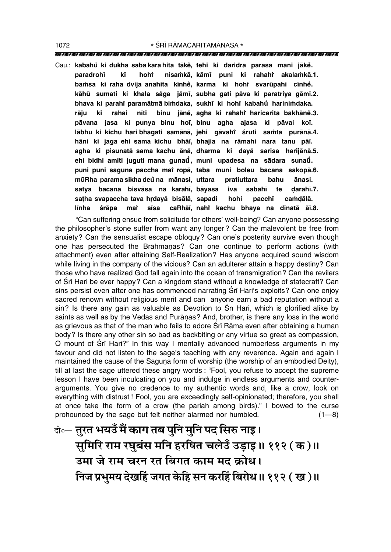""""""""""""""""""""""""""""""""""""""""""""""""""""""""""""""""""""""""""""""""""" 1072 **\*** SRĪ RĀMACARITAMĀNASA \*

Cau.: **kabahu° ki dukha saba kara hita tåke°, tehi ki daridra parasa mani jåke° . paradroh∂ k∂ hohiÚ nisa≈kå, kåm∂ puni ki rahahiÚ akala≈kå.1. baṁsa ki raha dvija anahita kīnhĕ, karma ki hohř svarūpahi cīnh<mark>ě</mark>. kåhµu sumati ki khala sa°ga jåm∂, subha gati påva ki paratriya gåm∂.2. bhava ki parahiÚ paramåtmå bi≈daka, sukh∂ ki hohiÚ kabahu° harini≈daka. råju ki rahai n∂ti binu jåne°, agha ki rahahiÚ haricarita bakhåne° .3. påvana jasa ki punya binu ho∂, binu agha ajasa ki påvai ko∂. låbhu ki kichu hari bhagati samånå, jehi gåvahiÚ ‹ruti sa≈ta purånå.4. håni ki jaga ehi sama kichu bhå∂, bhajia na råmahi nara tanu på∂. agha ki pisunatå sama kachu ånå, dharma ki dayå sarisa harijånå.5.** ehi bidhi amiti juguti mana gunaū<sup>̃</sup>, muni upadesa na sādara sunaū̃. **puni puni saguna paccha maiÚ ropå, taba muni boleu bacana sakopå.6. mµuRha parama sikha deu° na månasi, uttara pratiuttara bahu ånasi.** satya bacana bisvāsa na karahī, bāyasa iva sabahī te darahī.7. **satha svapaccha tava hrdayå bisālā, sapadi hohi pacchī camdālā.** līnha śrāpa ma**ř s∂sa caRhå∂, nahiÚ kachu bhaya na d∂natå å∂.8.**

ìCan suffering ensue from solicitude for othersí well-being? Can anyone possessing the philosopherís stone suffer from want any longer ? Can the malevolent be free from anxiety? Can the sensualist escape obloguy? Can one's posterity survive even though one has persecuted the Brāhmanas? Can one continue to perform actions (with attachment) even after attaining Self-Realization? Has anyone acquired sound wisdom while living in the company of the vicious? Can an adulterer attain a happy destiny? Can those who have realized God fall again into the ocean of transmigration? Can the revilers of Srī Hari be ever happy? Can a kingdom stand without a knowledge of statecraft? Can sins persist even after one has commenced narrating Srī Hari's exploits? Can one enjoy sacred renown without religious merit and can anyone earn a bad reputation without a sin? Is there any gain as valuable as Devotion to Śrī Hari, which is glorified alike by saints as well as by the Vedas and Purāṇas? And, brother, is there any loss in the world as grievous as that of the man who fails to adore Śrī Rāma even after obtaining a human body? Is there any other sin so bad as backbiting or any virtue so great as compassion, O mount of Sn Hari?" In this way I mentally advanced numberless arguments in my favour and did not listen to the sage's teaching with any reverence. Again and again I maintained the cause of the Saguna form of worship (the worship of an embodied Deity), till at last the sage uttered these angry words : "Fool, you refuse to accept the supreme lesson I have been inculcating on you and indulge in endless arguments and counterarguments. You give no credence to my authentic words and, like a crow, look on everything with distrust ! Fool, you are exceedingly self-opinionated; therefore, you shall at once take the form of a crow (the pariah among birds)." I bowed to the curse prohounced by the sage but felt neither alarmed nor humbled.  $(1-8)$ 

दो**०— तुरत भयउँ मैं काग तब पुनि मुनि पद सिरु नाइ।**  $\overline{R}$ मिरि राम रघुबंस मनि हरषित चलेउँ उड़ाइ॥ ११२ ( क )॥ <u>उमा जे राम चरन रत बिगत काम मद क्रोध।</u> <u>निज प्रभुमय देखहिं जगत केहि सन करहिं बिरोध॥ ११२ ( ख)॥</u>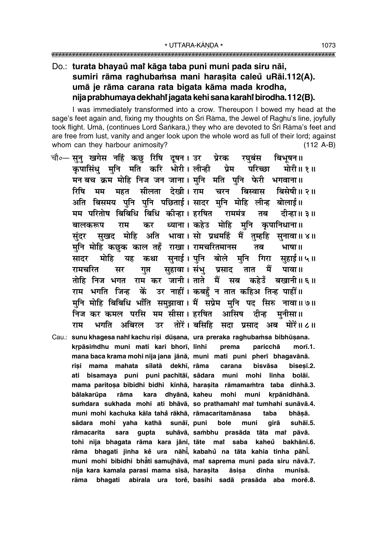### Do.: turata bhayaŭ mar kāga taba puni muni pada siru nāi, sumiri rāma raghubamsa mani harasita caleŭ uRāi.112(A). umā je rāma carana rata bigata kāma mada krodha, nija prabhumaya dekhahi jagata kehi sana karahi birodha. 112(B).

I was immediately transformed into a crow. Thereupon I bowed my head at the sage's feet again and, fixing my thoughts on Srī Rāma, the Jewel of Raghu's line, joyfully took flight. Umā, (continues Lord Śaṅkara,) they who are devoted to Śrī Rāma's feet and are free from lust, vanity and anger look upon the whole word as full of their lord; against whom can they harbour animosity?  $(112 A-B)$ 

- बिभषन ॥ चौ०— सूनु खगेस नहिं कछ रिषि दूषन। उर प्रेरक रघबंस कुपासिंध मनि मति करि भोरी।लीन्ही मोरी॥ १॥ प्रेम परिच्छा मन बच क्रम मोहि निज जन जाना। मुनि मति पुनि फेरी भगवाना॥ रिषि मम महत सीलता देखी।राम चरन बिस्वास बिसेषी॥ २॥ अति बिसमय पनि पनि पछिताई। सादर मनि मोहि लीन्ह बोलाई॥ मम परितोष बिबिधि बिधि कीन्हा। हरषित राममंत्र तब दीन्हा॥ ३॥ ध्याना। कहेउ मोहि मनि कपानिधाना॥ राम कर बालकरूप सुखद मोहि अति भावा। सो प्रथमहिं मैं तुम्हहि सुनावा॥४॥ संदर मनि मोहि कछक काल तहँ राखा। रामचरितमानस तब भाषा ॥ यह कथा सनाई। पनि बोले मनि गिरा सहाई॥५॥ सादर मोहि सहावा। संभु प्रसाद तात मैं रामचरित सर गुप्त पावा ॥ तोहि निज भगत राम कर जानी। ताते मैं सब कहेउँ बखानी॥६॥ राम भगति जिन्ह कें उर नाहीं। कबहँ न तात कहिअ तिन्ह पाहीं॥ मनि मोहि बिबिधि भाँति समुझावा। मैं सप्रेम मनि पद सिरु नावा॥ ७॥ निज कर कमल परसि मम सीसा। हरषित आसिष दीन्ह मनीसा॥ तोरें। बसिहि सदा प्रसाद अब मोरें॥८॥ राम भगति अबिरल उर
- Cau.: sunu khaqesa nahi kachu risi dūsana, ura preraka raghubamsa bibhūsana. krpāsimdhu muni mati kari bhorī, līnhī prema paricchā morī.1. mana baca krama mohi nija jana jānā, muni mati puni pherī bhagavānā. risi mama mahata sīlatā dekhī, rāma carana bisvāsa bisesī.2. ati bisamaya puni puni pachitāi, sādara muni mohi līnha bolāī. mama paritoșa bibidhi bidhi kīnhā, harașita rāmamamtra taba dīnhā.3. kara dhyānā, kaheu mohi muni bālakarūpa rāma krpānidhānā. sumdara sukhada mohi ati bhāvā, so prathamahi mai tumhahi sunāvā.4. muni mohi kachuka kāla tahå rākhā, rāmacaritamānasa taba bhāsā. sādara mohi vaha kathā sunāī, puni bole muni airā suhāī.5. rāmacarita sara gupta suhāvā, sambhu prasāda tāta mai pāvā. tohi nija bhagata rāma kara jānī, tāte mai saba kaheů bakhānī.6. rāma bhagati jinha ke ura nāhi, kabahu na tāta kahia tinha pāhi. muni mohi bibidhi bhati samujhāvā, mai saprema muni pada siru nāvā.7. nija kara kamala parasi mama sīsā, harasita āsisa dīnha munīsā. rāma bhagati abirala ura torė, basihi sadā prasāda aba morė.8.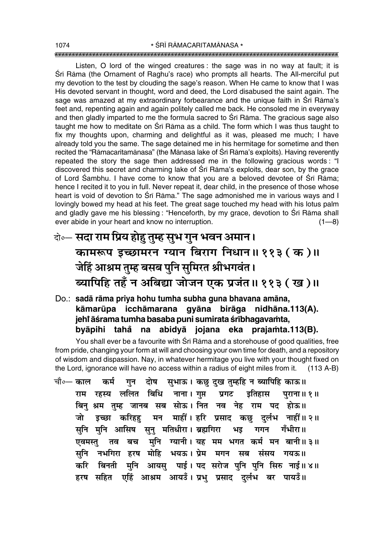Listen, O lord of the winged creatures : the sage was in no way at fault; it is Śrī Rāma (the Ornament of Raghu's race) who prompts all hearts. The All-merciful put my devotion to the test by clouding the sage's reason. When He came to know that I was His devoted servant in thought, word and deed, the Lord disabused the saint again. The sage was amazed at my extraordinary forbearance and the unique faith in Śrī Rāma's feet and, repenting again and again politely called me back. He consoled me in everyway and then gladly imparted to me the formula sacred to Śrī Rāma. The gracious sage also taught me how to meditate on Śrī Rāma as a child. The form which I was thus taught to fix my thoughts upon, charming and delightful as it was, pleased me much; I have already told you the same. The sage detained me in his hermitage for sometime and then recited the "Rāmacaritamānasa" (the Mānasa lake of Śrī Rāma's exploits). Having reverently repeated the story the sage then addressed me in the following gracious words : "I discovered this secret and charming lake of Śrī Rāma's exploits, dear son, by the grace of Lord Śambhu. I have come to know that you are a beloved devotee of Śrī Rāma; hence I recited it to you in full. Never repeat it, dear child, in the presence of those whose heart is void of devotion to Śrī Rāma." The sage admonished me in various ways and I lovingly bowed my head at his feet. The great sage touched my head with his lotus palm and gladly gave me his blessing : "Henceforth, by my grace, devotion to Śrī Rāma shall ever abide in your heart and know no interruption.  $(1-8)$ 

- दो**०— सदा राम प्रिय हो<u>ह</u> तुम्ह सुभ गुन भवन अमान। कामरूप इच्छामरन ग्यान बिराग निधान॥११३ ( क)॥** <u>जेहिं आश्रम तुम्ह बसब पुनि सुमिरत श्रीभगवंत।</u> **ब्यापिहि तहँ न अबिद्या जोजन एक प्रजंत॥११३ ( ख)॥**
- Do.: **sadå råma priya hohu tumha subha guna bhavana amåna, kåmarµupa icchåmarana gyåna biråga nidhåna.113(A).** jehi̇̀ āśrama tumha basaba puni sumirata śrībhagavaṁta, **byåpihi taha° na abidyå jojana eka praja≈ta.113(B).**

You shall ever be a favourite with Śrī Rāma and a storehouse of good qualities, free from pride, changing your form at will and choosing your own time for death, and a repository of wisdom and dispassion. Nay, in whatever hermitage you live with your thought fixed on the Lord, ignorance will have no access within a radius of eight miles from it. (113 A-B)

चौ०— काल कर्म गुन दोष सुभाऊ। कछ दुख तुम्हहि न ब्यापिहि काऊ॥ **राम रहस्य ललित बिधि नाना। गुप्त प्रगट इतिहास पुराना॥१॥** <u>बिनु श्रम तुम्ह जानब सब सोऊ। नित नव नेह राम पद होऊ॥</u> जो इच्छा करिहहु मन माहीं। हरि प्रसाद कछु दुर्लभ नाहीं॥ २॥ सनि मनि आसिष सन् मतिधीरा।**ब्रह्मगिरा भड़ गगन गँभीरा**॥ **एवमस्तु तव बच मुनि ग्यानी। यह मम भगत कर्म मन बानी॥३॥** सुनि नभगिरा हरष मोहि भयऊ।*प्रे*म मगन सब संसय गयऊ॥ करि बिनती मुनि आयसु पाई। पद सरोज पुनि पुनि सिरु नाई॥४॥ हरष सहित एहिं आश्रम आयउँ।*प्र*भु प्रसाद दुर्लभ बर पायउँ॥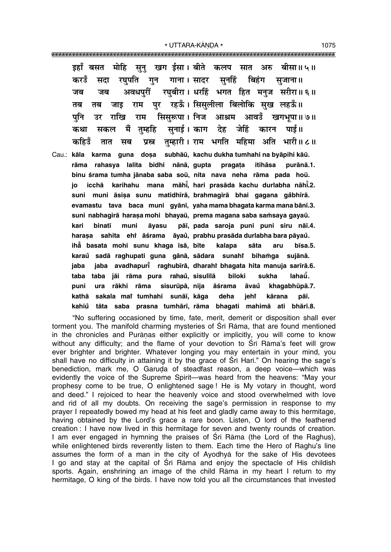\* UTTARA-KĀNDA \* 

मोहि सन् खगईसा।बीते कलप डहाँ बसत बीसा॥ ५॥ अरु सात बिहंग रघपति गुन गाना। सादर सुनहिं करउँ सदा सजाना ॥ रघुबीरा। धरहिं भगत हित मनुज सरीरा॥६॥ अवधपुरीं जब जब पर रहऊँ। सिसुलीला बिलोकि सुख लहऊँ॥ राम तब तब जाड सिसरूपा । निज आश्रम आवउँ खगभपा॥७॥ पनि राखि राम उर सनाई। काग देह जेहिं पाई॥ कथा सकल मैं तम्हहि कारन कहिउँ तम्हारी। राम भगति महिमा अति सब ्भारी॥ ८॥ पस्र तात

subhāū, kachu dukha tumhahi na byāpihi kāū. Cau.: kāla karma guna dosa rāma rahasya lalita bidhi nānā, gupta itihāsa purānā.1. pragata binu śrama tumha jānaba saba soū, nita nava neha rāma pada hoū. icchā karihahu mana māhi, hari prasāda kachu durlabha nāhi.2. io suni muni āsisa sunu matidhīrā, brahmagirā bhai gagana gåbhīrā. evamastu tava baca muni gyānī, yaha mama bhagata karma mana bānī.3. suni nabhagirā haraṣa mohi bhayaū, prema magana saba samsaya gayaū. muni kari binatī āvasu pāī, pada saroja puni puni siru nāī.4. harasa sahita ehi āśrama āyaů, prabhu prasāda durlabha bara pāyaů. ihå basata mohi sunu khaga īsā, bīte kalapa sāta aru bīsa.5. karaŭ sadā raghupati guna gānā, sādara sunahi bihamga sujānā. jaba jaba avadhapurt raghubīrā, dharahi bhagata hita manuja sarīrā.6. taba taba jāi rāma pura rahaŭ, sisulīlā biloki sukha lahaū. khagabhūpā.7. puni ura rākhi rāma sisurūpā, nija āśrama āvaů sakala mai tumhahi sunāī, kāga kathā deha ieht kārana pāī. kahiů tāta saba prasna tumhārī, rāma bhagati mahimā ati bhārī.8.

"No suffering occasioned by time, fate, merit, demerit or disposition shall ever torment you. The manifold charming mysteries of Sri Rama, that are found mentioned in the chronicles and Purānas either explicitly or implicitly, you will come to know without any difficulty; and the flame of your devotion to Sri Rama's feet will grow ever brighter and brighter. Whatever longing you may entertain in your mind, you shall have no difficulty in attaining it by the grace of Srī Hari." On hearing the sage's benediction, mark me, O Garuda of steadfast reason, a deep voice-which was evidently the voice of the Supreme Spirit-was heard from the heavens: "May your prophesy come to be true, O enlightened sage! He is My votary in thought, word and deed." I rejoiced to hear the heavenly voice and stood overwhelmed with love and rid of all my doubts. On receiving the sage's permission in response to my prayer I repeatedly bowed my head at his feet and gladly came away to this hermitage, having obtained by the Lord's grace a rare boon. Listen, O lord of the feathered creation : I have now lived in this hermitage for seven and twenty rounds of creation. I am ever engaged in hymning the praises of Sri Rama (the Lord of the Raghus), while enlightened birds reverently listen to them. Each time the Hero of Raghu's line assumes the form of a man in the city of Ayodhya for the sake of His devotees I go and stay at the capital of Sri Rama and enjoy the spectacle of His childish sports. Again, enshrining an image of the child Rama in my heart I return to my hermitage, O king of the birds. I have now told you all the circumstances that invested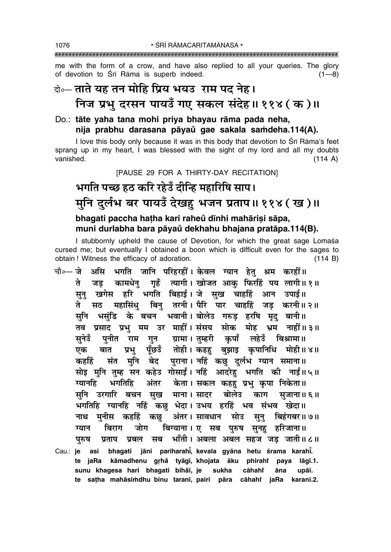me with the form of a crow, and have also replied to all your queries. The glory of devotion to Śrī Rāma is superb indeed.  $(1 - 8)$ 

## के— ताते यह तन मोहि प्रिय भयउ राम पट नेह्र। निज प्रभु दरसन पायउँ गए सकल संदेह॥११४ (क)॥

### Do.: tāte yaha tana mohi priya bhayau rāma pada neha, nija prabhu darasana pāyaŭ gae sakala samdeha.114(A).

I love this body only because it was in this body that devotion to Srī Rāma's feet sprang up in my heart, I was blessed with the sight of my lord and all my doubts vanished.  $(114 A)$ 

[PAUSE 29 FOR A THIRTY-DAY RECITATION]

# भगति पच्छ हठ करि रहेउँ दीन्हि महारिषि साप। मुनि दुर्लभ बर पायउँ देखहु भजन प्रताप॥११४ (ख)॥

### bhagati paccha hațha kari raheů dīnhi mahārisi sāpa, muni durlabha bara pāyaŭ dekhahu bhajana pratāpa.114(B).

I stubbornly upheld the cause of Devotion, for which the great sage Lomasa cursed me; but eventually I obtained a boon which is difficult even for the sages to obtain! Witness the efficacy of adoration.  $(114 B)$ 

चौ०— जे असि भगति जानि परिहरहीं। केवल ग्यान हेतु श्रम करहीं॥ गहँ त्यागी। खोजत आक फिरहिं पय लागी॥१॥ ते कामधेन जड खगेस हरि भगति बिहाई। जे सुख चाहहिं आन उपाई॥ सूनु बिनु तरनी। पैरि पार चाहहिं जड़ करनी॥ २॥ ते सठ महासिंध भसंडि के बचन भवानी। बोलेउ गरुड हरषि मद बानी॥ सनि तव प्रसाद प्रभु मम उर माहीं।संसय सोक मोह भ्रम नाहीं॥३॥ सुनेउँ गुन ग्रामा। तुम्हरी कृपाँ लहेउँ बिश्रामा॥ पुनीत राम पँछउँ तोही।कहह बुझाइ कृपानिधि मोही॥४॥ एक बात प्रभ मुनि बेद पुराना। नहिं कछु दुर्लभ ग्यान समाना॥ संत कहहिं सोड़ मुनि तुम्ह सन कहेउ गोसाईं। नहिं आदरेहु भगति की नाईं॥५॥ ग्यानहि भगतिहि अंतर केता। सकल कहह प्रभु कृपा निकेता॥ सनि उरगारि बचन सुख माना।सादर बोलेउ काग सजाना ॥ ६ ॥ भगतिहि ग्यानहि नहिं कछ भेदा। उभय हरहिं भव संभव खेदा॥ अंतर । सावधान नाथ मनीस कहहिं कछ सोउ सन बिहंगबर॥ ७॥ बिग्याना । ए सब पुरुष सुनह हरिजाना॥ ग्यान बिराग जोग प्रताप प्रबल सब भाँती। अबला अबल सहज जड जाती॥८॥ परुष bhagati jāni pariharahi, kevala gyāna hetu śrama karahi. Cau.: ie asi te jaRa kāmadhenu grhå tyāgī, khojata āku phirahi paya lāgī.1. sunu khagesa hari bhagati bihāī, je sukha cāhahr āna upāī. te satha mahāsimdhu binu taranī, pairi pāra cāhahi jaRa karanī.2.

1076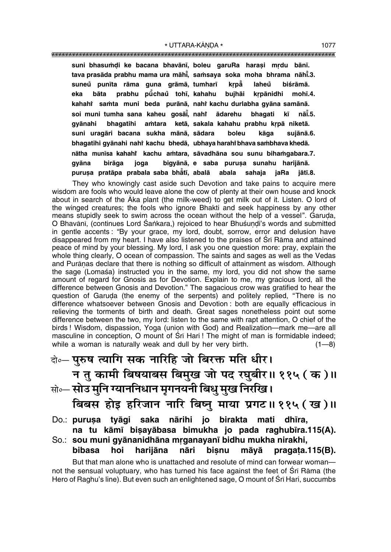\* UTTARA-KĀNDA \* 1077

#### """""""""""""""""""""""""""""""""""""""""""""""""""""""""""""""""""""""""""""""""""

suni bhasumdi ke bacana bhavānī, boleu garuRa harași mrdu bānī. **tava prasåda prabhu mama ura måh∂° , sa≈saya soka moha bhrama nåh∂° .3. suneu° pun∂ta råma guna gråmå, tumhar∂ kæpå° laheu° bi‹råmå. eka båta prabhu pµu° chau° toh∂, kahahu bujhåi kæpånidhi moh∂.4. kahahiÚ sa≈ta muni beda purånå, nahiÚ kachu durlabha gyåna samånå. soi muni tumha sana kaheu goså∂° , nahiÚ ådarehu bhagati k∂ nå∂° .5. gyånahi bhagatihi a≈tara ketå, sakala kahahu prabhu kæpå niketå. suni uragåri bacana sukha månå, sådara boleu kåga sujånå.6. bhagatihi gyånahi nahiÚ kachu bhedå, ubhaya harahiÚ bhava sa≈bhava khedå. nåtha mun∂sa kahahiÚ kachu a≈tara, såvadhåna sou sunu biha≈gabara.7.** gyāna birāga joga bigyānā, e saba puruṣa sunahu harijānā. **puru¶a pratåpa prabala saba bhå° t∂, abalå abala sahaja jaRa jåt∂.8.**

They who knowingly cast aside such Devotion and take pains to acquire mere wisdom are fools who would leave alone the cow of plenty at their own house and knock about in search of the Åka plant (the milk-weed) to get milk out of it. Listen. O lord of the winged creatures; the fools who ignore Bhakti and seek happiness by any other means stupidly seek to swim across the ocean without the help of a vessel". Garuda, O Bhavānī, (continues Lord Śankara,) rejoiced to hear Bhuśundi's words and submitted in gentle accents : "By your grace, my lord, doubt, sorrow, error and delusion have disappeared from my heart. I have also listened to the praises of Śrī Rāma and attained peace of mind by your blessing. My lord, I ask you one question more: pray, explain the whole thing clearly, O ocean of compassion. The saints and sages as well as the Vedas and Purānas declare that there is nothing so difficult of attainment as wisdom. Although the sage (Lomasa) instructed you in the same, my lord, you did not show the same amount of regard for Gnosis as for Devotion. Explain to me, my gracious lord, all the difference between Gnosis and Devotion." The sagacious crow was gratified to hear the question of Garuda (the enemy of the serpents) and politely replied, "There is no difference whatsoever between Gnosis and Devotion : both are equally efficacious in relieving the torments of birth and death. Great sages nonetheless point out some difference between the two, my lord: listen to the same with rapt attention, O chief of the birds ! Wisdom, dispassion, Yoga (union with God) and Realization–mark me–are all masculine in conception, O mount of Śrī Hari ! The might of man is formidable indeed; while a woman is naturally weak and dull by her very birth.  $(1-8)$ 

### दो**० पुरुष त्यागि सक नारिहि जो बिरक्त मति धीर।** न तु कामी बिषयाबस बिमुख जो पद रघुबीर॥ ११५ (क)॥ सो०– **सोउ मुनि ग्याननिधान मृगनयनी बिधु मुख निरखि।**

बिबस होइ हरिजान नारि बिष्नु माया प्रगट॥११५ (ख)॥

- Do.: **puru¶a tyågi saka nårihi jo birakta mati dh∂ra,** na tu kāmī bisayābasa bimukha jo pada raghubīra.115(A).
- So.: sou muni gyānanidhāna mrganayanī bidhu mukha nirakhi, bibasa hoi harijāna nāri bisnu māyā pragata.115(B).

But that man alone who is unattached and resolute of mind can forwear woman not the sensual voluptuary, who has turned his face against the feet of Śrī Rāma (the Hero of Raghu's line). But even such an enlightened sage, O mount of Śrī Hari, succumbs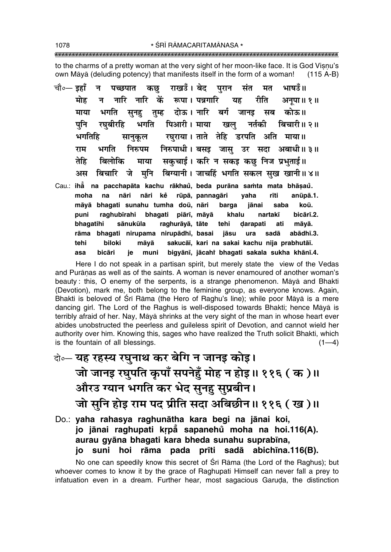to the charms of a pretty woman at the very sight of her moon-like face. It is God Visnu's own Māyā (deluding potency) that manifests itself in the form of a woman!  $(115 A-B)$ 

- कछ राखडँ। बेद पुरान चौ०— इहाँ भाषउँ ॥ न पच्छपात संत मत नारि नारि कें रूपा। पन्नगारि मोह रीति न यह अनुपा ॥ १ ॥ तुम्ह दोऊ। नारि बर्ग कोऊ॥ माया भगति जानड सब सूनहु पिआरी। माया पनि रघबीरहि भगति खल् बिचारी॥ २॥ नर्तकी रघराया। ताते तेहि डरपति अति माया॥ भगतिहि सानकल निरुपम निरुपाधी। बसड़ जास उर सदा अबाधी॥३॥ भगति राम माया सकुचाई। करि न सकड़ कछ निज प्रभुताई॥ तेहि बिलोकि बिचारि जे मुनि बिग्यानी। जाचहिं भगति सकल सुख खानी॥४॥ अस
- Cau.: ihă na pacchapāta kachu rākhaŭ, beda purāna samta mata bhāṣaŭ. nāri ke rūpā, pannagāri rīti moha na nāri vaha anūpā.1. māyā bhagati sunahu tumha doū, nāri koū. barga jānai saha raghubīrahi bhagati piārī, māyā bicārī.2. puni khalu nartakī bhaqatihi sānukūla raghurāyā, tāte māvā. tehi darapati ati rāma bhagati nirupama nirupādhī, basai jāsu ura sadā abādhī.3. tehi biloki māyā sakucāī, kari na sakai kachu nija prabhutāī. bicāri bigyānī, jācahi bhagati sakala sukha khānī.4. asa ie muni

Here I do not speak in a partisan spirit, but merely state the view of the Vedas and Purānas as well as of the saints. A woman is never enamoured of another woman's beauty: this, O enemy of the serpents, is a strange phenomenon. Maya and Bhakti (Devotion), mark me, both belong to the feminine group, as everyone knows. Again, Bhakti is beloved of Śrī Rāma (the Hero of Raghu's line); while poor Māyā is a mere dancing girl. The Lord of the Raghus is well-disposed towards Bhakti; hence Māyā is terribly afraid of her. Nay, Māyā shrinks at the very sight of the man in whose heart ever abides unobstructed the peerless and quileless spirit of Devotion, and cannot wield her authority over him. Knowing this, sages who have realized the Truth solicit Bhakti, which is the fountain of all blessings.  $(1-4)$ 

- वे०- यह रहस्य रघुनाथ कर बेगि न जानइ कोइ। जो जानइ रघुपति कुपाँ सपनेहुँ मोह न होइ॥ ११६ ( क )॥ औरउ ग्यान भगति कर भेद सुनह सुप्रबीन। जो सुनि होइ राम पद प्रीति सदा अबिछीन॥११६ (ख)॥
- Do.: yaha rahasya raghunātha kara begi na jānai koi, jo jānai raghupati krpā sapanehů moha na hoi.116(A). aurau gyāna bhagati kara bheda sunahu suprabīna, jo suni hoi rāma pada prīti sadā abichīna.116(B).

No one can speedily know this secret of Sri Rama (the Lord of the Raghus); but whoever comes to know it by the grace of Raghupati Himself can never fall a prey to infatuation even in a dream. Further hear, most sagacious Garuda, the distinction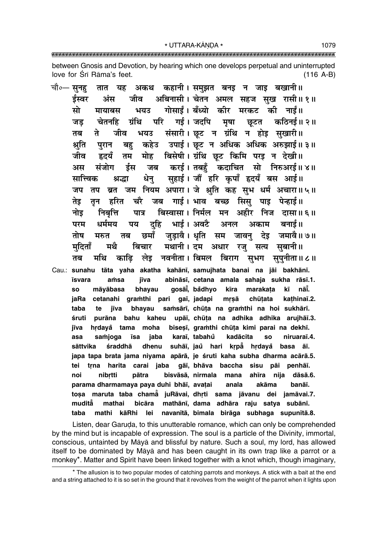\* UTTARA-KĀNDA \* 

between Gnosis and Devotion, by hearing which one develops perpetual and uninterrupted love for Śrī Rāma's feet.  $(116 A-B)$ 

चौ०— सूनहु अकथ कहानी। समझत बनइ न जाइ बखानी॥ तात यह ईस्वर जीव अबिनासी। चेतन अमल सहज सुख रासी॥१॥ अंस गोसाईं। बँध्यो कीर मरकट की नाईं॥ मो मायाबस भयउ ग्रंथि गई। जदपि चेतनहि परि मुषा छटत कठिनई॥ २॥ जड संसारी। छट न ग्रंथि न होड सखारी॥ ते जीव भयउ तब उपाई। छूट न अधिक अधिक अरुझाई॥३॥ श्रति कहेउ परान बह जीव हृदयँ मोह बिसेषी। ग्रंथि छट किमि परइ न देखी॥ तम करई। तबहँ कदाचित सो निरुअरई॥४॥ संजोग र्डस अस जब सुहाई। जौं हरि कृपाँ हृदयँ बस आई॥ मात्त्विक धेन श्रद्धा जम नियम अपारा। जे श्रुति कह सुभ धर्म अचारा॥५॥ जप तप ब्रत चौ जब गाई। भाव बच्छ सिसु पाइ पेन्हाई ॥ तेड तुन हरित बिस्वासा। निर्मल मन नोड निर्बात्त अहीर निज दासा॥६॥ पात्र परम पय दहि भाई । अवटै अनल अकाम बनाई ॥ धर्ममय छमाँ जड़ावै । धृति तोष जावन् देइ जमावै॥ ७॥ मरुत तब सम बिचार मथानी। दम अधार रजु सत्य मुदिताँ मथ्रे सबानी॥ नवनीता। बिमल बिराग सुभग मथि काढि लेड तब सुपनीता ॥ ८ ॥ Cau.: sunahu tāta yaha akatha kahānī, samujhata banai na jāi bakhānī. abināsī, cetana amala sahaja sukha rāsī.1. **īsvara** amsa jīva **SO** māvābasa bhayau gosāĭ̃, bådhyo kīra marakata kī nāī. cetanahi gramthi pari gai, jadapi mrsā chūtata kathinaī.2. jaRa samsārī, chūta na gramthi na hoi sukhārī. taba bhayau te jīva purāna bahu kaheu upāī, chūta na adhika adhika arujhāī.3. śruti hrdayå tama moha bisesī, gramthi chūța kimi parai na dekhī. iīva samjoga īsa iaba karaī, tabahů kadācita **SO** niruaraī.4. asa sāttvika śraddhā dhenu suhāī, jau hari krpā hrdaya basa āī. japa tapa brata jama niyama apārā, je śruti kaha subha dharma acārā.5. tei trna harita carai jaba gāī, bhāva baccha sisu pāi penhāī. nibrtti bisvāsā, nirmala noi pātra mana ahīra nija dāsā.6. parama dharmamaya paya duhi bhāī, avatai anala akāma banāī. tosa maruta taba chama juRāvai, dhrti sama jāvanu dei jamāvai.7. mudită mathai bicāra mathānī, dama adhāra raju satya subānī. taba mathi kāRhi lei navanītā, bimala birāga subhaga supunītā.8.

Listen, dear Garuda, to this unutterable romance, which can only be comprehended by the mind but is incapable of expression. The soul is a particle of the Divinity, immortal, conscious, untainted by Māyā and blissful by nature. Such a soul, my lord, has allowed itself to be dominated by Māyā and has been caught in its own trap like a parrot or a monkey\*. Matter and Spirit have been linked together with a knot which, though imaginary,

<sup>\*</sup> The allusion is to two popular modes of catching parrots and monkeys. A stick with a bait at the end and a string attached to it is so set in the ground that it revolves from the weight of the parrot when it lights upon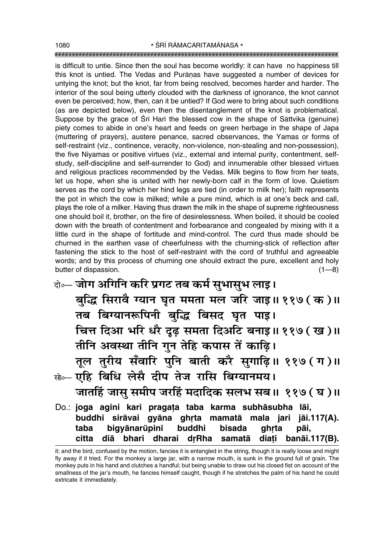#### """"""""""""""""""""""""""""""""""""""""""""""""""""""""""""""""""""""""""""""""""" 1080 **\*** SRĪ RĀMACARITAMĀNASA \*

is difficult to untie. Since then the soul has become worldly: it can have no happiness till this knot is untied. The Vedas and Purānas have suggested a number of devices for untying the knot; but the knot, far from being resolved, becomes harder and harder. The interior of the soul being utterly clouded with the darkness of ignorance, the knot cannot even be perceived; how, then, can it be untied? If God were to bring about such conditions (as are depicted below), even then the disentanglement of the knot is problematical. Suppose by the grace of Śrī Hari the blessed cow in the shape of Sāttvika (genuine) piety comes to abide in one's heart and feeds on green herbage in the shape of Japa (muttering of prayers), austere penance, sacred observances, the Yamas or forms of self-restraint (viz., continence, veracity, non-violence, non-stealing and non-possession), the five Niyamas or positive virtues (viz., external and internal purity, contentment, selfstudy, self-discipline and self-surrender to God) and innumerable other blessed virtues and religious practices recommended by the Vedas. Milk begins to flow from her teats, let us hope, when she is united with her newly-born calf in the form of love. Quietism serves as the cord by which her hind legs are tied (in order to milk her); faith represents the pot in which the cow is milked; while a pure mind, which is at one's beck and call, plays the role of a milker. Having thus drawn the milk in the shape of supreme righteousness one should boil it, brother, on the fire of desirelessness. When boiled, it should be cooled down with the breath of contentment and forbearance and congealed by mixing with it a little curd in the shape of fortitude and mind-control. The curd thus made should be churned in the earthen vase of cheerfulness with the churning-stick of reflection after fastening the stick to the host of self-restraint with the cord of truthful and agreeable words; and by this process of churning one should extract the pure, excellent and holy butter of dispassion.  $(1-8)$ 

- दो**०– जोग अगिनि करि प्रगट तब कर्म सुभासुभ लाइ। 'ÈÁh Á'⁄UÊflÒ ÇÿÊŸ ÉÊÎà ◊◊ÃÊ ◊‹ ¡Á⁄U ¡ÊßH 117 (∑§)H** तब बिग्यानरूपिनी बुद्धि बिसद घृत पाइ। <u>चित्त दिआ भरि धरै दृढ़ समता दिअटि बनाइ॥११७(ख)॥</u> तीनि अवस्था तीनि गुन तेहि कपास तें काढ़ि। तूल तुरीय सँवारि पुनि बाती करै सुगाढ़ि॥ ११७ (ग)॥ सो० एहि बिधि लेसै दीप तेज रासि बिग्यानमय। जातहिं जासु समीप जरहिं मदादिक सलभ सब ।। ११७ ( घ ) ।। Do.: **joga agini kari praga¢a taba karma subhåsubha låi,**
- buddhi sirāvai gyāna ghrta mamatā mala jari jāi.117(A). taba bigyānarūpinī buddhi bisada ghrta pāi, **citta diå bhari dharai dæRha samatå dia¢i banåi.117(B).**

it; and the bird, confused by the motion, fancies it is entangled in the string, though it is really loose and might fly away if it tried. For the monkey a large jar, with a narrow mouth, is sunk in the ground full of grain. The monkey puts in his hand and clutches a handful; but being unable to draw out his closed fist on account of the smallness of the jarís mouth, he fancies himself caught, though if he stretches the palm of his hand he could extricate it immediately.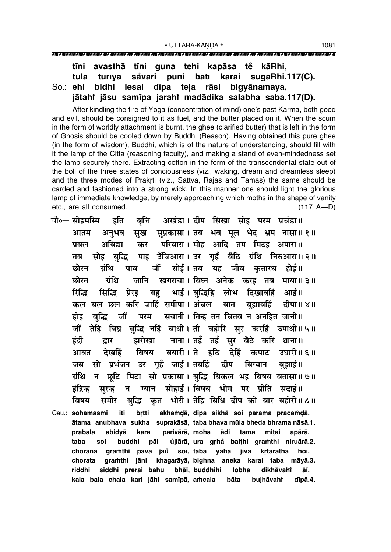#### tīni avasthā tīni guna tehi kapāsa tě kāRhi, tūla såvāri puni bātī karai sugāRhi.117(C). turīva So.: ehi bidhi lesai dīpa teja rāsi bigyānamaya, jātahi jāsu samīpa jarahi madādika salabha saba.117(D).

After kindling the fire of Yoga (concentration of mind) one's past Karma, both good and evil, should be consigned to it as fuel, and the butter placed on it. When the scum in the form of worldly attachment is burnt, the ghee (clarified butter) that is left in the form of Gnosis should be cooled down by Buddhi (Reason). Having obtained this pure ghee (in the form of wisdom), Buddhi, which is of the nature of understanding, should fill with it the lamp of the Citta (reasoning faculty), and making a stand of even-mindedness set the lamp securely there. Extracting cotton in the form of the transcendental state out of the boll of the three states of conciousness (viz., waking, dream and dreamless sleep) and the three modes of Prakrti (viz., Sattva, Rajas and Tamas) the same should be carded and fashioned into a strong wick. In this manner one should light the glorious lamp of immediate knowledge, by merely approaching which moths in the shape of vanity etc., are all consumed.  $(117 A-D)$ 

अखंडा। दीप सिखा सोड़ परम प्रचंडा॥ चौ०— सोहमस्मि बनि डति सुप्रकासा। तब भव मूल भेद भ्रम नासा॥१॥ अनभव सुख आतम अबिद्या कर परिवारा। मोह आदि तम मिटड अपारा॥ प्रबल पाइ उँजिआरा। उर गुहँ बैठि ग्रंथि निरुआरा॥ २॥ सोइ बद्धि तब जौं सोई। तब यह जीव कृतारथ होई॥ छोरन ग्रंथि पाव जानि खगराया। बिघ्न अनेक करड तब माया॥३॥ छोरत गंथि प्रेरड भाई। बद्धिहि लोभ दिखावहिं आई॥ रिद्धि सिद्धि बह कल बल छल करि जाहिं समीपा। अंचल बझावहिं बात दीपा॥ ४॥ सयानी। तिन्ह तन चितव न अनहित जानी॥ होड जौं परम बद्धि तेहि बिघ्न बुद्धि नहिं बाधी।तौ बहोरि सुर करहिं उपाधी॥५॥ जौं नाना । तहँ तहँ सुर बैठे करि थाना॥ इंद्री झरोखा द्वार देखहिं बिषय बयारी। ते हठि देहिं कपाट उघारी॥ ६ ॥ आवत सो प्रभंजन उर गहँ जाई। तबहिं जब दीप बिग्यान बझाई ॥ न छुटि मिटा सो प्रकासा। बुद्धि बिकल भइ बिषय बतासा॥७॥ ग्रंथि ग्यान सोहाई। बिषय भोग पर प्रीति सदाई॥ इंद्रिन्ह सुरन्ह न बुद्धि कृत भोरी। तेहि बिधि दीप को बार बहोरी॥८॥ समीर बिषय Cau.: sohamasmi iti brtti akhamdā, dīpa sikhā soi parama pracamdā. ātama anubhava sukha suprakāsā, taba bhava mūla bheda bhrama nāsā.1. abidyā kara parivārā, moha ādi tama prabala mitai apārā. ůjiārā, ura grhå baithi gramthi niruārā.2. taba soi buddhi pāi gramthi pāva jau soī, taba chorana yaha jīva krtāratha hoī. gramthi jāni khagarāyā, bighna aneka karai taba māyā.3. chorata riddhi siddhi prerai bahu bhāī, buddhihi lobha dikhāvahi āī. kala bala chala kari jāhi samīpā, amcala bāta bujhāvahr dīpā.4.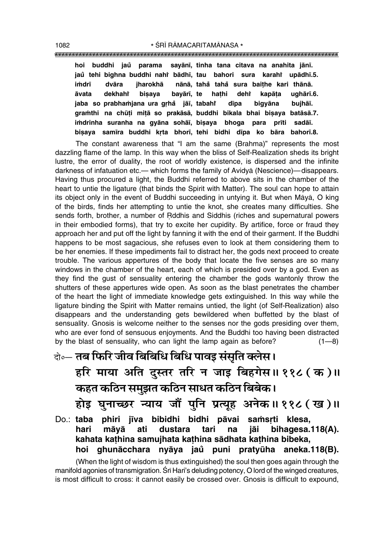**hoi buddhi jau° parama sayån∂, tinha tana citava na anahita jån∂. jau° tehi bighna buddhi nahiÚ bådh∂, tau bahori sura karahiÚ upådh∂.5. i≈dr∂ dvåra jharokhå nånå, taha° taha° sura bai¢he kari thånå. åvata dekhahiÚ bişaya** bayārī, te haṭhi deht  **kapå¢a ughår∂.6. jaba so prabha≈jana ura gæha° jå∂, tabahiÚ d∂pa bigyåna bujhå∂.** gramthi na chūți miță so prakāsā, buddhi bikala bhai bișaya batāsā.7. imdrinha suranha na gyāna sohāī, bişaya bhoga para prīti sadāī. bisaya samīra buddhi krta bhorī, tehi bidhi dīpa ko bāra bahorī.8.

The constant awareness that "I am the same (Brahma)" represents the most dazzling flame of the lamp. In this way when the bliss of Self-Realization sheds its bright lustre, the error of duality, the root of worldly existence, is dispersed and the infinite darkness of infatuation etc.— which forms the family of Avidya (Nescience)—disappears. Having thus procured a light, the Buddhi referred to above sits in the chamber of the heart to untie the ligature (that binds the Spirit with Matter). The soul can hope to attain its object only in the event of Buddhi succeeding in untying it. But when Måyå, O king of the birds, finds her attempting to untie the knot, she creates many difficulties. She sends forth, brother, a number of Rddhis and Siddhis (riches and supernatural powers in their embodied forms), that try to excite her cupidity. By artifice, force or fraud they approach her and put off the light by fanning it with the end of their garment. If the Buddhi happens to be most sagacious, she refuses even to look at them considering them to be her enemies. If these impediments fail to distract her, the gods next proceed to create trouble. The various appertures of the body that locate the five senses are so many windows in the chamber of the heart, each of which is presided over by a god. Even as they find the gust of sensuality entering the chamber the gods wantonly throw the shutters of these appertures wide open. As soon as the blast penetrates the chamber of the heart the light of immediate knowledge gets extinguished. In this way while the ligature binding the Spirit with Matter remains untied, the light (of Self-Realization) also disappears and the understanding gets bewildered when buffetted by the blast of sensuality. Gnosis is welcome neither to the senses nor the gods presiding over them, who are ever fond of sensuous enjoyments. And the Buddhi too having been distracted by the blast of sensuality, who can light the lamp again as before?  $(1-8)$ 

दो**०– तब फिरि जीव बिबिधि बिधि पावइ संसुति क्लेस।** हरि माया अति दुस्तर तरि न जाइ बिहगेस॥११८ (क)॥ <u>कहत कठिन समुझत कठिन साधत कठिन बिबेक।</u> होइ घुनाच्छर न्याय जौं पुनि प्रत्यूह अनेक ॥ ११८ (ख)॥ Do.: taba phiri jīva bibidhi bidhi pāvai samsrti klesa, **hari måyå ati dustara tari na jåi bihagesa.118(A). kahata ka¢hina samujhata ka¢hina sådhata ka¢hina bibeka,** hoi ghunācchara nyāya jaů puni pratyūha aneka.118(B).

(When the light of wisdom is thus extinguished) the soul then goes again through the manifold agonies of transmigration. Śrī Hari's deluding potency, O lord of the winged creatures, is most difficult to cross: it cannot easily be crossed over. Gnosis is difficult to expound,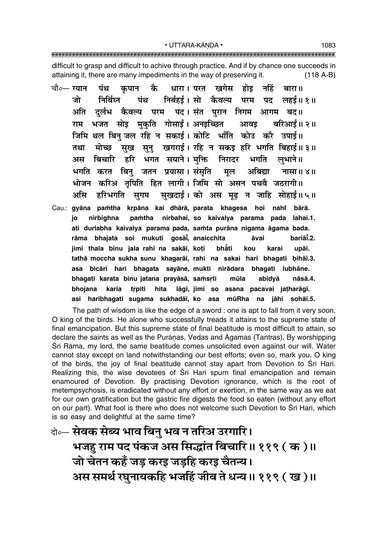\* UTTARA-KĀNDA \* 

difficult to grasp and difficult to achive through practice. And if by chance one succeeds in attaining it, there are many impediments in the way of preserving it.  $(118 A-B)$ 

चौ०— ग्यान पंथ कै धारा। परत खगेस होइ नहिं कुपान बारा॥ निर्बिघ्न जो निर्बहर्ड। सो कैवल्य परम पद पंथ लहर्ड ॥ १ ॥ दर्लभ पद् । संत पुरान निगम अति कैवल्य परम आगम बद॥ भजत सोइ मुकति गोसाईं। अनडच्छित राम आवड बरिआर्डं॥ २॥ जिमि थल बिन् जल रहि न सकाई। कोटि भाँति कोउ करै उपाई॥ मोच्छ सख सन खगराई। रहि न सकड हरि भगति बिहाई॥ ३॥ तथा बिचारि हरि भगत सयाने। मक्ति निरादर भगति लभाने ॥ अस भगति करत बिनु जतन प्रयासा।संसृति मूल अबिद्या नासा ॥ ४॥ भोजन करिअ तृपिति हित लागी। जिमि सो असन पचवै जठरागी॥ असि हरिभगति सगम सुखदाई। को अस मूढ़ न जाहि सोहाई॥५॥ Cau.: gyāna pamtha krpāna kai dhārā, parata khagesa hoi naht bārā. pamtha nirbahai, so kaivalya parama pada lahai.1. io nirbighna ati durlabha kaivalya parama pada, samta purāna nigama āgama bada. rāma bhajata soi mukuti gosāi, anaicchita bariā .2. āvai jimi thala binu jala rahi na sakāī, koți bhăti upāī. kou karai tathā moccha sukha sunu khagarāi, rahi na sakai hari bhagati bihāi.3. asa bicāri hari bhagata sayāne, mukti nirādara bhagati lubhāne.

bhagati karata binu jatana prayāsā, samsrti nāsā.4. mūla abidyā bhoiana karia trpiti hita lāgī, jimi so asana pacavai jatharāgī. asi haribhagati sugama sukhadāi, ko asa mūRha na jāhi sohāi.5.

The path of wisdom is like the edge of a sword : one is apt to fall from it very soon. O king of the birds. He alone who successfully treads it attains to the supreme state of final emancipation. But this supreme state of final beatitude is most difficult to attain, so declare the saints as well as the Purānas, Vedas and Agamas (Tantras). By worshipping Śrī Rāma, my lord, the same beatitude comes unsolicited even against our will. Water cannot stay except on land notwithstanding our best efforts; even so, mark you, O king of the birds, the joy of final beatitude cannot stay apart from Devotion to Srī Hari. Realizing this, the wise devotees of Sri Hari spurn final emancipation and remain enamoured of Devotion. By practising Devotion ignorance, which is the root of metempsychosis, is eradicated without any effort or exertion, in the same way as we eat for our own gratification but the gastric fire digests the food so eaten (without any effort on our part). What fool is there who does not welcome such Devotion to Sri Hari, which is so easy and delightful at the same time?

केन्- सेवक सेब्य भाव बिनु भव न तरिअ उरगारि। भजह राम पद पंकज अस सिद्धांत बिचारि॥ ११९ ( क )॥ जो चेतन कहँ जड़ करइ जड़हि करइ चैतन्य। अस समर्थ रघनायकहि भजहिं जीव ते धन्य॥ ११९ ( ख )॥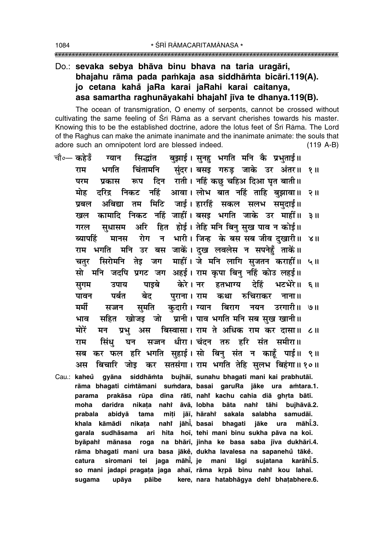### Do.: sevaka sebya bhāva binu bhava na taria uragāri, bhajahu rāma pada pamkaja asa siddhāmta bicāri.119(A). jo cetana kahå jaRa karai jaRahi karai caitanya, asa samartha raghunāyakahi bhajahi jīva te dhanya.119(B).

The ocean of transmigration, O enemy of serpents, cannot be crossed without cultivating the same feeling of Srī Rāma as a servant cherishes towards his master. Knowing this to be the established doctrine, adore the lotus feet of Sri Rama. The Lord of the Raghus can make the animate inanimate and the inanimate animate: the souls that adore such an omnipotent lord are blessed indeed.  $(119 A-B)$ 

|        | चौ०— कहेउँ ग्यान सिद्धांत बुझाई। सुनहु भगति मनि कै प्रभुताई॥           |  |  |                 |
|--------|------------------------------------------------------------------------|--|--|-----------------|
|        | राम भगति चिंतामनि सुंदर।बसइ गरुड़ जाके उर अंतर॥ १॥                     |  |  |                 |
| परम    | प्रकास रूप दिन राती। नहिं कछु चहिअ दिआ घृत बाती॥                       |  |  |                 |
| मोह    | दरिद्र निकट नहिं आवा।लोभ बात नहिं ताहि बुझावा॥                         |  |  | र ।।            |
| प्रबल  | अबिद्या तम मिटि जाई।इारहिं सकल सलभ समुदाई॥                             |  |  |                 |
|        | खल कामादि निकट नहिं जाहीं। बसइ भगति जाके उर माहीं॥ ३॥                  |  |  |                 |
|        | गरल सुधासम अरि हित होई। तेहि मनि बिनु सुख पाव न कोई॥                   |  |  |                 |
|        | ब्यापहिं मानस रोग न भारी।।जिन्ह के बस सब जीव दुखारी॥ ४॥                |  |  |                 |
|        | राम भगति मनि उर बस जाकें। दुख लवलेस न सपनेहुँ ताकें॥                   |  |  |                 |
|        | चतुर सिरोमनि तेइ जग माहीं।जे मनि लागि सुजतन कराहीं॥                    |  |  | $4$             |
|        | सो मनि जदपि प्रगट जग अहई। राम कृपा बिनु नहिं कोउ लहई॥                  |  |  |                 |
| सुगम   | उपाय पाइबे केरे।नर हतभाग्य देहिं भटभेरे॥                               |  |  | $\xi \parallel$ |
|        | पावन पर्बत बेद पुराना। राम कथा रुचिराकर नाना॥                          |  |  |                 |
|        | मर्मी सज्जन सुमति कुदारी।ग्यान बिराग नयन उरगारी॥                       |  |  | ७॥              |
|        | भाव सहित खोजइ जो प्रानी। पाव भगति मनि सब सुख खानी॥                     |  |  |                 |
| मोरें  | मन प्रभु अस बिस्वासा। राम ते अधिक राम कर दासा॥ ८॥                      |  |  |                 |
| राम    | सिंधु घन सज्जन धीरा।चंदन तरु हरि संत समीरा॥                            |  |  |                 |
| सब     | कर फल हरि भगति सुहाई। सो बिनु संत न काहूँ पाई॥ ९॥                      |  |  |                 |
|        | अस बिचारि जोइ कर सतसंगा। राम भगति तेहि सुलभ बिहंगा॥१०॥                 |  |  |                 |
|        | Cau.: kaheů gyāna siddhāmta bujhāī, sunahu bhagati mani kai prabhutāī. |  |  |                 |
|        | rāma bhagati cimtāmani sumdara, basai garuRa jāke ura amtara.1.        |  |  |                 |
| parama | prakāsa rūpa dina rātī, nahi kachu cahia diā ghṛta bātī.               |  |  |                 |
| moha   | daridra nikața nahi āvā, lobha bāta nahi tāhi bujhāvā.2.               |  |  |                 |
|        | prabala abidyā tama miți jāī, hārahi sakala salabha samudāī.           |  |  |                 |
|        | khala kāmādi nikaṭa nahi jāhī, basai bhagati jāke ura māhī.3.          |  |  |                 |

garala sudhāsama ari hita hoī, tehi mani binu sukha pāva na koī. byāpahi mānasa roga na bhārī, jinha ke basa saba jīva dukhārī.4. rāma bhagati mani ura basa jāke, dukha lavalesa na sapanehů tāke. siromani tei jaga māhi, je mani lāgi sujatana karāhi.5. catura so mani jadapi pragata jaga ahai, rāma krpā binu nahi kou lahai. sugama upāya pāibe kere, nara hatabhāqya dehi bhatabhere.6.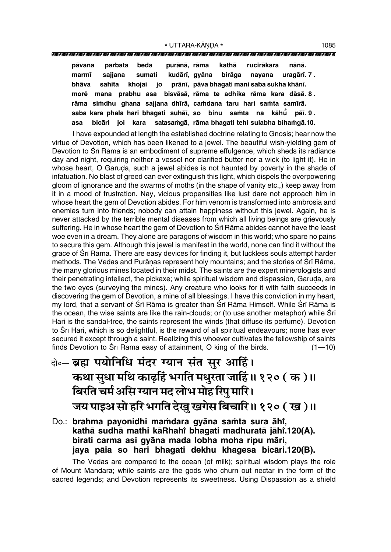| marmī sajjana sumati kudārī, gyāna birāga nayana uragārī.7.<br>bhāva sahita khojai jo prānī, pāva·bhagati·mani·saba·sukha·khānī.<br>morě mana prabhu asa bisvāsā, rāma te adhika rāma kara dāsā. 8 .<br>rāma simdhu ghana sajjana dhīrā, camdana taru hari samta samīrā.<br>saba kara phala hari bhagati suhāī, so  binu  samta  na  kāhū  pāī.9.<br>asa bicāri joi kara satasamgā, rāma-bhagati-tehi-sulabha-bihamgā.10. | pāvana parbata beda |  |  | purānā, rāma kathā rucirākara nānā. |  |
|---------------------------------------------------------------------------------------------------------------------------------------------------------------------------------------------------------------------------------------------------------------------------------------------------------------------------------------------------------------------------------------------------------------------------|---------------------|--|--|-------------------------------------|--|
|                                                                                                                                                                                                                                                                                                                                                                                                                           |                     |  |  |                                     |  |
|                                                                                                                                                                                                                                                                                                                                                                                                                           |                     |  |  |                                     |  |
|                                                                                                                                                                                                                                                                                                                                                                                                                           |                     |  |  |                                     |  |
|                                                                                                                                                                                                                                                                                                                                                                                                                           |                     |  |  |                                     |  |
|                                                                                                                                                                                                                                                                                                                                                                                                                           |                     |  |  |                                     |  |
|                                                                                                                                                                                                                                                                                                                                                                                                                           |                     |  |  |                                     |  |

I have expounded at length the established doctrine relating to Gnosis; hear now the virtue of Devotion, which has been likened to a jewel. The beautiful wish-yielding gem of Devotion to Srī Rāma is an embodiment of supreme effulgence, which sheds its radiance day and night, requiring neither a vessel nor clarified butter nor a wick (to light it). He in whose heart, O Garuda, such a jewel abides is not haunted by poverty in the shade of infatuation. No blast of greed can ever extinguish this light, which dispels the overpowering gloom of ignorance and the swarms of moths (in the shape of vanity etc..) keep away from it in a mood of frustration. Nay, vicious propensities like lust dare not approach him in whose heart the gem of Devotion abides. For him venom is transformed into ambrosia and enemies turn into friends; nobody can attain happiness without this jewel. Again, he is never attacked by the terrible mental diseases from which all living beings are grievously suffering. He in whose heart the gem of Devotion to Sri Rama abides cannot have the least woe even in a dream. They alone are paragons of wisdom in this world; who spare no pains to secure this gem. Although this jewel is manifest in the world, none can find it without the grace of Srī Rāma. There are easy devices for finding it, but luckless souls attempt harder methods. The Vedas and Purānas represent holy mountains; and the stories of Srī Rāma, the many glorious mines located in their midst. The saints are the expert minerologists and their penetrating intellect, the pickaxe; while spiritual wisdom and dispassion, Garuda, are the two eyes (surveying the mines). Any creature who looks for it with faith succeeds in discovering the gem of Devotion, a mine of all blessings. I have this conviction in my heart, my lord, that a servant of Śrī Rāma is greater than Śrī Rāma Himself. While Śrī Rāma is the ocean, the wise saints are like the rain-clouds; or (to use another metaphor) while Sri Hari is the sandal-tree, the saints represent the winds (that diffuse its perfume). Devotion to Śrī Hari, which is so delightful, is the reward of all spiritual endeavours; none has ever secured it except through a saint. Realizing this whoever cultivates the fellowship of saints finds Devotion to Srī Rāma easy of attainment, O king of the birds.  $(1 - 10)$ 

- बे॰ ब्रह्म पयोनिधि मंदर ग्यान संत सुर आहिं। कथा सुधा मथि काढ़हिं भगति मधुरता जाहिं॥ १२० ( क )॥ बिरति चर्म असि ग्यान मद लोभ मोह रिपु मारि। जय पाइअ सो हरि भगति देख खगेस बिचारि॥ १२० (ख)॥
- Do.: brahma payonidhi mamdara qyāna samta sura āhi, kathā sudhā mathi kāRhahi bhaqati madhuratā jāhi.120(A). birati carma asi gyāna mada lobha moha ripu māri, java pāja so hari bhagati dekhu khagesa bicāri.120(B).

The Vedas are compared to the ocean (of milk); spiritual wisdom plays the role of Mount Mandara; while saints are the gods who churn out nectar in the form of the sacred legends; and Devotion represents its sweetness. Using Dispassion as a shield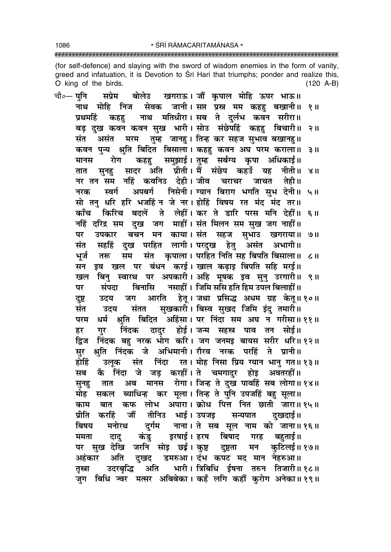(for self-defence) and slaying with the sword of wisdom enemies in the form of vanity, greed and infatuation, it is Devotion to Srī Hari that triumphs; ponder and realize this, O king of the birds.  $(120 A-B)$ 

| चौ०— पुनि सप्रेम बोलेउ खगराऊ। जौं कृपाल मोहि ऊपर भाऊ॥                                                                                          |
|------------------------------------------------------------------------------------------------------------------------------------------------|
| नाथ मोहि निज सेवक जानी।सस प्रस्न मम कहहु बखानी॥<br>$\sqrt{2}$                                                                                  |
| प्रथमहिं कहहु नाथ मतिधीरा। सब ते दुर्लभ कवन सरीरा॥                                                                                             |
| बड़ दुख कवन कवन सुख भारी। सोउ संछेपहिं कहहु बिचारी॥<br>- २ ॥                                                                                   |
| संत असंत मरम तुम्ह जानहु। तिन्ह कर सहज सुभाव बखानहु॥                                                                                           |
| कवन पुन्य श्रुति बिदित बिसाला। कहहु कवन अघ परम कराला॥<br>३ ॥                                                                                   |
| मानस रोग कहहु समुझाई।तुम्ह सर्बग्य कृपा अधिकाई॥                                                                                                |
| तात सुनहु सादर अति प्रीती।सैं संछेप कहउँ यह नीती॥<br>81                                                                                        |
| नर तन सम नहिं कवनिउ देही।जीव चराचर जाचत तेही॥                                                                                                  |
| नरक स्वर्ग अपबर्ग निसेनी। ग्यान बिराग भगति सुभ देनी॥<br>41                                                                                     |
| सो तनु धरि हरि भजहिं न जे नर। होहिं विषय रत मंद मंद तर॥                                                                                        |
| काँच किरिच बदलें ते लेहीं।कर ते डारि परस मनि देहीं॥<br>$\xi \parallel$                                                                         |
| नहिं दरिद्र सम दुख जग माहीं। संत मिलन सम सुख जग नाहीं॥                                                                                         |
| उपकार बचन मन काया।संत सहज सुभाउ खगराया॥<br>पर<br>७॥                                                                                            |
| संत सहहिं दुख परहित लागी। परदुख हेतु असंत अभागी॥                                                                                               |
| भूर्ज तरू सम संत कृपाला। परहित निति सह बिपति बिसाला॥<br>$\mathcal{L}$                                                                          |
| इव खल पर बंधन करई। खाल कढ़ाइ बिपति सहि मरई॥<br>सन                                                                                              |
| खल बिनु स्वारथ पर अपकारी।अहि मूषक इव सुनु उरगारी॥ ९॥                                                                                           |
| पर संपदा बिनासि नसाहीं। जिमि ससि हति हिम उपल बिलाहीं॥                                                                                          |
| उदय जग आरति हेतू।जथा प्रसिद्ध अधम ग्रह केतू॥१०॥<br>दुष्ट                                                                                       |
| उदय संतत सुखकारी। बिस्व सुखद जिमि इंदु तमारी॥<br>संत                                                                                           |
| धर्म श्रुति बिदित अहिंसा। पर निंदा सम अघ न गरीसा॥११॥<br>परम                                                                                    |
| गुर निंदक दादुर होई।जन्म सहस्र पाव तन सोई॥<br>हर                                                                                               |
| निंदक बहु नरक भोग करि। जग जनमइ बायस सरीर धरि॥१२॥<br>द्विज                                                                                      |
| श्रुति निंदक जे अभिमानी। रौरव नरक परहिं ते प्रानी॥<br>सुर                                                                                      |
| होहिं उलूक संत निंदा रत। मोह निसा प्रिय ग्यान भानु गत॥ १३॥                                                                                     |
| कै निंदा जे जड़ करहीं। ते चमगादुर होइ अवतरहीं॥<br>सब                                                                                           |
| तात अब मानस रोगा। जिन्ह ते दुख पावहिं सब लोगा॥१४॥<br>सुनहु                                                                                     |
| मोह सकल ब्याधिन्ह कर मूला। तिन्ह ते पुनि उपजहिं बहु सूला॥                                                                                      |
| काम बात कफ लोभ अपारा।क्रोध पित्त नित छाती जारा॥१५॥                                                                                             |
| <mark>प्र</mark> ीति करहिं जौं तीनिउ भाई।उपजइ सन्यपात दुखदाई॥                                                                                  |
|                                                                                                                                                |
| बिषय मनोरथ दुर्गम नाना।ते संबं सूल नाम को जाना॥१६॥<br>ममता दादु कंडु इरषाई।हरष बिषाद गरह बहुताई॥<br>— — तेन्दि कडु इरषाई।हरष बिषाद गरह बहुताई॥ |
| पर सुख देखि जरनि सोइ छई। कुष्ट दुष्टता मन कुटिलई॥१७॥                                                                                           |
| अहंकार अति दुखद डमरुआ।दंभ कपट मद मान नेहरुआ॥                                                                                                   |
| तृस्ना  उदरबृद्धि अति  भारी । त्रिबिधि ईषना तरुन तिजारी ॥ १८ ॥                                                                                 |
| जुग  बिधि  ज्वर  मत्सर  अबिबेका । कहँ  लगि  कहौँ  कुरोग  अनेका ॥ १९ ॥                                                                          |

1086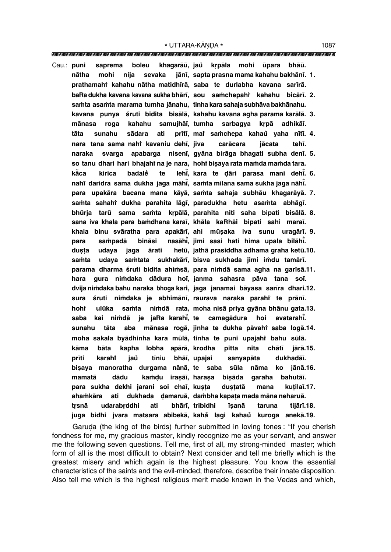\* UTTARA-KĀNDA \* 1087

""""""""""""""""""""""""""""""""""""""""""""""""""""""""""""""""""""""""""""""""""" Cau.: puni saprema boleu khagarāū, jaŭ krpāla mohi ūpara bhāū. **nåtha mohi nija sevaka jån∂, sapta prasna mama kahahu bakhån∂. 1. prathamahiÚ kahahu nåtha matidh∂rå, saba te durlabha kavana sar∂rå. baRa dukha kavana kavana sukha bhår∂, sou sa≈chepahiÚ kahahu bicår∂. 2. sa≈ta asa≈ta marama tumha jånahu, tinha kara sahaja subhåva bakhånahu. kavana punya ‹ruti bidita bisålå, kahahu kavana agha parama karålå. 3.** mānasa roga kahahu samujhāī, tumha sarbagya krpā adhikāī. **tåta sunahu sådara ati pr∂t∂, maiÚ sa≈chepa kahau° yaha n∂t∂. 4. nara tana sama nahiÚ kavaniu deh∂, j∂va caråcara jåcata teh∂. naraka svarga apabarga nisen∂, gyåna biråga bhagati subha den∂. 5. so tanu dhari hari bhajahiÚ na je nara, hohiÚ bi¶aya rata ma≈da ma≈da tara. kå° ca kirica badale° te leh∂° , kara te Œåri parasa mani deh∂° . 6. nahiÚ daridra sama dukha jaga måh∂° , sa≈ta milana sama sukha jaga nåh∂° . para upakåra bacana mana kåyå, sa≈ta sahaja subhåu khagaråyå. 7.** saṁta sahahì dukha parahita lāgī, paradukha hetu asaṁta abhāgī. **bhµurja tarµu sama sa≈ta kæpålå, parahita niti saha bipati bisålå. 8. sana iva khala para ba≈dhana kara∂, khåla kaRhåi bipati sahi mara∂. khala binu svåratha para apakår∂, ahi mµu¶aka iva sunu uragår∂. 9. para sa≈padå binåsi nasåh∂° , jimi sasi hati hima upala bilåh∂° . du¶¢a udaya jaga årati hetµu, jathå prasiddha adhama graha ketµu.10. sa≈ta udaya sa≈tata sukhakår∂, bisva sukhada jimi i≈du tamår∂.** parama dharma śruti bidita ahimsā, para nimdā sama agha na garīsā.11. hara gura nimdaka dādura hoī, janma sahasra pāva tana soī. **dvija ni≈daka bahu naraka bhoga kari, jaga janamai båyasa sar∂ra dhari.12.** sura śruti niṁdaka je abhimānī, raurava naraka parahi<sup>,</sup> te prānī. **hohi ulµuka sa≈ta ni≈då rata, moha niså priya gyåna bhånu gata.13. saba kai ni≈då je jaRa karah∂° , te camagådura hoi avatarah∂° . sunahu tåta aba månasa rogå, jinha te dukha påvahiÚ saba logå.14. moha sakala byådhinha kara mµulå, tinha te puni upajahiÚ bahu sµulå. kåma båta kapha lobha apårå, krodha pitta nita chåt∂ jårå.15.** prīti karahi  **jau° t∂niu bhå∂, upajai sanyapåta dukhadå∂. bi¶aya manoratha durgama nånå, te saba sµula nåma ko jånå.16. mamatå dådu ka≈Œu ira¶å∂, hara¶a bi¶åda garaha bahutå∂. para sukha dekhi jarani soi cha∂, ku¶¢a du¶¢atå mana ku¢ila∂.17. aha≈kåra ati dukhada Œamaruå, da≈bha kapa¢a mada måna neharuå.** trsnā udarabrddhi ati bhārī, tribidhi īṣanā taruna tijārī.18. **juga bidhi jvara matsara abibekå, kaha° lagi kahau° kuroga anekå.19.**

Garuda (the king of the birds) further submitted in loving tones : "If you cherish fondness for me, my gracious master, kindly recognize me as your servant, and answer me the following seven questions. Tell me, first of all, my strong-minded master; which form of all is the most difficult to obtain? Next consider and tell me briefly which is the greatest misery and which again is the highest pleasure. You know the essential characteristics of the saints and the evil-minded; therefore, describe their innate disposition. Also tell me which is the highest religious merit made known in the Vedas and which,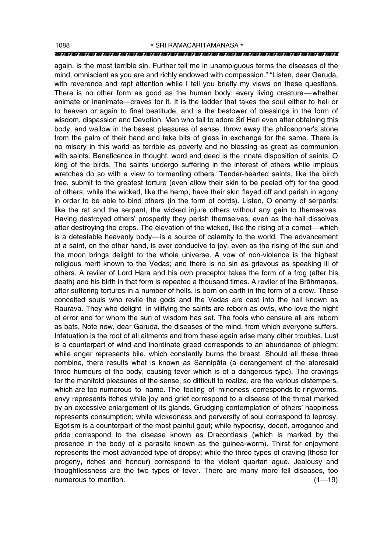#### 1088 **\*** SRĪ RĀMACARITAMĀNASA \*

""""""""""""""""""""""""""""""""""""""""""""""""""""""""""""""""""""""""""""""""""" again, is the most terrible sin. Further tell me in unambiguous terms the diseases of the mind, omniscient as you are and richly endowed with compassion." "Listen, dear Garuda, with reverence and rapt attention while I tell you briefly my views on these questions. There is no other form as good as the human body: every living creature—whether animate or inanimate—craves for it. It is the ladder that takes the soul either to hell or to heaven or again to final beatitude, and is the bestower of blessings in the form of wisdom, dispassion and Devotion. Men who fail to adore Srī Hari even after obtaining this body, and wallow in the basest pleasures of sense, throw away the philosopherís stone from the palm of their hand and take bits of glass in exchange for the same. There is no misery in this world as terrible as poverty and no blessing as great as communion with saints. Beneficence in thought, word and deed is the innate disposition of saints, O king of the birds. The saints undergo suffering in the interest of others while impious wretches do so with a view to tormenting others. Tender-hearted saints, like the birch tree, submit to the greatest torture (even allow their skin to be peeled off) for the good of others; while the wicked, like the hemp, have their skin flayed off and perish in agony in order to be able to bind others (in the form of cords). Listen, O enemy of serpents: like the rat and the serpent, the wicked injure others without any gain to themselves. Having destroyed others' prosperity they perish themselves, even as the hail dissolves after destroying the crops. The elevation of the wicked, like the rising of a comet—which is a detestable heavenly body—is a source of calamity to the world. The advancement of a saint, on the other hand, is ever conducive to joy, even as the rising of the sun and the moon brings delight to the whole universe. A vow of non-violence is the highest religious merit known to the Vedas; and there is no sin as grievous as speaking ill of others. A reviler of Lord Hara and his own preceptor takes the form of a frog (after his death) and his birth in that form is repeated a thousand times. A reviler of the Brāhmanas, after suffering tortures in a number of hells, is born on earth in the form of a crow. Those conceited souls who revile the gods and the Vedas are cast into the hell known as Raurava. They who delight in vilifying the saints are reborn as owls, who love the night

of error and for whom the sun of wisdom has set. The fools who censure all are reborn as bats. Note now, dear Garuda, the diseases of the mind, from which everyone suffers. Infatuation is the root of all ailments and from these again arise many other troubles. Lust is a counterpart of wind and inordinate greed corresponds to an abundance of phlegm; while anger represents bile, which constantly burns the breast. Should all these three combine, there results what is known as Sannipåta (a derangement of the aforesaid three humours of the body, causing fever which is of a dangerous type). The cravings for the manifold pleasures of the sense, so difficult to realize, are the various distempers, which are too numerous to name. The feeling of mineness corresponds to ringworms, envy represents itches while joy and grief correspond to a disease of the throat marked by an excessive enlargement of its glands. Grudging contemplation of others' happiness represents consumption; while wickedness and perversity of soul correspond to leprosy. Egotism is a counterpart of the most painful gout; while hypocrisy, deceit, arrogance and pride correspond to the disease known as Dracontiasis (which is marked by the presence in the body of a parasite known as the guinea-worm). Thirst for enjoyment represents the most advanced type of dropsy; while the three types of craving (those for progeny, riches and honour) correspond to the violent quartan ague. Jealousy and thoughtlessness are the two types of fever. There are many more fell diseases, too numerous to mention.  $(1-19)$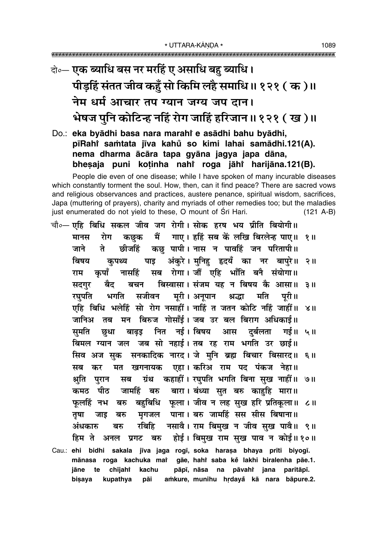# वो॰— एक ब्याधि बस नर मरहिं ए असाधि बह ब्याधि । पीड़हिं संतत जीव कहँ सो किमि लहै समाधि॥ १२१ ( क )॥ नेम धर्म आचार तप ग्यान जग्य जप दान। भेषज पनि कोटिन्ह नहिं रोग जाहिं हरिजान॥१२१ (ख)॥

Do.: eka byādhi basa nara marahi e asādhi bahu byādhi, pīRahi samtata jīva kahů so kimi lahai samādhi.121(A). nema dharma ācāra tapa gyāna jagya japa dāna, bhesaja puni kotinha nahi roga jāhi harijāna.121(B).

People die even of one disease; while I have spoken of many incurable diseases which constantly torment the soul. How, then, can it find peace? There are sacred vows and religious observances and practices, austere penance, spiritual wisdom, sacrifices, Japa (muttering of prayers), charity and myriads of other remedies too; but the maladies just enumerated do not yield to these, O mount of Sri Hari.  $(121 A-B)$ 

चौ०— एहि बिधि सकल जीव जग रोगी। सोक हरष भय प्रीति बियोगी॥ मानस रोग कछक मैं गाए। हहिं सब कें लखि बिरलेन्ह पाए॥  $\sqrt{2}$ कछ पापी। नास न पावहिं जन परितापी॥ ते छीजहिं जाने अंकुरे। मुनिह हृदयँ का नर बापुरे॥ ਕਿषय कपथ्य पाड  $\overline{R}$ कपाँ सब रोगा। जौं एहि भाँति बनै संयोगा॥ नासहिं राम बिस्वासा। संजम यह न बिषय कै आसा॥ ३॥ बचन सदगर बैद रघपति भगति सजीवन मरी। अनुपान श्रद्धा मति परी ॥ एहि बिधि भलेहिं सो रोग नसाहीं। नाहिं त जतन कोटि नहिं जाहीं॥ ४॥ तब मन बिरुज गोसाँई। जब उर बल बिराग अधिकाई॥ जानिअ बाढड नित नई। बिषय गई।। ५॥ समति आस दर्बलता छुधा बिमल ग्यान जल जब सो नहाई। तब रह राम भगति उर छाई॥ सनकादिक नारद। जे मुनि ब्रह्म बिचार बिसारद॥ ६॥ सिव अज सक मत एहा। करिअ राम पद पंकज नेहा॥ मब खगनायक कर ग्रंथ कहाहीं। रघुपति भगति बिना सुख नाहीं॥ श्रुति पुरान सब ७॥ बारा। बंध्या सुत बरु काहुहि मारा॥ पीठ जामहिं बरु कमठ बहुबिधि फूला। जीव न लह सुख हरि प्रतिकुला॥ फुलहिं नभ  $c<sub>1</sub>$ बरु मगजल पाना। बरु जामहिं सस सीस बिषाना॥ तषा जाड बरु नसावै। राम बिमुख न जीव सुख पावै॥ ९॥ रबिहि अंधकारु बरु होई। बिमुख राम सुख पाव न कोई॥१०॥ हिम ते अनल प्रगट बरु Cau.: ehi bidhi sakala jīva jaga rogī, soka harasa bhaya prīti biyogī. mānasa roga kachuka mat gāe, hahi saba kë lakhi biralenha pāe.1. jāne te chījahi kachu pāpī, nāsa na pāvahi jana paritāpī. pāi amkure, munihu hrdayå kā nara bāpure.2. bisaya kupathya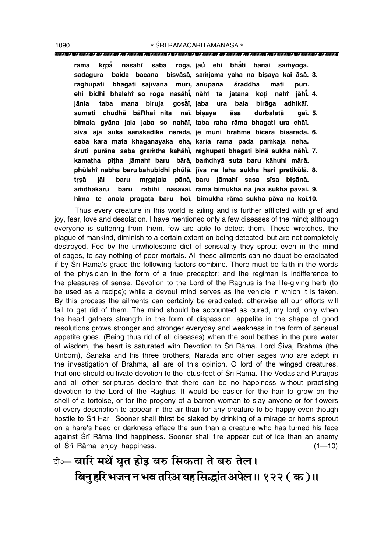""""""""""""""""""""""""""""""""""""""""""""""""""""""""""""""""""""""""""""""""""" 1090 **\*** SRĪ RĀMACARITAMĀNASA \*

**råma kæpå° nåsahiÚ saba rogå, jau° ehi bhå°** bhāti banai samyogā. **sadagura baida bacana bisvåså, sa≈jama yaha na bi¶aya kai åså. 3. raghupati bhagati saj∂vana mµur∂, anµupåna ‹raddhå mati pµur∂. ehi bidhi bhalehiÚ so roga nasåh∂° , nåhiÚ ta jatana ko¢i nahiÚ jåh∂° . 4. jånia taba mana biruja goså° ∂, jaba ura bala biråga adhikå∂.** sumati chudhā bāRhai nita naī, biṣaya āsa durbalatā gaī. 5. **bimala gyåna jala jaba so nahå∂, taba raha råma bhagati ura chå∂. siva aja suka sanakådika nårada, je muni brahma bicåra bisårada. 6. saba kara mata khaganåyaka ehå, karia råma pada pa≈kaja nehå. ‹ruti puråna saba gra≈tha kahåh∂° , raghupati bhagati binå sukha nåh∂° . 7. kama¢ha p∂¢ha jåmahiÚ baru bårå, ba≈dhyå suta baru kåhuhi mårå. phµulahiÚ nabha baru bahubidhi phµulå, j∂va na laha sukha hari pratikµulå. 8.** tṛṣā jāi baru mṛgajala pānā, baru jāmah† sasa sīsa biṣānā. **a≈dhakåru baru rabihi nasåvai, råma bimukha na j∂va sukha påvai. 9. hima te anala praga¢a baru ho∂, bimukha råma sukha påva na ko∂.10.**

Thus every creature in this world is ailing and is further afflicted with grief and joy, fear, love and desolation. I have mentioned only a few diseases of the mind; although everyone is suffering from them, few are able to detect them. These wretches, the plague of mankind, diminish to a certain extent on being detected, but are not completely destroyed. Fed by the unwholesome diet of sensuality they sprout even in the mind of sages, to say nothing of poor mortals. All these ailments can no doubt be eradicated if by Srī Rāma's grace the following factors combine. There must be faith in the words of the physician in the form of a true preceptor; and the regimen is indifference to the pleasures of sense. Devotion to the Lord of the Raghus is the life-giving herb (to be used as a recipe); while a devout mind serves as the vehicle in which it is taken. By this process the ailments can certainly be eradicated; otherwise all our efforts will fail to get rid of them. The mind should be accounted as cured, my lord, only when the heart gathers strength in the form of dispassion, appetite in the shape of good resolutions grows stronger and stronger everyday and weakness in the form of sensual appetite goes. (Being thus rid of all diseases) when the soul bathes in the pure water of wisdom, the heart is saturated with Devotion to Śrī Rāma. Lord Śiva, Brahmā (the Unborn), Sanaka and his three brothers, Nårada and other sages who are adept in the investigation of Brahma, all are of this opinion, O lord of the winged creatures, that one should cultivate devotion to the lotus-feet of Śrī Rāma. The Vedas and Purānas and all other scriptures declare that there can be no happiness without practising devotion to the Lord of the Raghus. It would be easier for the hair to grow on the shell of a tortoise, or for the progeny of a barren woman to slay anyone or for flowers of every description to appear in the air than for any creature to be happy even though hostile to Srī Hari. Sooner shall thirst be slaked by drinking of a mirage or horns sprout on a hareís head or darkness efface the sun than a creature who has turned his face against Śrī Rāma find happiness. Sooner shall fire appear out of ice than an enemy of Śrī Rāma enjoy happiness. (1—10)

दो**०– बारि मथें घृत होइ बरु सिकता ते बरु तेल।** <u>बिनु</u> हरि भजन न भव तरिअ यह सिद्धांत अपेल ॥ १२२ ( क )॥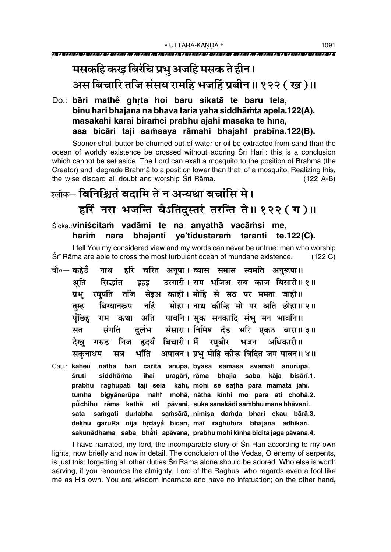# मसकहि करइ बिरंचि प्रभु अजहि मसक ते हीन। अस बिचारि तजि संसय रामहि भजहिं प्रबीन ॥ १२२ ( ख )॥

### Do.: bāri mathe ghrta hoi baru sikatā te baru tela, binu hari bhajana na bhava taria vaha siddhāmta apela.122(A). masakahi karai biramci prabhu ajahi masaka te hīna, asa bicāri taji samsaya rāmahi bhajahi prabīna.122(B).

Sooner shall butter be churned out of water or oil be extracted from sand than the ocean of worldly existence be crossed without adoring Sri Hari: this is a conclusion which cannot be set aside. The Lord can exalt a mosquito to the position of Brahma (the Creator) and degrade Brahma to a position lower than that of a mosquito. Realizing this, the wise discard all doubt and worship Srī Rāma.  $(122 A-B)$ 

### श्लोक– विनिश्चितं वदामि ते न अन्यथा वचांसि मे।

### हरिं नरा भजन्ति येऽतिदुस्तरं तरन्ति ते॥१२२ (ग)॥

#### Śloka.: viniścitam vadāmi te na anyathā vacāmsi me, harim narā bhajanti ye'tidustaram taranti te.122(C).

I tell You my considered view and my words can never be untrue: men who worship Śrī Rāma are able to cross the most turbulent ocean of mundane existence.  $(122 C)$ 

- चौ०– कहेडँ हरि चरित अनुपा।ब्यास समास स्वमति अनुरूपा॥ नाथ उरगारी। राम भजिअ सब काज बिसारी॥१॥ श्रति सिद्धांत ਤੁਲਤ प्रभु रघुपति तजि सेइअ काही। मोहि से सठ पर ममता जाही॥ नहिं मोहा। नाथ कीन्हि मो पर अति छोहा॥२॥ बिग्यानरूप तम्ह राम कथा अति पावनि ।सक सनकादि संभु मन भावनि॥ पँछिह दुर्लभ संसारा। निमिष दंड भरि एकउ बारा॥३॥ सत संगति निज हृदयँ बिचारी। मैं रघबीर भजन अधिकारी॥ देख गरुड भाँति अपावन । प्रभु मोहि कीन्ह बिदित जग पावन॥४॥ सकनाधम सब
- Cau.: kaheů nātha hari carita anūpā, byāsa samāsa svamati anurūpā. uragārī, rāma śruti siddhāmta ihai bhajia saba kāja bisārī.1. prabhu raghupati taji seia kāhī, mohi se sațha para mamatā jāhī. bigyānarūpa nahi mohā, nātha kīnhi mo para ati chohā.2. tumha pūchihu rāma kathā ati pāvani, suka sanakādi sambhu mana bhāvani. samgati durlabha samsārā, nimisa damda bhari ekau bārā.3. sata dekhu garuRa nija hrdayå bicārī, mat raghubīra bhajana adhikārī. sakunādhama saba bhāti apāvana, prabhu mohi kīnha bidita jaga pāvana.4.

I have narrated, my lord, the incomparable story of Sri Hari according to my own lights, now briefly and now in detail. The conclusion of the Vedas, O enemy of serpents, is just this: forgetting all other duties Srī Rāma alone should be adored. Who else is worth serving, if you renounce the almighty, Lord of the Raghus, who regards even a fool like me as His own. You are wisdom incarnate and have no infatuation; on the other hand,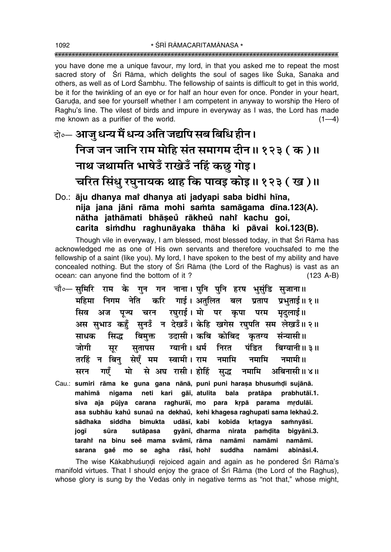you have done me a unique favour, my lord, in that you asked me to repeat the most sacred story of Sri Rama, which delights the soul of sages like Suka, Sanaka and others, as well as of Lord Sambhu. The fellowship of saints is difficult to get in this world. be it for the twinkling of an eye or for half an hour even for once. Ponder in your heart, Garuda, and see for yourself whether I am competent in anyway to worship the Hero of Raghu's line. The vilest of birds and impure in everyway as I was, the Lord has made me known as a purifier of the world.  $(1-4)$ 

- वो०— आजु धन्य मैं धन्य अति जद्यपि सब बिधि हीन। निज जन जानि राम मोहि संत समागम दीन॥ १२३ ( क )॥ नाथ जथामति भाषेउँ राखेउँ नहिं कछ गोड़। चरित सिंधु रघुनायक थाह कि पावड़ कोइ॥ १२३ (ख)॥
- Do.: āju dhanya mai dhanya ati jadyapi saba bidhi hīna, nija jana jāni rāma mohi samta samāgama dīna.123(A). nātha jathāmati bhāseů rākheů nahř kachu goi, carita simdhu raghunāyaka thāha ki pāvai koi.123(B).

Though vile in everyway, I am blessed, most blessed today, in that Srī Rāma has acknowledged me as one of His own servants and therefore vouchsafed to me the fellowship of a saint (like you). My lord, I have spoken to the best of my ability and have concealed nothing. But the story of Sri Rama (the Lord of the Raghus) is vast as an ocean: can anyone find the bottom of it?  $(123 A-B)$ 

- चौ०— सुमिरि राम के गुन गन नाना। पुनि पुनि हरष भुसुंडि सुजाना॥ महिमा निगम नेति करि गाई।अतुलित बल प्रताप प्रभुताई॥१॥ सिव अज पूज्य चरन रघुराई। मो पर कृपा परम मृदुलाई॥ अस सुभाउ कहुँ सुनउँ न देखउँ। केहि खगेस रघुपति सम लेखउँ॥२॥ बिमुक्त उदासी। कबि कोबिद कृतग्य संन्यासी॥ सिद्ध साधक सुतापस ग्यानी । धर्म निरत जोगी सूर पंडित बिग्यानी॥ ३॥ तरहिं न बिन सेएँ मम स्वामी। राम नमामि नमामि नमामी ॥ से अघ रासी। होहिं सुद्ध मो अबिनासी॥ ४॥ सरन गएँ नमामि
- Cau.: sumiri rāma ke guna gana nānā, puni puni haraṣa bhusumdi sujānā. nigama neti kari gāī, atulita bala pratāpa prabhutāī.1. mahimā siva aja pūjya carana raghurāi, mo para krpā parama mrdulāi. asa subhāu kahů sunaů na dekhaů, kehi khagesa raghupati sama lekhaů.2. bimukta udāsī, kabi kobida sādhaka siddha krtagya samnyāsī. sūra sutāpasa gyānī, dharma nirata pamdita bigyānī.3. jogī tarahi na binu seě mama svāmī, rāma namāmi namāmī. namāmi sarana gaĕ mo se agha rāsī, hohř suddha namāmi abināsī.4.

The wise Kākabhuśuņḍi rejoiced again and again as he pondered Śrī Rāma's manifold virtues. That I should enjoy the grace of Sri Rama (the Lord of the Raghus), whose glory is sung by the Vedas only in negative terms as "not that," whose might,

1092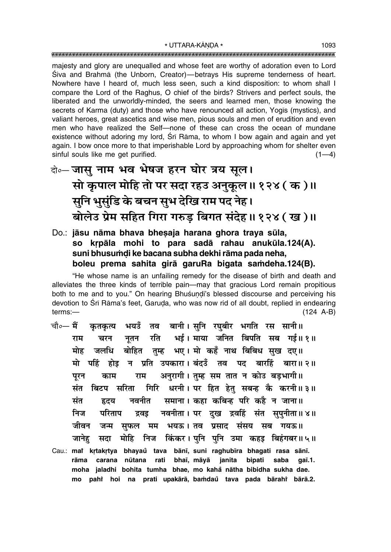majesty and glory are unequalled and whose feet are worthy of adoration even to Lord Śiva and Brahmā (the Unborn, Creator)—betrays His supreme tenderness of heart. Nowhere have I heard of, much less seen, such a kind disposition: to whom shall I compare the Lord of the Raghus, O chief of the birds? Strivers and perfect souls, the liberated and the unworldly-minded, the seers and learned men, those knowing the secrets of Karma (duty) and those who have renounced all action, Yogis (mystics), and valiant heroes, great ascetics and wise men, pious souls and men of erudition and even men who have realized the Self-none of these can cross the ocean of mundane existence without adoring my lord, Srī Rāma, to whom I bow again and again and yet again. I bow once more to that imperishable Lord by approaching whom for shelter even sinful souls like me get purified.  $(1-4)$ 

## बे॰-जासु नाम भव भेषज हरन घोर त्रय सूल। सो कृपाल मोहि तो पर सदा रहउ अनुकूल॥ १२४ ( क )॥ सुनि भुसुंडि के बचन सुभ देखि राम पद नेह। बोलेउ प्रेम सहित गिरा गरुड बिगत संदेह॥१२४ (ख)॥

Do.: jāsu nāma bhava bhesaja harana ghora traya sūla, so krpāla mohi to para sadā rahau anukūla.124(A). suni bhusumdi ke bacana subha dekhi rāma pada neha, boleu prema sahita girā garuRa bigata samdeha.124(B).

"He whose name is an unfailing remedy for the disease of birth and death and alleviates the three kinds of terrible pain—may that gracious Lord remain propitious both to me and to you." On hearing Bhusundi's blessed discourse and perceiving his devotion to Śrī Rāma's feet, Garuda, who was now rid of all doubt, replied in endearing  $terms:$  $(124 \text{ A-B})$ 

भयउँ तव बानी। सुनि रघुबीर भगति रस सानी॥ चौ०— **में** कृतकृत्य रति भई। माया जनित बिपति सब गई॥१॥ नतन राम चरन बोहित तम्ह भए। मो कहँ नाथ बिबिध सख दए॥ मोह जलधि मो पहिं होइ न प्रति उपकारा। बंदउँ तव पद बारहिं बारा॥२॥ अनुरागी। तुम्ह सम तात न कोउ बड़भागी॥ काम राम पुरन गिरि धरनी। पर हित हेत सबन्ह कै करनी॥३॥ संत बिटप सरिता नवनीत समाना। कहा कबिन्ह परि कहै न जाना॥ संत हृदय द्रवड़ नवनीता। पर दुख द्रवहिं संत सुपुनीता॥४॥ परिताप निज सुफल मम भयऊ।तव प्रसाद संसय सब गयऊ॥ जीवन जन्म मोहि निज किंकर। पुनि पुनि उमा कहइ बिहंगबर॥५॥ जानेह सदा Cau.: mai krtakrtya bhayaŭ tava bānī, suni raghubīra bhagati rasa sānī. carana nūtana rati bhaī, māyā janita rāma bipati saba gaī.1. moha jaladhi bohita tumha bhae, mo kahå nātha bibidha sukha dae. mo pahi hoi na prati upakārā, bamdaŭ tava pada bārahi bārā.2.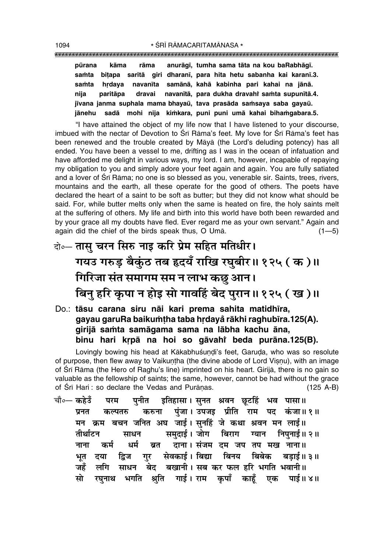**pµurana kåma råma anuråg∂, tumha sama tåta na kou baRabhåg∂. sa≈ta bi¢apa saritå giri dharan∂, para hita hetu sabanha kai karan∂.3. sa≈ta hædaya navan∂ta samånå, kahå kabinha pari kahai na jånå. nija paritåpa dravai navan∂tå, para dukha dravahiÚ sa≈ta supun∂tå.4. j∂vana janma suphala mama bhayaµu, tava prasåda sa≈saya saba gayaµu. jånehu sadå mohi nija ki≈kara, puni puni umå kahai biha≈gabara.5.**

"I have attained the object of my life now that I have listened to your discourse, imbued with the nectar of Devotion to Śrī Rāma's feet. My love for Śrī Rāma's feet has been renewed and the trouble created by Māyā (the Lord's deluding potency) has all ended. You have been a vessel to me, drifting as I was in the ocean of infatuation and have afforded me delight in various ways, my lord. I am, however, incapable of repaying my obligation to you and simply adore your feet again and again. You are fully satiated and a lover of Śrī Rāma; no one is so blessed as you, venerable sir. Saints, trees, rivers, mountains and the earth, all these operate for the good of others. The poets have declared the heart of a saint to be soft as butter; but they did not know what should be said. For, while butter melts only when the same is heated on fire, the holy saints melt at the suffering of others. My life and birth into this world have both been rewarded and by your grace all my doubts have fled. Ever regard me as your own servant." Again and again did the chief of the birds speak thus, O Uma.  $(1-5)$ 

- दो∘— **तासु चरन सिरु नाइ करि प्रेम सहित मतिधीर। ªÿ©U ªL§«∏U 'Ò∑È¢§∆U Ã' NUŒÿ° ⁄UÊÁπ ⁄UÉÊÈ'Ë⁄UH 125 (∑§)H** <u>गिरिजा संत समागम सम न लाभ कछु आन।</u> <u>बिन</u> हरि कृपा न होइ सो गावहिं बेद पुरान॥१२५ (ख)॥
- Do.: **tåsu carana siru nåi kari prema sahita matidh∂ra, gayau garuRa baiku≈¢ha taba hædaya° råkhi raghub∂ra.125(A). girijå sa≈ta samågama sama na låbha kachu åna, binu hari kæpå na hoi so gåvahiÚ beda puråna.125(B).**

Lovingly bowing his head at Kākabhuśundi's feet, Garuda, who was so resolute of purpose, then flew away to Vaikuntha (the divine abode of Lord Visnu), with an image of Srī Rāma (the Hero of Raghu's line) imprinted on his heart. Girijā, there is no gain so valuable as the fellowship of saints; the same, however, cannot be had without the grace of Śrī Hari : so declare the Vedas and Purānas. (125 A-B)

**चौ०— कहेउँ परम पुनीत इतिहासा। सुनत श्रवन छूटहिं भव पासा॥** प्रनत कल्पतरु करुना पुंजा। उपजइ प्रीति राम पद कंजा॥ १॥ <u>मन क्रम बचन जनित अघ जाई। सुनहिं जे कथा श्रवन मन लाई॥</u> तीर्थाटन साधन समदाई | जोग बिराग ग्यान निपनाई॥२॥ नाना कर्म धर्म ब्रत दाना।**संजम दम जप तप मख नाना**॥ भूत दया द्विज गुर सेवकाई।।बिद्या बिनय बिबेक बड़ाई॥३॥ जहँ लगि साधन बेद बखानी।**सब कर फल हरि भगति भवानी**॥ सो रघनाथ भगति श्रुति गाई।**राम कुपाँ काहँ एक पाई॥४॥**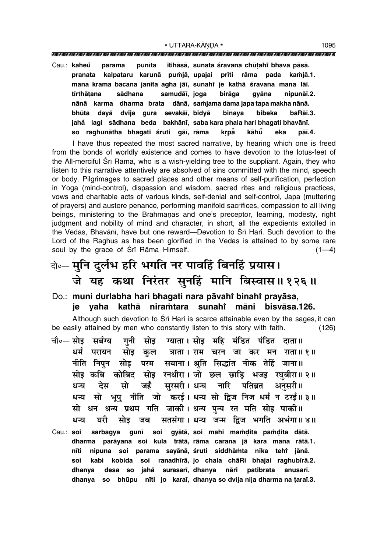\* UTTARA-KĀNDA \*

Cau.: kaheů parama punīta itihāsā, sunata śravana chūțahi bhava pāsā. pranata kalpataru karunā pumiā, upajai prīti rāma pada kamiā.1. mana krama bacana janita agha jāī, sunahi je kathā śravana mana lāī. sādhana samudāī, joga tīrthātana birāga gyāna nipunāī.2. nānā karma dharma brata dānā, samjama dama japa tapa makha nānā. bhūta dayā dvija gura sevakāī, bidyā binaya bibeka baRāī.3. jahå lagi sādhana beda bakhānī, saba kara phala hari bhagati bhavānī. so raghunātha bhagati śruti gāi, rāma krpå kāhū eka pāī.4.

I have thus repeated the most sacred narrative, by hearing which one is freed from the bonds of worldly existence and comes to have devotion to the lotus-feet of the All-merciful Srī Rāma, who is a wish-yielding tree to the suppliant. Again, they who listen to this narrative attentively are absolved of sins committed with the mind, speech or body. Pilgrimages to sacred places and other means of self-purification, perfection in Yoga (mind-control), dispassion and wisdom, sacred rites and religious practices, vows and charitable acts of various kinds, self-denial and self-control, Japa (muttering of prayers) and austere penance, performing manifold sacrifices, compassion to all living beings, ministering to the Brāhmanas and one's preceptor, learning, modesty, right judgment and nobility of mind and character, in short, all the expedients extolled in the Vedas, Bhavānī, have but one reward—Devotion to Śrī Hari. Such devotion to the Lord of the Raghus as has been glorified in the Vedas is attained to by some rare soul by the grace of Sri Rama Himself.  $(1-4)$ 

# वे०- मुनि दुर्लभ हरि भगति नर पावहिं बिनहिं प्रयास। जे यह कथा निरंतर सुनहिं मानि बिस्वास॥१२६॥

## Do.: muni durlabha hari bhagati nara pāvahi binahi pravāsa, je vaha kathā niramtara sunahi māni bisvāsa.126.

Although such devotion to Sri Hari is scarce attainable even by the sages, it can be easily attained by men who constantly listen to this story with faith.  $(126)$ 

- गुनी सोइ ग्याता।सोइ महि मंडित पंडित दाता॥ चौ०— सोड़ सर्बग्य धर्म परायन सोड़ कुल त्राता। राम चरन जा कर मन राता॥१॥ नीति निपुन सोइ परम सयाना। श्रुति सिद्धांत नीक तेहिं जाना॥ सोइ कबि कोबिद सोइ रनधीरा। जो छल छाड़ि भजइ रघुबीरा॥२॥ सो जहँ सुरसरी।धन्य नारि पतिब्रत अनुसरी॥ देस धन्य धन्य सो भूषु नीति जो करई। धन्य सो द्विज निज धर्म न टरई।।३॥ सो धन धन्य प्रथम गति जाकी। धन्य पुन्य रत मति सोइ पाकी॥ घरी सोड जब सतसंगा।धन्य जन्म द्विज भगति अभंगा॥४॥ धन्य
- sarbagya gunī soi gyātā, soi mahi mamdita pamdita dātā. Cau.: soi dharma parāyana soi kula trātā, rāma carana jā kara mana rātā.1. nīti nipuna soi parama sayānā, śruti siddhāmta nīka tehr jānā. soi kabi kobida soi ranadhīrā, jo chala chāRi bhajai raghubīrā.2. dhanya desa so jahå surasarī, dhanya nāri patibrata anusarī. dhanya so bhūpu nīti jo karaī, dhanya so dvija nija dharma na taraī.3.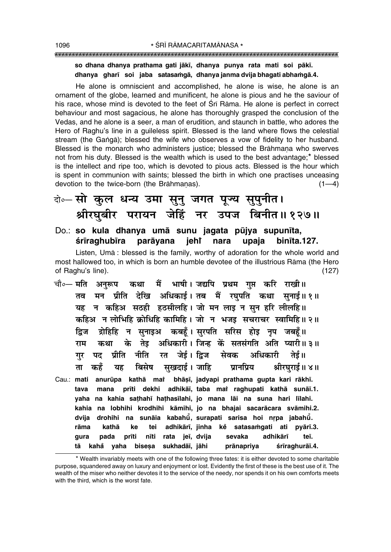#### so dhana dhanya prathama gati jākī, dhanya punya rata mati soi pākī. dhanya gharī soi jaba satasamgā, dhanya janma dvija bhagati abhamgā.4.

He alone is omniscient and accomplished, he alone is wise, he alone is an ornament of the globe, learned and munificent, he alone is pious and he the saviour of his race, whose mind is devoted to the feet of Sri Rama. He alone is perfect in correct behaviour and most sagacious, he alone has thoroughly grasped the conclusion of the Vedas, and he alone is a seer, a man of erudition, and staunch in battle, who adores the Hero of Raghu's line in a guileless spirit. Blessed is the land where flows the celestial stream (the Ganga); blessed the wife who observes a vow of fidelity to her husband. Blessed is the monarch who administers justice; blessed the Brāhmana who swerves not from his duty. Blessed is the wealth which is used to the best advantage;\* blessed is the intellect and ripe too, which is devoted to pious acts. Blessed is the hour which is spent in communion with saints; blessed the birth in which one practises unceasing devotion to the twice-born (the Brāhmanas).  $(1-4)$ 

## के-सो कुल धन्य उमा सुनु जगत पूज्य सुपुनीत। श्रीरघुबीर परायन जेहिं नर उपज बिनीत॥१२७॥

Do.: so kula dhanya umā sunu jagata pūjya supunīta, śrīraghubīra parāyana iehi nara upaja binīta.127.

Listen, Uma: blessed is the family, worthy of adoration for the whole world and most hallowed too, in which is born an humble devotee of the illustrious Rāma (the Hero of Raghu's line).  $(127)$ 

कथा मैं भाषी।जद्यपि प्रथम गुप्त करि राखी॥ चौ∘— मति अनरूप तव मन प्रीति देखि अधिकाई।तब मैं रघुपति कथा सुनाई॥१॥ यह न कहिअ सठही हठसीलहि। जो मन लाइ न सुन हरि लीलहि॥ कहिअ न लोभिहि क्रोधिहि कामिहि। जो न भजइ सचराचर स्वामिहि॥२॥ द्रोहिहि न सनाइअ कबहँ। सरपति सरिस होड़ नप जबहँ॥ द्विज तेड अधिकारी। जिन्ह कें सतसंगति अति प्यारी॥३॥ राम कथा के प्रीति नीति रत जेई। द्विज सेवक अधिकारी तेर्ड ॥ गर पद कहँ बिसेष सुखदाई। जाहि प्रानप्रिय श्रीरघराई॥ ४॥ यह ता Cau.: mati anurūpa kathā mai bhāsī, jadvapi prathama qupta kari rākhī. tava mana prīti dekhi adhikāī, taba mai raghupati kathā sunāī.1. yaha na kahia sathahī hathasīlahi, jo mana lāi na suna hari līlahi. kahia na lobhihi krodhihi kāmihi, jo na bhajai sacarācara svāmihi.2. dvija drohihi na sunāia kabahū, surapati sarisa hoi nrpa jabahū. kathā tei adhikārī, jinha ke satasamgati ati pyārī.3. rāma ke pada prīti nīti rata jeī, dvija sevaka adhikārī teī. qura

prānapriya

śrīraghurāī.4.

kahå yaha biseşa sukhadāī, jāhi

tā

<sup>\*</sup> Wealth invariably meets with one of the following three fates: it is either devoted to some charitable purpose, squandered away on luxury and enjoyment or lost. Evidently the first of these is the best use of it. The wealth of the miser who neither devotes it to the service of the needy, nor spends it on his own comforts meets with the third, which is the worst fate.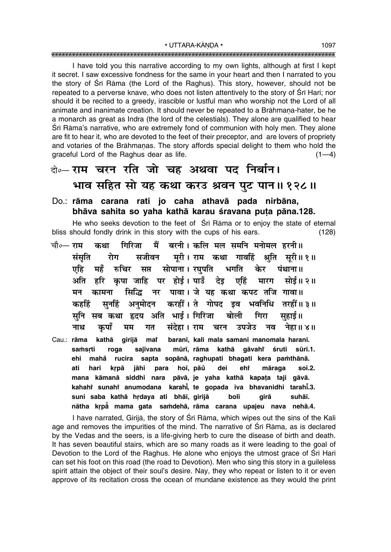I have told you this narrative according to my own lights, although at first I kept it secret. I saw excessive fondness for the same in your heart and then I narrated to you the story of Sri Rama (the Lord of the Raghus). This story, however, should not be repeated to a perverse knave, who does not listen attentively to the story of Srī Hari; nor should it be recited to a greedy, irascible or lustful man who worship not the Lord of all animate and inanimate creation. It should never be repeated to a Brāhmana-hater, be he a monarch as great as Indra (the lord of the celestials). They alone are qualified to hear Śrī Rāma's narrative, who are extremely fond of communion with holy men. They alone are fit to hear it, who are devoted to the feet of their preceptor, and are lovers of propriety and votaries of the Brāhmanas. The story affords special delight to them who hold the graceful Lord of the Raghus dear as life.  $(1-4)$ 

## दो०-राम चरन रति जो चह अथवा पद निर्बान। भाव सहित सो यह कथा करउ श्रवन पुट पान॥ १२८॥

### Do.: rāma carana rati jo caha athavā pada nirbāna, bhāva sahita so yaha kathā karau śravana puta pāna.128.

He who seeks devotion to the feet of Srī Rāma or to enjoy the state of eternal bliss should fondly drink in this story with the cups of his ears.  $(128)$ 

गिरिजा मैं बरनी। कलि मल समनि मनोमल हरनी॥ चौ०— **राम** कथा मूरी। राम कथा गावहिं श्रुति सूरी॥१॥ रोग सजीवन संसति एहि महँ रुचिर सप्त सोपाना। रघुपति भगति पंथाना ॥ केर हरि कपा जाहि पर होई। पाउँ देइ अति एहिं मारंग सोई॥ २॥ सिद्धि नर पावा। जे यह कथा कपट तजि गावा॥ मन कामना करहीं। ते गोपद इव भवनिधि तरहीं॥ ३॥ सनहिं अनमोदन कहहिँ सब कथा हृदय अति भाई। गिरिजा बोली गिरा सनि सहाई ॥ कुपाँ संदेहा । राम चरन उपजेउ नेहा॥ ४॥ नाथ मम गत नव Cau.: rāma kathā girijā baranī, kali mala samani manomala haranī. mat samsrti roga sajīvana mūrī, rāma kathā gāvahr śruti sūrī.1. sapta sopānā, raghupati bhagati kera pamthānā. ehi mahå rucira jāhi hoī, pāů dei ehř ati hari krpā para māraga soī.2. mana kāmanā siddhi nara pāvā, je yaha kathā kapata taji gāvā. kahahi sunahi anumodana karahi, te gopada iva bhavanidhi tarahi.3. suni saba kathā hrdaya ati bhāī, girijā bolī qirā suhāī.

nātha krpå mama gata samdehā, rāma carana upajeu nava nehā.4.

I have narrated, Girija, the story of Sri Rama, which wipes out the sins of the Kali age and removes the impurities of the mind. The narrative of Sri Rama, as is declared by the Vedas and the seers, is a life-giving herb to cure the disease of birth and death. It has seven beautiful stairs, which are so many roads as it were leading to the goal of Devotion to the Lord of the Raghus. He alone who enjoys the utmost grace of Sri Hari can set his foot on this road (the road to Devotion). Men who sing this story in a guileless spirit attain the object of their soul's desire. Nay, they who repeat or listen to it or even approve of its recitation cross the ocean of mundane existence as they would the print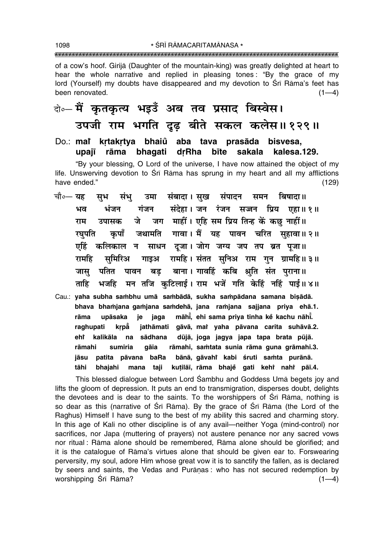of a cow's hoof. Girijā (Daughter of the mountain-king) was greatly delighted at heart to hear the whole narrative and replied in pleasing tones: "By the grace of my lord (Yourself) my doubts have disappeared and my devotion to Srī Rāma's feet has been renovated.  $(1-4)$ 

# वे० मैं कृतकृत्य भइउँ अब तव प्रसाद बिस्वेस। उपजी राम भगति दुढ़ बीते सकल कलेस॥१२९॥

Do.: mai krtakrtya bhaiů aba tava prasāda bisvesa, upajī rāma bhagati drRha bīte sakala kalesa.129.

"By your blessing, O Lord of the universe, I have now attained the object of my life. Unswerving devotion to Sri Rama has sprung in my heart and all my afflictions have ended."  $(129)$ 

- चौ०— यह संबादा। सुख संपादन समन बिषाटा ॥ सुभ संभ उमा भव भंजन गंजन संदेहा। जन रंजन सज्जन प्रिय एहा॥१॥ जग माहीं। एहि सम प्रिय तिन्ह कें कछ नाहीं॥ उपासक राम जे जथामति गावा। मैं यह पावन चरित सुहावा॥२॥ रघपति कपाँ साधन दूजा। जोग जग्य जप तप ब्रत पूजा॥ एहिं कलिकाल न गाइअ रामहि। संतत सनिअ राम गन ग्रामहि॥३॥ रामहि समिरिअ बड़ बाना। गावहिं कबि श्रुति संत पुराना॥ पतित जास् पावन भजहि मन तजि कुटिलाई। राम भजें गति केहिं नहिं पाई॥४॥ ताहि
- Cau.: yaha subha sambhu umā sambādā, sukha sampādana samana bisādā. bhava bhamjana gamjana samdehā, jana ramjana sajjana priya ehā.1. māhi, ehi sama priya tinha kẻ kachu nāhi. rāma upāsaka je jaga jathāmati gāvā, mai yaha pāvana carita suhāvā.2. raghupati krpå eht kalikāla na sādhana dūjā, joga jagya japa tapa brata pūjā. sumiria rāmahi, samtata sunia rāma guna grāmahi.3. rāmahi qāia bānā, gāvahi kabi śruti samta purānā. jāsu patita pāvana baRa tāhi bhajahi mana taji kuțilāi, rāma bhaje gati kehr nahr pāī.4.

This blessed dialogue between Lord Sambhu and Goddess Uma begets joy and lifts the gloom of depression. It puts an end to transmigration, disperses doubt, delights the devotees and is dear to the saints. To the worshippers of Sri Rama, nothing is so dear as this (narrative of Sri Rama). By the grace of Sri Rama (the Lord of the Raghus) Himself I have sung to the best of my ability this sacred and charming story. In this age of Kali no other discipline is of any avail-neither Yoga (mind-control) nor sacrifices, nor Japa (muttering of prayers) not austere penance nor any sacred vows nor ritual : Rāma alone should be remembered, Rāma alone should be glorified; and it is the catalogue of Rāma's virtues alone that should be given ear to. Forswearing perversity, my soul, adore Him whose great vow it is to sanctify the fallen, as is declared by seers and saints, the Vedas and Puranas: who has not secured redemption by worshipping Srī Rāma?  $(1-4)$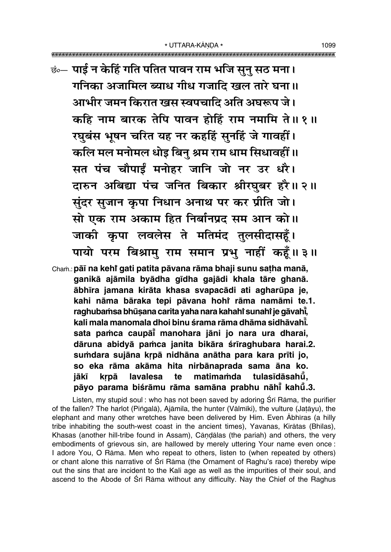छं— पाई न केहिं गति पतित पावन राम भजि सूनु सठ मना। गनिका अजामिल ब्याध गीध गजादि खल तारे घना ॥ आभीर जमन किरात खस स्वपचादि अति अघरूप जे। कहि नाम बारक तेपि पावन होहिं राम नमामि ते॥१॥ रघुबंस भूषन चरित यह नर कहहिं सुनहिं जे गावहीं। कलि मल मनोमल धोइ बिन् श्रम राम धाम सिधावहीं ॥ सत पंच चौपाईं मनोहर जानि जो नर उर धरै। दारुन अबिद्या पंच जनित बिकार श्रीरघुबर हरै॥ २॥ संदर सुजान कुपा निधान अनाथ पर कर प्रीति जो। सो एक राम अकाम हित निर्बानप्रद सम आन को॥ जाकी कृपा लवलेस ते मतिमंद तुलसीदासहूँ। पायो परम बिश्रामु राम समान प्रभु नाहीं कहूँ॥३॥

Cham.: pāī na kehi gati patita pāvana rāma bhaji sunu satha manā, ganikā ajāmila byādha gīdha gajādi khala tāre ghanā. ābhīra jamana kirāta khasa svapacādi ati agharūpa je, kahi nāma bāraka tepi pāvana hohi rāma namāmi te.1. raghubamsa bhūsana carita yaha nara kahahi sunahi je gāvahi, kali mala manomala dhoi binu śrama rāma dhāma sidhāvahī. sata pamca caupai manohara jāni jo nara ura dharai, dāruna abidyā pamca janita bikāra śrīraghubara harai.2. sumdara sujāna krpā nidhāna anātha para kara prīti jo, so eka rāma akāma hita nirbānaprada sama āna ko. krpā lavalesa te matimamda tulasīdāsahū̃. jākī pāyo parama biśrāmu rāma samāna prabhu nāhī kahū.3.

Listen, my stupid soul: who has not been saved by adoring Srī Rāma, the purifier of the fallen? The harlot (Pingala), Ajāmila, the hunter (Vālmīki), the vulture (Jatāyu), the elephant and many other wretches have been delivered by Him. Even Abhiras (a hilly tribe inhabiting the south-west coast in the ancient times), Yavanas, Kirātas (Bhīlas), Khasas (another hill-tribe found in Assam), Candalas (the pariah) and others, the very embodiments of grievous sin, are hallowed by merely uttering Your name even once: I adore You, O Rāma. Men who repeat to others, listen to (when repeated by others) or chant alone this narrative of Sri Rama (the Ornament of Raghu's race) thereby wipe out the sins that are incident to the Kali age as well as the impurities of their soul, and ascend to the Abode of Srī Rāma without any difficulty. Nay the Chief of the Raghus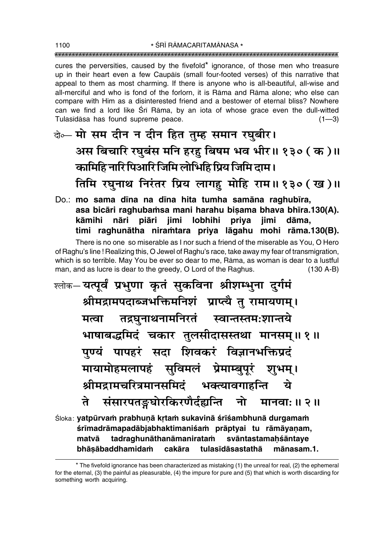cures the perversities, caused by the fivefold\* ignorance, of those men who treasure up in their heart even a few Caupais (small four-footed verses) of this narrative that appeal to them as most charming. If there is anyone who is all-beautiful, all-wise and all-merciful and who is fond of the forlorn, it is Rama and Rama alone; who else can compare with Him as a disinterested friend and a bestower of eternal bliss? Nowhere can we find a lord like Srī Rāma, by an iota of whose grace even the dull-witted Tulasīdāsa has found supreme peace.  $(1 - 3)$ 

- बे- मो सम दीन न दीन हित तुम्ह समान रघुबीर। अस बिचारि रघुबंस मनि हरह बिषम भव भीर॥ १३० ( क )॥ कामिहि नारि पिआरि जिमि लोभिहि प्रिय जिमि दाम। तिमि रघुनाथ निरंतर प्रिय लागहु मोहि राम॥१३० (ख)॥
- Do.: mo sama dina na dina hita tumha samana raghubira, asa bicāri raghubamsa mani harahu bisama bhava bhīra.130(A). kāmihi nāri piāri iimi lobhihi priva jimi dāma, timi raghunātha niramtara priva lāgahu mohi rāma.130(B).

There is no one so miserable as I nor such a friend of the miserable as You, O Hero of Raghu's line! Realizing this, O Jewel of Raghu's race, take away my fear of transmigration, which is so terrible. May You be ever so dear to me. Rama, as woman is dear to a lustful man, and as lucre is dear to the greedy, O Lord of the Raghus.  $(130 A-B)$ 

श्लोक– यत्पूर्वं प्रभुणा कृतं सुकविना श्रीशम्भुना दुर्गमं श्रीमद्रामपदाब्जभक्तिमनिशं प्राप्त्यै तु रामायणम् । तद्रघुनाथनामनिरतं स्वान्तस्तम:शान्तये मत्वा भाषाबद्धमिदं चकार तुलसीदासस्तथा मानसम्॥१॥ पुण्यं पापहरं सदा शिवकरं विज्ञानभक्तिप्रदं मायामोहमलापहं सुविमलं प्रेमाम्बुपुरं शुभम् । श्रीमद्रामचरित्रमानसमिदं भक्त्यावगाहन्ति ्ये संसारपतङ्घोरकिरणैर्दह्यन्ति ते नो मानवाः ॥ २ ॥

Śloka: yatpūrvam prabhuņā krtam sukavinā śrīśambhunā durgamam śrīmadrāmapadābjabhaktimaniśam prāptyai tu rāmāyanam, tadraghunāthanāmaniratam matvā svāntastamahśāntaye bhāsābaddhamidam cakāra tulasīdāsastathā mānasam.1.

1100

<sup>\*</sup> The fivefold ignorance has been characterized as mistaking (1) the unreal for real, (2) the ephemeral for the eternal, (3) the painful as pleasurable, (4) the impure for pure and (5) that which is worth discarding for something worth acquiring.